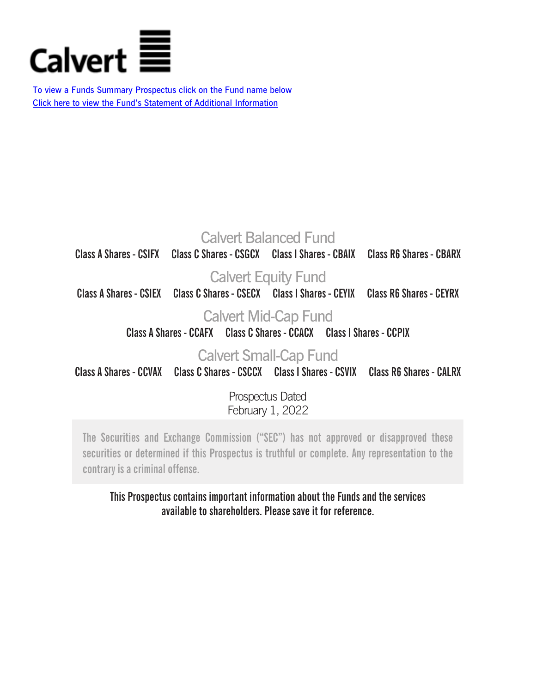

To view a Funds Summary Prospectus click on the Fund name below [Click here to view the Fund's Statement of Additional Information](http://www.calvert.com/NRC/literature/documents/30799.pdf)

# [Calvert Balanced Fund](http://funds.eatonvance.com/includes/loadDocument.php?fn=24128.pdf&dt=fundPDFs)

**Class A Shares - CSIFX Class C Shares - CSGCX Class I Shares - CBAIX Class R6 Shares - CBARX**

# [Calvert Equity Fund](http://funds.eatonvance.com/includes/loadDocument.php?fn=24129.pdf&dt=fundPDFs)

**Class A Shares - CSIEX Class C Shares - CSECX Class I Shares - CEYIX Class R6 Shares - CEYRX**

# [Calvert Mid-Cap Fund](http://funds.eatonvance.com/includes/loadDocument.php?fn=24130.pdf&dt=fundPDFs)

**Class A Shares - CCAFX Class C Shares - CCACX Class I Shares - CCPIX**

# [Calvert Small-Cap Fund](http://funds.eatonvance.com/includes/loadDocument.php?fn=24132.pdf&dt=fundPDFs)

**Class A Shares - CCVAX Class C Shares - CSCCX Class I Shares - CSVIX Class R6 Shares - CALRX**

Prospectus Dated February 1, 2022

**The Securities and Exchange Commission ("SEC") has not approved or disapproved these securities or determined if this Prospectus is truthful or complete. Any representation to the contrary is a criminal offense.**

# **This Prospectus contains important information about the Funds and the services available to shareholders. Please save it for reference.**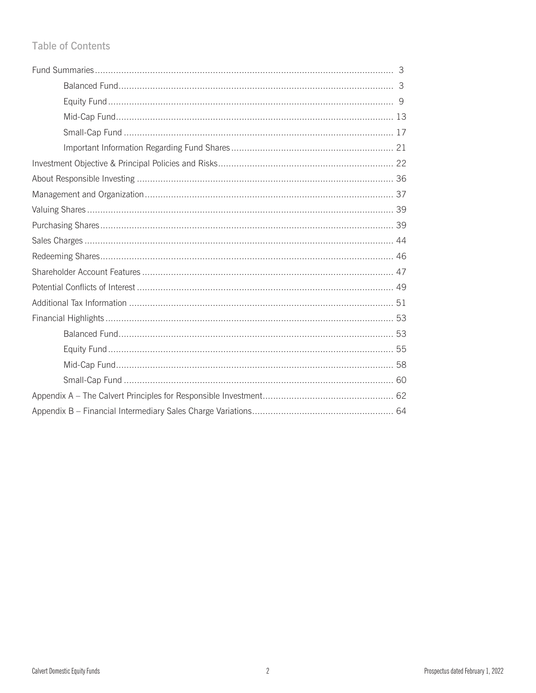# **Table of Contents**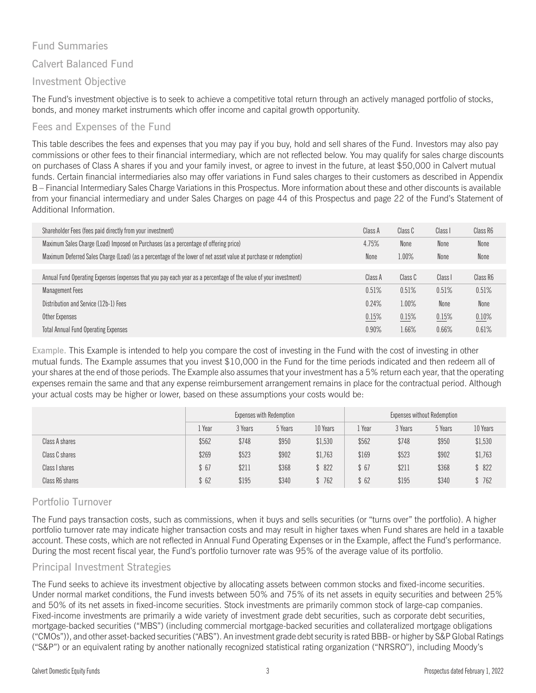## Fund Summaries

### Calvert Balanced Fund

### Investment Objective

The Fund's investment objective is to seek to achieve a competitive total return through an actively managed portfolio of stocks, bonds, and money market instruments which offer income and capital growth opportunity.

### Fees and Expenses of the Fund

This table describes the fees and expenses that you may pay if you buy, hold and sell shares of the Fund. Investors may also pay commissions or other fees to their financial intermediary, which are not reflected below. You may qualify for sales charge discounts on purchases of Class A shares if you and your family invest, or agree to invest in the future, at least \$50,000 in Calvert mutual funds. Certain financial intermediaries also may offer variations in Fund sales charges to their customers as described in Appendix B – Financial Intermediary Sales Charge Variations in this Prospectus. More information about these and other discounts is available from your financial intermediary and under Sales Charges on page 44 of this Prospectus and page 22 of the Fund's Statement of Additional Information.

| Shareholder Fees (fees paid directly from your investment)                                                       | Class A | Class C | Class I | Class R6 |
|------------------------------------------------------------------------------------------------------------------|---------|---------|---------|----------|
| Maximum Sales Charge (Load) Imposed on Purchases (as a percentage of offering price)                             | 4.75%   | None    | None    | None     |
| Maximum Deferred Sales Charge (Load) (as a percentage of the lower of net asset value at purchase or redemption) | None    | 1.00%   | None    | None     |
|                                                                                                                  |         |         |         |          |
| Annual Fund Operating Expenses (expenses that you pay each year as a percentage of the value of your investment) | Class A | Class C | Class I | Class R6 |
| <b>Management Fees</b>                                                                                           | 0.51%   | 0.51%   | 0.51%   | 0.51%    |
| Distribution and Service (12b-1) Fees                                                                            | 0.24%   | 1.00%   | None    | None     |
| Other Expenses                                                                                                   | 0.15%   | 0.15%   | 0.15%   | 0.10%    |
| <b>Total Annual Fund Operating Expenses</b>                                                                      | 0.90%   | 1.66%   | 0.66%   | 0.61%    |

Example. This Example is intended to help you compare the cost of investing in the Fund with the cost of investing in other mutual funds. The Example assumes that you invest \$10,000 in the Fund for the time periods indicated and then redeem all of your shares at the end of those periods. The Example also assumes that your investment has a 5% return each year, that the operating expenses remain the same and that any expense reimbursement arrangement remains in place for the contractual period. Although your actual costs may be higher or lower, based on these assumptions your costs would be:

|                 | Expenses with Redemption |         |         |          |       |         | Expenses without Redemption |          |
|-----------------|--------------------------|---------|---------|----------|-------|---------|-----------------------------|----------|
|                 | Year                     | 3 Years | 5 Years | 10 Years | Year  | 3 Years | 5 Years                     | 10 Years |
| Class A shares  | \$562                    | \$748   | \$950   | \$1,530  | \$562 | \$748   | \$950                       | \$1,530  |
| Class C shares  | \$269                    | \$523   | \$902   | \$1,763  | \$169 | \$523   | \$902                       | \$1,763  |
| Class I shares  | \$67                     | \$211   | \$368   | \$822    | \$67  | \$211   | \$368                       | \$822    |
| Class R6 shares | \$ 62                    | \$195   | \$340   | \$762    | \$62  | \$195   | \$340                       | 762      |

## Portfolio Turnover

The Fund pays transaction costs, such as commissions, when it buys and sells securities (or "turns over" the portfolio). A higher portfolio turnover rate may indicate higher transaction costs and may result in higher taxes when Fund shares are held in a taxable account. These costs, which are not reflected in Annual Fund Operating Expenses or in the Example, affect the Fund's performance. During the most recent fiscal year, the Fund's portfolio turnover rate was 95% of the average value of its portfolio.

#### Principal Investment Strategies

The Fund seeks to achieve its investment objective by allocating assets between common stocks and fixed-income securities. Under normal market conditions, the Fund invests between 50% and 75% of its net assets in equity securities and between 25% and 50% of its net assets in fixed-income securities. Stock investments are primarily common stock of large-cap companies. Fixed-income investments are primarily a wide variety of investment grade debt securities, such as corporate debt securities, mortgage-backed securities ("MBS") (including commercial mortgage-backed securities and collateralized mortgage obligations ("CMOs")), and other asset-backed securities ("ABS"). An investment grade debt security is rated BBB- or higher by S&P Global Ratings ("S&P") or an equivalent rating by another nationally recognized statistical rating organization ("NRSRO"), including Moody's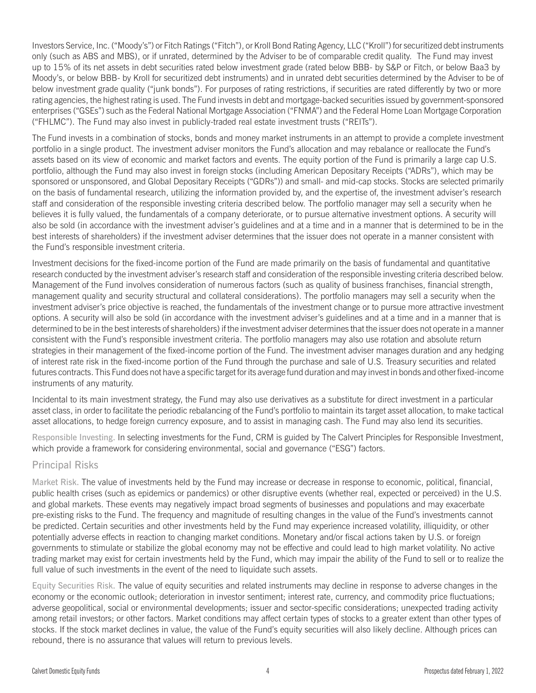Investors Service, Inc. ("Moody's") or Fitch Ratings ("Fitch"), or Kroll Bond Rating Agency, LLC ("Kroll") for securitized debt instruments only (such as ABS and MBS), or if unrated, determined by the Adviser to be of comparable credit quality. The Fund may invest up to 15% of its net assets in debt securities rated below investment grade (rated below BBB- by S&P or Fitch, or below Baa3 by Moody's, or below BBB- by Kroll for securitized debt instruments) and in unrated debt securities determined by the Adviser to be of below investment grade quality ("junk bonds"). For purposes of rating restrictions, if securities are rated differently by two or more rating agencies, the highest rating is used. The Fund invests in debt and mortgage-backed securities issued by government-sponsored enterprises ("GSEs") such as the Federal National Mortgage Association ("FNMA") and the Federal Home Loan Mortgage Corporation ("FHLMC"). The Fund may also invest in publicly-traded real estate investment trusts ("REITs").

The Fund invests in a combination of stocks, bonds and money market instruments in an attempt to provide a complete investment portfolio in a single product. The investment adviser monitors the Fund's allocation and may rebalance or reallocate the Fund's assets based on its view of economic and market factors and events. The equity portion of the Fund is primarily a large cap U.S. portfolio, although the Fund may also invest in foreign stocks (including American Depositary Receipts ("ADRs"), which may be sponsored or unsponsored, and Global Depositary Receipts ("GDRs")) and small- and mid-cap stocks. Stocks are selected primarily on the basis of fundamental research, utilizing the information provided by, and the expertise of, the investment adviser's research staff and consideration of the responsible investing criteria described below. The portfolio manager may sell a security when he believes it is fully valued, the fundamentals of a company deteriorate, or to pursue alternative investment options. A security will also be sold (in accordance with the investment adviser's guidelines and at a time and in a manner that is determined to be in the best interests of shareholders) if the investment adviser determines that the issuer does not operate in a manner consistent with the Fund's responsible investment criteria.

Investment decisions for the fixed-income portion of the Fund are made primarily on the basis of fundamental and quantitative research conducted by the investment adviser's research staff and consideration of the responsible investing criteria described below. Management of the Fund involves consideration of numerous factors (such as quality of business franchises, financial strength, management quality and security structural and collateral considerations). The portfolio managers may sell a security when the investment adviser's price objective is reached, the fundamentals of the investment change or to pursue more attractive investment options. A security will also be sold (in accordance with the investment adviser's guidelines and at a time and in a manner that is determined to be in the best interests of shareholders) if the investment adviser determines that the issuer does not operate in a manner consistent with the Fund's responsible investment criteria. The portfolio managers may also use rotation and absolute return strategies in their management of the fixed-income portion of the Fund. The investment adviser manages duration and any hedging of interest rate risk in the fixed-income portion of the Fund through the purchase and sale of U.S. Treasury securities and related futures contracts. This Fund does not have a specific target for its average fund duration and may invest in bonds and other fixed-income instruments of any maturity.

Incidental to its main investment strategy, the Fund may also use derivatives as a substitute for direct investment in a particular asset class, in order to facilitate the periodic rebalancing of the Fund's portfolio to maintain its target asset allocation, to make tactical asset allocations, to hedge foreign currency exposure, and to assist in managing cash. The Fund may also lend its securities.

Responsible Investing. In selecting investments for the Fund, CRM is guided by The Calvert Principles for Responsible Investment, which provide a framework for considering environmental, social and governance ("ESG") factors.

#### Principal Risks

Market Risk. The value of investments held by the Fund may increase or decrease in response to economic, political, financial, public health crises (such as epidemics or pandemics) or other disruptive events (whether real, expected or perceived) in the U.S. and global markets. These events may negatively impact broad segments of businesses and populations and may exacerbate pre-existing risks to the Fund. The frequency and magnitude of resulting changes in the value of the Fund's investments cannot be predicted. Certain securities and other investments held by the Fund may experience increased volatility, illiquidity, or other potentially adverse effects in reaction to changing market conditions. Monetary and/or fiscal actions taken by U.S. or foreign governments to stimulate or stabilize the global economy may not be effective and could lead to high market volatility. No active trading market may exist for certain investments held by the Fund, which may impair the ability of the Fund to sell or to realize the full value of such investments in the event of the need to liquidate such assets.

Equity Securities Risk. The value of equity securities and related instruments may decline in response to adverse changes in the economy or the economic outlook; deterioration in investor sentiment; interest rate, currency, and commodity price fluctuations; adverse geopolitical, social or environmental developments; issuer and sector-specific considerations; unexpected trading activity among retail investors; or other factors. Market conditions may affect certain types of stocks to a greater extent than other types of stocks. If the stock market declines in value, the value of the Fund's equity securities will also likely decline. Although prices can rebound, there is no assurance that values will return to previous levels.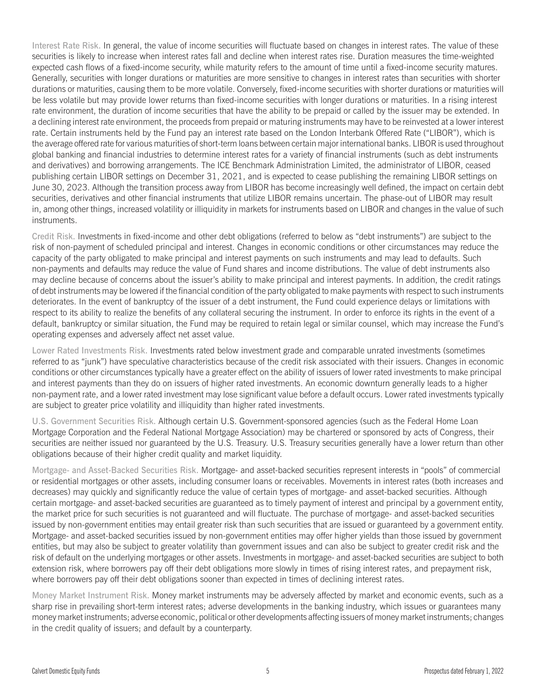Interest Rate Risk. In general, the value of income securities will fluctuate based on changes in interest rates. The value of these securities is likely to increase when interest rates fall and decline when interest rates rise. Duration measures the time-weighted expected cash flows of a fixed-income security, while maturity refers to the amount of time until a fixed-income security matures. Generally, securities with longer durations or maturities are more sensitive to changes in interest rates than securities with shorter durations or maturities, causing them to be more volatile. Conversely, fixed-income securities with shorter durations or maturities will be less volatile but may provide lower returns than fixed-income securities with longer durations or maturities. In a rising interest rate environment, the duration of income securities that have the ability to be prepaid or called by the issuer may be extended. In a declining interest rate environment, the proceeds from prepaid or maturing instruments may have to be reinvested at a lower interest rate. Certain instruments held by the Fund pay an interest rate based on the London Interbank Offered Rate ("LIBOR"), which is the average offered rate for various maturities of short-term loans between certain major international banks. LIBOR is used throughout global banking and financial industries to determine interest rates for a variety of financial instruments (such as debt instruments and derivatives) and borrowing arrangements. The ICE Benchmark Administration Limited, the administrator of LIBOR, ceased publishing certain LIBOR settings on December 31, 2021, and is expected to cease publishing the remaining LIBOR settings on June 30, 2023. Although the transition process away from LIBOR has become increasingly well defined, the impact on certain debt securities, derivatives and other financial instruments that utilize LIBOR remains uncertain. The phase-out of LIBOR may result in, among other things, increased volatility or illiquidity in markets for instruments based on LIBOR and changes in the value of such instruments.

Credit Risk. Investments in fixed-income and other debt obligations (referred to below as "debt instruments") are subject to the risk of non-payment of scheduled principal and interest. Changes in economic conditions or other circumstances may reduce the capacity of the party obligated to make principal and interest payments on such instruments and may lead to defaults. Such non-payments and defaults may reduce the value of Fund shares and income distributions. The value of debt instruments also may decline because of concerns about the issuer's ability to make principal and interest payments. In addition, the credit ratings of debt instruments may be lowered if the financial condition of the party obligated to make payments with respect to such instruments deteriorates. In the event of bankruptcy of the issuer of a debt instrument, the Fund could experience delays or limitations with respect to its ability to realize the benefits of any collateral securing the instrument. In order to enforce its rights in the event of a default, bankruptcy or similar situation, the Fund may be required to retain legal or similar counsel, which may increase the Fund's operating expenses and adversely affect net asset value.

Lower Rated Investments Risk. Investments rated below investment grade and comparable unrated investments (sometimes referred to as "junk") have speculative characteristics because of the credit risk associated with their issuers. Changes in economic conditions or other circumstances typically have a greater effect on the ability of issuers of lower rated investments to make principal and interest payments than they do on issuers of higher rated investments. An economic downturn generally leads to a higher non-payment rate, and a lower rated investment may lose significant value before a default occurs. Lower rated investments typically are subject to greater price volatility and illiquidity than higher rated investments.

U.S. Government Securities Risk. Although certain U.S. Government-sponsored agencies (such as the Federal Home Loan Mortgage Corporation and the Federal National Mortgage Association) may be chartered or sponsored by acts of Congress, their securities are neither issued nor guaranteed by the U.S. Treasury. U.S. Treasury securities generally have a lower return than other obligations because of their higher credit quality and market liquidity.

Mortgage- and Asset-Backed Securities Risk. Mortgage- and asset-backed securities represent interests in "pools" of commercial or residential mortgages or other assets, including consumer loans or receivables. Movements in interest rates (both increases and decreases) may quickly and significantly reduce the value of certain types of mortgage- and asset-backed securities. Although certain mortgage- and asset-backed securities are guaranteed as to timely payment of interest and principal by a government entity, the market price for such securities is not guaranteed and will fluctuate. The purchase of mortgage- and asset-backed securities issued by non-government entities may entail greater risk than such securities that are issued or guaranteed by a government entity. Mortgage- and asset-backed securities issued by non-government entities may offer higher yields than those issued by government entities, but may also be subject to greater volatility than government issues and can also be subject to greater credit risk and the risk of default on the underlying mortgages or other assets. Investments in mortgage- and asset-backed securities are subject to both extension risk, where borrowers pay off their debt obligations more slowly in times of rising interest rates, and prepayment risk, where borrowers pay off their debt obligations sooner than expected in times of declining interest rates.

Money Market Instrument Risk. Money market instruments may be adversely affected by market and economic events, such as a sharp rise in prevailing short-term interest rates; adverse developments in the banking industry, which issues or guarantees many money market instruments; adverse economic, political or other developments affecting issuers of money market instruments; changes in the credit quality of issuers; and default by a counterparty.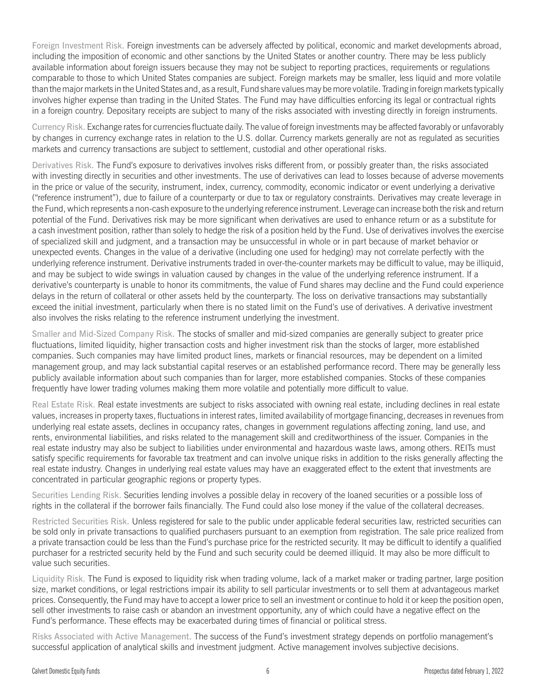Foreign Investment Risk. Foreign investments can be adversely affected by political, economic and market developments abroad, including the imposition of economic and other sanctions by the United States or another country. There may be less publicly available information about foreign issuers because they may not be subject to reporting practices, requirements or regulations comparable to those to which United States companies are subject. Foreign markets may be smaller, less liquid and more volatile than the major markets in the United States and, as a result, Fund share values may be more volatile. Trading in foreign markets typically involves higher expense than trading in the United States. The Fund may have difficulties enforcing its legal or contractual rights in a foreign country. Depositary receipts are subject to many of the risks associated with investing directly in foreign instruments.

Currency Risk. Exchange rates for currencies fluctuate daily. The value of foreign investments may be affected favorably or unfavorably by changes in currency exchange rates in relation to the U.S. dollar. Currency markets generally are not as regulated as securities markets and currency transactions are subject to settlement, custodial and other operational risks.

Derivatives Risk. The Fund's exposure to derivatives involves risks different from, or possibly greater than, the risks associated with investing directly in securities and other investments. The use of derivatives can lead to losses because of adverse movements in the price or value of the security, instrument, index, currency, commodity, economic indicator or event underlying a derivative ("reference instrument"), due to failure of a counterparty or due to tax or regulatory constraints. Derivatives may create leverage in the Fund, which represents a non-cash exposure to the underlying reference instrument. Leverage can increase both the risk and return potential of the Fund. Derivatives risk may be more significant when derivatives are used to enhance return or as a substitute for a cash investment position, rather than solely to hedge the risk of a position held by the Fund. Use of derivatives involves the exercise of specialized skill and judgment, and a transaction may be unsuccessful in whole or in part because of market behavior or unexpected events. Changes in the value of a derivative (including one used for hedging) may not correlate perfectly with the underlying reference instrument. Derivative instruments traded in over-the-counter markets may be difficult to value, may be illiquid, and may be subject to wide swings in valuation caused by changes in the value of the underlying reference instrument. If a derivative's counterparty is unable to honor its commitments, the value of Fund shares may decline and the Fund could experience delays in the return of collateral or other assets held by the counterparty. The loss on derivative transactions may substantially exceed the initial investment, particularly when there is no stated limit on the Fund's use of derivatives. A derivative investment also involves the risks relating to the reference instrument underlying the investment.

Smaller and Mid-Sized Company Risk. The stocks of smaller and mid-sized companies are generally subject to greater price fluctuations, limited liquidity, higher transaction costs and higher investment risk than the stocks of larger, more established companies. Such companies may have limited product lines, markets or financial resources, may be dependent on a limited management group, and may lack substantial capital reserves or an established performance record. There may be generally less publicly available information about such companies than for larger, more established companies. Stocks of these companies frequently have lower trading volumes making them more volatile and potentially more difficult to value.

Real Estate Risk. Real estate investments are subject to risks associated with owning real estate, including declines in real estate values, increases in property taxes, fluctuations in interest rates, limited availability of mortgage financing, decreases in revenues from underlying real estate assets, declines in occupancy rates, changes in government regulations affecting zoning, land use, and rents, environmental liabilities, and risks related to the management skill and creditworthiness of the issuer. Companies in the real estate industry may also be subject to liabilities under environmental and hazardous waste laws, among others. REITs must satisfy specific requirements for favorable tax treatment and can involve unique risks in addition to the risks generally affecting the real estate industry. Changes in underlying real estate values may have an exaggerated effect to the extent that investments are concentrated in particular geographic regions or property types.

Securities Lending Risk. Securities lending involves a possible delay in recovery of the loaned securities or a possible loss of rights in the collateral if the borrower fails financially. The Fund could also lose money if the value of the collateral decreases.

Restricted Securities Risk. Unless registered for sale to the public under applicable federal securities law, restricted securities can be sold only in private transactions to qualified purchasers pursuant to an exemption from registration. The sale price realized from a private transaction could be less than the Fund's purchase price for the restricted security. It may be difficult to identify a qualified purchaser for a restricted security held by the Fund and such security could be deemed illiquid. It may also be more difficult to value such securities.

Liquidity Risk. The Fund is exposed to liquidity risk when trading volume, lack of a market maker or trading partner, large position size, market conditions, or legal restrictions impair its ability to sell particular investments or to sell them at advantageous market prices. Consequently, the Fund may have to accept a lower price to sell an investment or continue to hold it or keep the position open, sell other investments to raise cash or abandon an investment opportunity, any of which could have a negative effect on the Fund's performance. These effects may be exacerbated during times of financial or political stress.

Risks Associated with Active Management. The success of the Fund's investment strategy depends on portfolio management's successful application of analytical skills and investment judgment. Active management involves subjective decisions.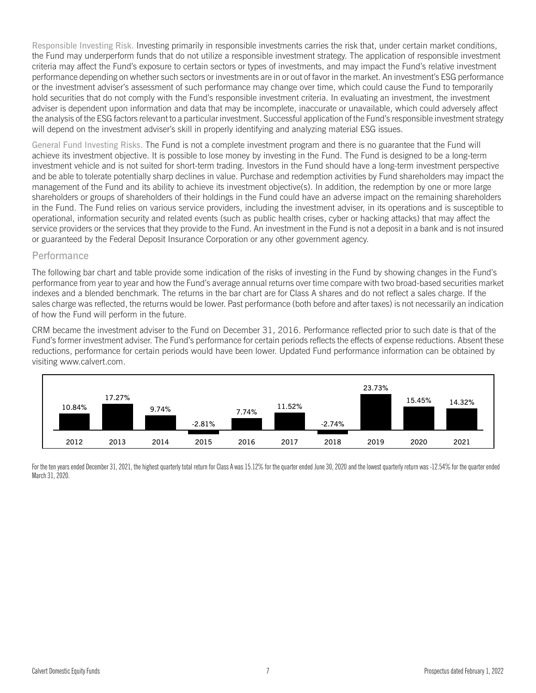Responsible Investing Risk. Investing primarily in responsible investments carries the risk that, under certain market conditions, the Fund may underperform funds that do not utilize a responsible investment strategy. The application of responsible investment criteria may affect the Fund's exposure to certain sectors or types of investments, and may impact the Fund's relative investment performance depending on whether such sectors or investments are in or out of favor in the market. An investment's ESG performance or the investment adviser's assessment of such performance may change over time, which could cause the Fund to temporarily hold securities that do not comply with the Fund's responsible investment criteria. In evaluating an investment, the investment adviser is dependent upon information and data that may be incomplete, inaccurate or unavailable, which could adversely affect the analysis of the ESG factors relevant to a particular investment. Successful application of the Fund's responsible investment strategy will depend on the investment adviser's skill in properly identifying and analyzing material ESG issues.

General Fund Investing Risks. The Fund is not a complete investment program and there is no guarantee that the Fund will achieve its investment objective. It is possible to lose money by investing in the Fund. The Fund is designed to be a long-term investment vehicle and is not suited for short-term trading. Investors in the Fund should have a long-term investment perspective and be able to tolerate potentially sharp declines in value. Purchase and redemption activities by Fund shareholders may impact the management of the Fund and its ability to achieve its investment objective(s). In addition, the redemption by one or more large shareholders or groups of shareholders of their holdings in the Fund could have an adverse impact on the remaining shareholders in the Fund. The Fund relies on various service providers, including the investment adviser, in its operations and is susceptible to operational, information security and related events (such as public health crises, cyber or hacking attacks) that may affect the service providers or the services that they provide to the Fund. An investment in the Fund is not a deposit in a bank and is not insured or guaranteed by the Federal Deposit Insurance Corporation or any other government agency.

#### Performance

The following bar chart and table provide some indication of the risks of investing in the Fund by showing changes in the Fund's performance from year to year and how the Fund's average annual returns over time compare with two broad-based securities market indexes and a blended benchmark. The returns in the bar chart are for Class A shares and do not reflect a sales charge. If the sales charge was reflected, the returns would be lower. Past performance (both before and after taxes) is not necessarily an indication of how the Fund will perform in the future.

CRM became the investment adviser to the Fund on December 31, 2016. Performance reflected prior to such date is that of the Fund's former investment adviser. The Fund's performance for certain periods reflects the effects of expense reductions. Absent these reductions, performance for certain periods would have been lower. Updated Fund performance information can be obtained by visiting [www.calvert.com.](www.calvert.com)



For the ten years ended December 31, 2021, the highest quarterly total return for Class A was 15.12% for the quarter ended June 30, 2020 and the lowest quarterly return was -12.54% for the quarter ended March 31, 2020.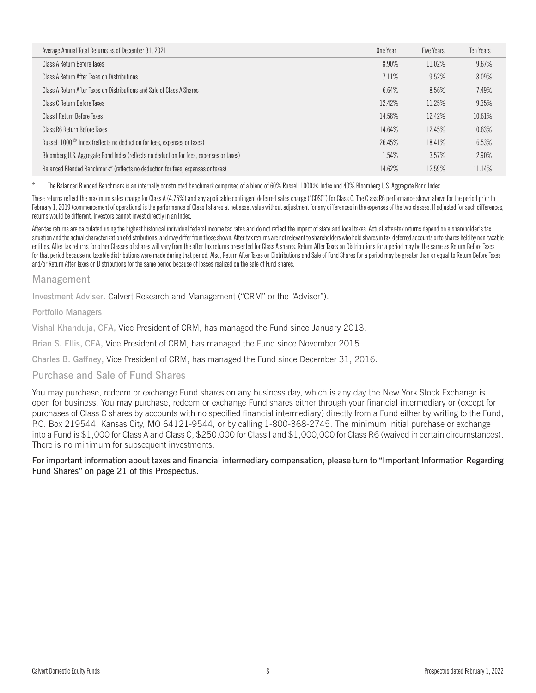| Average Annual Total Returns as of December 31, 2021                                    | One Year | Five Years | <b>Ten Years</b> |
|-----------------------------------------------------------------------------------------|----------|------------|------------------|
| Class A Return Before Taxes                                                             | 8.90%    | 11.02%     | 9.67%            |
| Class A Return After Taxes on Distributions                                             | 7.11%    | 9.52%      | 8.09%            |
| Class A Return After Taxes on Distributions and Sale of Class A Shares                  | 6.64%    | 8.56%      | 7.49%            |
| Class C Return Before Taxes                                                             | 12.42%   | 11.25%     | 9.35%            |
| Class I Return Before Taxes                                                             | 14.58%   | 12.42%     | 10.61%           |
| Class R6 Return Before Taxes                                                            | 14.64%   | 12.45%     | 10.63%           |
| Russell 1000 <sup>®</sup> Index (reflects no deduction for fees, expenses or taxes)     | 26.45%   | 18.41%     | 16.53%           |
| Bloomberg U.S. Aggregate Bond Index (reflects no deduction for fees, expenses or taxes) | $-1.54%$ | 3.57%      | 2.90%            |
| Balanced Blended Benchmark* (reflects no deduction for fees, expenses or taxes)         | 14.62%   | 12.59%     | 11.14%           |

The Balanced Blended Benchmark is an internally constructed benchmark comprised of a blend of 60% Russell 1000® Index and 40% Bloomberg U.S. Aggregate Bond Index.

These returns reflect the maximum sales charge for Class A (4.75%) and any applicable contingent deferred sales charge ("CDSC") for Class C. The Class R6 performance shown above for the period prior to February 1, 2019 (commencement of operations) is the performance of Class I shares at net asset value without adjustment for any differences in the expenses of the two classes. If adjusted for such differences, returns would be different. Investors cannot invest directly in an Index.

After-tax returns are calculated using the highest historical individual federal income tax rates and do not reflect the impact of state and local taxes. Actual after-tax returns depend on a shareholder's tax situation and the actual characterization of distributions, and may differ from those shown. After-tax returns are not relevant to shareholders who hold shares in tax-deferred accounts or to shares held by non-taxable entities. After-tax returns for other Classes of shares will vary from the after-tax returns presented for Class A shares. Return After Taxes on Distributions for a period may be the same as Return Before Taxes for that period because no taxable distributions were made during that period. Also, Return After Taxes on Distributions and Sale of Fund Shares for a period may be greater than or equal to Return Before Taxes and/or Return After Taxes on Distributions for the same period because of losses realized on the sale of Fund shares.

#### Management

Investment Adviser. Calvert Research and Management ("CRM" or the "Adviser").

Portfolio Managers

Vishal Khanduja, CFA, Vice President of CRM, has managed the Fund since January 2013.

Brian S. Ellis, CFA, Vice President of CRM, has managed the Fund since November 2015.

Charles B. Gaffney, Vice President of CRM, has managed the Fund since December 31, 2016.

#### Purchase and Sale of Fund Shares

You may purchase, redeem or exchange Fund shares on any business day, which is any day the New York Stock Exchange is open for business. You may purchase, redeem or exchange Fund shares either through your financial intermediary or (except for purchases of Class C shares by accounts with no specified financial intermediary) directly from a Fund either by writing to the Fund, P.O. Box 219544, Kansas City, MO 64121-9544, or by calling 1-800-368-2745. The minimum initial purchase or exchange into a Fund is \$1,000 for Class A and Class C, \$250,000 for Class I and \$1,000,000 for Class R6 (waived in certain circumstances). There is no minimum for subsequent investments.

For important information about taxes and financial intermediary compensation, please turn to "Important Information Regarding Fund Shares" on page 21 of this Prospectus.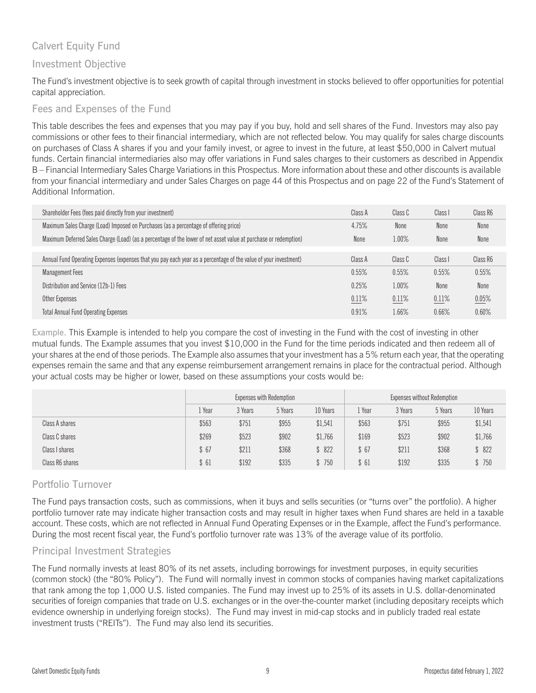# Calvert Equity Fund

## Investment Objective

The Fund's investment objective is to seek growth of capital through investment in stocks believed to offer opportunities for potential capital appreciation.

## Fees and Expenses of the Fund

This table describes the fees and expenses that you may pay if you buy, hold and sell shares of the Fund. Investors may also pay commissions or other fees to their financial intermediary, which are not reflected below. You may qualify for sales charge discounts on purchases of Class A shares if you and your family invest, or agree to invest in the future, at least \$50,000 in Calvert mutual funds. Certain financial intermediaries also may offer variations in Fund sales charges to their customers as described in Appendix B – Financial Intermediary Sales Charge Variations in this Prospectus. More information about these and other discounts is available from your financial intermediary and under Sales Charges on page 44 of this Prospectus and on page 22 of the Fund's Statement of Additional Information.

| Shareholder Fees (fees paid directly from your investment)                                                       | Class A | Class C | Class I | Class R6 |
|------------------------------------------------------------------------------------------------------------------|---------|---------|---------|----------|
| Maximum Sales Charge (Load) Imposed on Purchases (as a percentage of offering price)                             | 4.75%   | None    | None    | None     |
| Maximum Deferred Sales Charge (Load) (as a percentage of the lower of net asset value at purchase or redemption) | None    | 1.00%   | None    | None     |
|                                                                                                                  |         |         |         |          |
| Annual Fund Operating Expenses (expenses that you pay each year as a percentage of the value of your investment) | Class A | Class C | Class I | Class R6 |
| <b>Management Fees</b>                                                                                           | 0.55%   | 0.55%   | 0.55%   | 0.55%    |
| Distribution and Service (12b-1) Fees                                                                            | 0.25%   | 1.00%   | None    | None     |
| Other Expenses                                                                                                   | 0.11%   | 0.11%   | 0.11%   | 0.05%    |
| <b>Total Annual Fund Operating Expenses</b>                                                                      | 0.91%   | 1.66%   | 0.66%   | 0.60%    |

Example. This Example is intended to help you compare the cost of investing in the Fund with the cost of investing in other mutual funds. The Example assumes that you invest \$10,000 in the Fund for the time periods indicated and then redeem all of your shares at the end of those periods. The Example also assumes that your investment has a 5% return each year, that the operating expenses remain the same and that any expense reimbursement arrangement remains in place for the contractual period. Although your actual costs may be higher or lower, based on these assumptions your costs would be:

|                 | Expenses with Redemption |         |         |          |       | <b>Expenses without Redemption</b> |         |          |
|-----------------|--------------------------|---------|---------|----------|-------|------------------------------------|---------|----------|
|                 | . Year                   | 3 Years | 5 Years | 10 Years | Year  | 3 Years                            | 5 Years | 10 Years |
| Class A shares  | \$563                    | \$751   | \$955   | \$1,541  | \$563 | \$751                              | \$955   | \$1,541  |
| Class C shares  | \$269                    | \$523   | \$902   | \$1,766  | \$169 | \$523                              | \$902   | \$1,766  |
| Class I shares  | \$67                     | \$211   | \$368   | \$822    | \$67  | \$211                              | \$368   | \$822    |
| Class R6 shares | \$61                     | \$192   | \$335   | \$750    | \$61  | \$192                              | \$335   | \$750    |

## Portfolio Turnover

The Fund pays transaction costs, such as commissions, when it buys and sells securities (or "turns over" the portfolio). A higher portfolio turnover rate may indicate higher transaction costs and may result in higher taxes when Fund shares are held in a taxable account. These costs, which are not reflected in Annual Fund Operating Expenses or in the Example, affect the Fund's performance. During the most recent fiscal year, the Fund's portfolio turnover rate was 13% of the average value of its portfolio.

## Principal Investment Strategies

The Fund normally invests at least 80% of its net assets, including borrowings for investment purposes, in equity securities (common stock) (the "80% Policy"). The Fund will normally invest in common stocks of companies having market capitalizations that rank among the top 1,000 U.S. listed companies. The Fund may invest up to 25% of its assets in U.S. dollar-denominated securities of foreign companies that trade on U.S. exchanges or in the over-the-counter market (including depositary receipts which evidence ownership in underlying foreign stocks). The Fund may invest in mid-cap stocks and in publicly traded real estate investment trusts ("REITs"). The Fund may also lend its securities.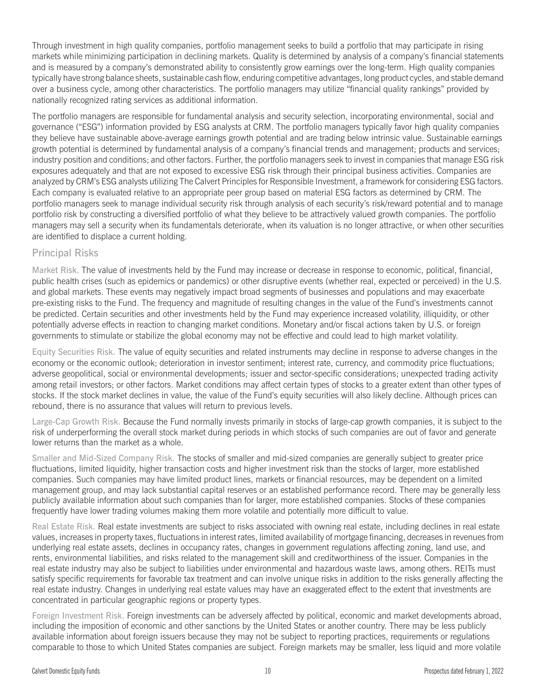Through investment in high quality companies, portfolio management seeks to build a portfolio that may participate in rising markets while minimizing participation in declining markets. Quality is determined by analysis of a company's financial statements and is measured by a company's demonstrated ability to consistently grow earnings over the long-term. High quality companies typically have strong balance sheets, sustainable cash flow, enduring competitive advantages, long product cycles, and stable demand over a business cycle, among other characteristics. The portfolio managers may utilize "financial quality rankings" provided by nationally recognized rating services as additional information.

The portfolio managers are responsible for fundamental analysis and security selection, incorporating environmental, social and governance ("ESG") information provided by ESG analysts at CRM. The portfolio managers typically favor high quality companies they believe have sustainable above-average earnings growth potential and are trading below intrinsic value. Sustainable earnings growth potential is determined by fundamental analysis of a company's financial trends and management; products and services; industry position and conditions; and other factors. Further, the portfolio managers seek to invest in companies that manage ESG risk exposures adequately and that are not exposed to excessive ESG risk through their principal business activities. Companies are analyzed by CRM's ESG analysts utilizing The Calvert Principles for Responsible Investment, a framework for considering ESG factors. Each company is evaluated relative to an appropriate peer group based on material ESG factors as determined by CRM. The portfolio managers seek to manage individual security risk through analysis of each security's risk/reward potential and to manage portfolio risk by constructing a diversified portfolio of what they believe to be attractively valued growth companies. The portfolio managers may sell a security when its fundamentals deteriorate, when its valuation is no longer attractive, or when other securities are identified to displace a current holding.

#### Principal Risks

Market Risk. The value of investments held by the Fund may increase or decrease in response to economic, political, financial, public health crises (such as epidemics or pandemics) or other disruptive events (whether real, expected or perceived) in the U.S. and global markets. These events may negatively impact broad segments of businesses and populations and may exacerbate pre-existing risks to the Fund. The frequency and magnitude of resulting changes in the value of the Fund's investments cannot be predicted. Certain securities and other investments held by the Fund may experience increased volatility, illiquidity, or other potentially adverse effects in reaction to changing market conditions. Monetary and/or fiscal actions taken by U.S. or foreign governments to stimulate or stabilize the global economy may not be effective and could lead to high market volatility.

Equity Securities Risk. The value of equity securities and related instruments may decline in response to adverse changes in the economy or the economic outlook; deterioration in investor sentiment; interest rate, currency, and commodity price fluctuations; adverse geopolitical, social or environmental developments; issuer and sector-specific considerations; unexpected trading activity among retail investors; or other factors. Market conditions may affect certain types of stocks to a greater extent than other types of stocks. If the stock market declines in value, the value of the Fund's equity securities will also likely decline. Although prices can rebound, there is no assurance that values will return to previous levels.

Large-Cap Growth Risk. Because the Fund normally invests primarily in stocks of large-cap growth companies, it is subject to the risk of underperforming the overall stock market during periods in which stocks of such companies are out of favor and generate lower returns than the market as a whole.

Smaller and Mid-Sized Company Risk. The stocks of smaller and mid-sized companies are generally subject to greater price fluctuations, limited liquidity, higher transaction costs and higher investment risk than the stocks of larger, more established companies. Such companies may have limited product lines, markets or financial resources, may be dependent on a limited management group, and may lack substantial capital reserves or an established performance record. There may be generally less publicly available information about such companies than for larger, more established companies. Stocks of these companies frequently have lower trading volumes making them more volatile and potentially more difficult to value.

Real Estate Risk. Real estate investments are subject to risks associated with owning real estate, including declines in real estate values, increases in property taxes, fluctuations in interest rates, limited availability of mortgage financing, decreases in revenues from underlying real estate assets, declines in occupancy rates, changes in government regulations affecting zoning, land use, and rents, environmental liabilities, and risks related to the management skill and creditworthiness of the issuer. Companies in the real estate industry may also be subject to liabilities under environmental and hazardous waste laws, among others. REITs must satisfy specific requirements for favorable tax treatment and can involve unique risks in addition to the risks generally affecting the real estate industry. Changes in underlying real estate values may have an exaggerated effect to the extent that investments are concentrated in particular geographic regions or property types.

Foreign Investment Risk. Foreign investments can be adversely affected by political, economic and market developments abroad, including the imposition of economic and other sanctions by the United States or another country. There may be less publicly available information about foreign issuers because they may not be subject to reporting practices, requirements or regulations comparable to those to which United States companies are subject. Foreign markets may be smaller, less liquid and more volatile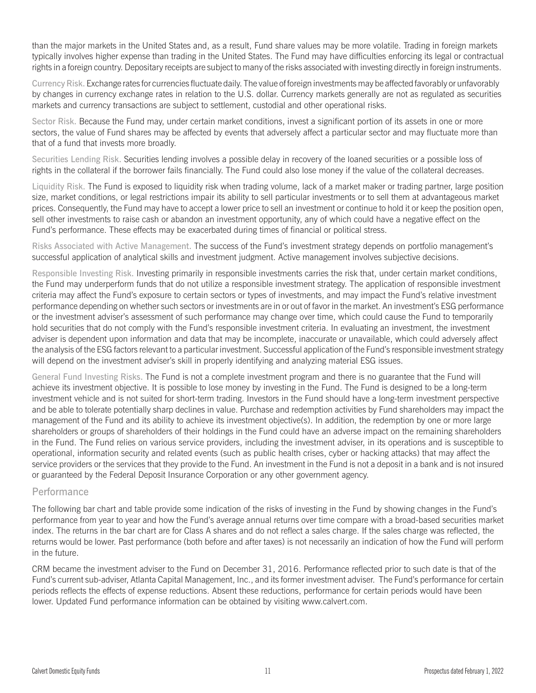than the major markets in the United States and, as a result, Fund share values may be more volatile. Trading in foreign markets typically involves higher expense than trading in the United States. The Fund may have difficulties enforcing its legal or contractual rights in a foreign country. Depositary receipts are subject to many of the risks associated with investing directly in foreign instruments.

Currency Risk. Exchange rates for currencies fluctuate daily. The value of foreign investments may be affected favorably or unfavorably by changes in currency exchange rates in relation to the U.S. dollar. Currency markets generally are not as regulated as securities markets and currency transactions are subject to settlement, custodial and other operational risks.

Sector Risk. Because the Fund may, under certain market conditions, invest a significant portion of its assets in one or more sectors, the value of Fund shares may be affected by events that adversely affect a particular sector and may fluctuate more than that of a fund that invests more broadly.

Securities Lending Risk. Securities lending involves a possible delay in recovery of the loaned securities or a possible loss of rights in the collateral if the borrower fails financially. The Fund could also lose money if the value of the collateral decreases.

Liquidity Risk. The Fund is exposed to liquidity risk when trading volume, lack of a market maker or trading partner, large position size, market conditions, or legal restrictions impair its ability to sell particular investments or to sell them at advantageous market prices. Consequently, the Fund may have to accept a lower price to sell an investment or continue to hold it or keep the position open, sell other investments to raise cash or abandon an investment opportunity, any of which could have a negative effect on the Fund's performance. These effects may be exacerbated during times of financial or political stress.

Risks Associated with Active Management. The success of the Fund's investment strategy depends on portfolio management's successful application of analytical skills and investment judgment. Active management involves subjective decisions.

Responsible Investing Risk. Investing primarily in responsible investments carries the risk that, under certain market conditions, the Fund may underperform funds that do not utilize a responsible investment strategy. The application of responsible investment criteria may affect the Fund's exposure to certain sectors or types of investments, and may impact the Fund's relative investment performance depending on whether such sectors or investments are in or out of favor in the market. An investment's ESG performance or the investment adviser's assessment of such performance may change over time, which could cause the Fund to temporarily hold securities that do not comply with the Fund's responsible investment criteria. In evaluating an investment, the investment adviser is dependent upon information and data that may be incomplete, inaccurate or unavailable, which could adversely affect the analysis of the ESG factors relevant to a particular investment. Successful application of the Fund's responsible investment strategy will depend on the investment adviser's skill in properly identifying and analyzing material ESG issues.

General Fund Investing Risks. The Fund is not a complete investment program and there is no guarantee that the Fund will achieve its investment objective. It is possible to lose money by investing in the Fund. The Fund is designed to be a long-term investment vehicle and is not suited for short-term trading. Investors in the Fund should have a long-term investment perspective and be able to tolerate potentially sharp declines in value. Purchase and redemption activities by Fund shareholders may impact the management of the Fund and its ability to achieve its investment objective(s). In addition, the redemption by one or more large shareholders or groups of shareholders of their holdings in the Fund could have an adverse impact on the remaining shareholders in the Fund. The Fund relies on various service providers, including the investment adviser, in its operations and is susceptible to operational, information security and related events (such as public health crises, cyber or hacking attacks) that may affect the service providers or the services that they provide to the Fund. An investment in the Fund is not a deposit in a bank and is not insured or guaranteed by the Federal Deposit Insurance Corporation or any other government agency.

#### Performance

The following bar chart and table provide some indication of the risks of investing in the Fund by showing changes in the Fund's performance from year to year and how the Fund's average annual returns over time compare with a broad-based securities market index. The returns in the bar chart are for Class A shares and do not reflect a sales charge. If the sales charge was reflected, the returns would be lower. Past performance (both before and after taxes) is not necessarily an indication of how the Fund will perform in the future.

CRM became the investment adviser to the Fund on December 31, 2016. Performance reflected prior to such date is that of the Fund's current sub-adviser, Atlanta Capital Management, Inc., and its former investment adviser. The Fund's performance for certain periods reflects the effects of expense reductions. Absent these reductions, performance for certain periods would have been lower. Updated Fund performance information can be obtained by visiting [www.calvert.com.](www.calvert.com)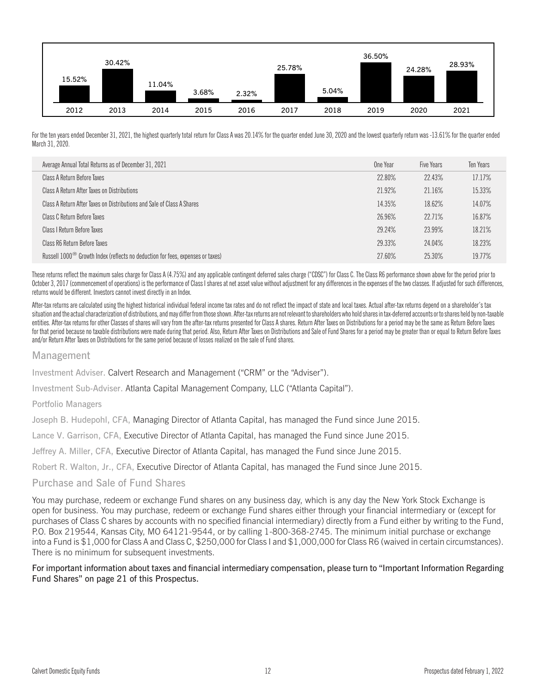

For the ten years ended December 31, 2021, the highest quarterly total return for Class A was 20.14% for the quarter ended June 30, 2020 and the lowest quarterly return was -13.61% for the quarter ended March 31, 2020.

| Average Annual Total Returns as of December 31, 2021                                         | One Year | Five Years | Ten Years |
|----------------------------------------------------------------------------------------------|----------|------------|-----------|
| Class A Return Before Taxes                                                                  | 22.80%   | 22.43%     | 17.17%    |
| Class A Return After Taxes on Distributions                                                  | 21.92%   | 21.16%     | 15.33%    |
| Class A Return After Taxes on Distributions and Sale of Class A Shares                       | 14.35%   | 18.62%     | 14.07%    |
| Class C Return Before Taxes                                                                  | 26.96%   | 22.71%     | 16.87%    |
| Class I Return Before Taxes                                                                  | 29.24%   | 23.99%     | 18.21%    |
| Class R6 Return Before Taxes                                                                 | 29.33%   | 24.04%     | 18.23%    |
| Russell $1000^{\circ\circ}$ Growth Index (reflects no deduction for fees, expenses or taxes) | 27.60%   | 25.30%     | 19 77%    |

These returns reflect the maximum sales charge for Class A (4.75%) and any applicable contingent deferred sales charge ("CDSC") for Class C. The Class R6 performance shown above for the period prior to October 3, 2017 (commencement of operations) is the performance of Class I shares at net asset value without adjustment for any differences in the expenses of the two classes. If adjusted for such differences, returns would be different. Investors cannot invest directly in an Index.

After-tax returns are calculated using the highest historical individual federal income tax rates and do not reflect the impact of state and local taxes. Actual after-tax returns depend on a shareholder's tax situation and the actual characterization of distributions, and may differ from those shown. After-tax returns are not relevant to shareholders who hold shares in tax-deferred accounts or to shares held by non-taxable entities. After-tax returns for other Classes of shares will vary from the after-tax returns presented for Class A shares. Return After Taxes on Distributions for a period may be the same as Return Before Taxes for that period because no taxable distributions were made during that period. Also, Return After Taxes on Distributions and Sale of Fund Shares for a period may be greater than or equal to Return Before Taxes and/or Return After Taxes on Distributions for the same period because of losses realized on the sale of Fund shares.

#### Management

Investment Adviser. Calvert Research and Management ("CRM" or the "Adviser").

Investment Sub-Adviser. Atlanta Capital Management Company, LLC ("Atlanta Capital").

Portfolio Managers

Joseph B. Hudepohl, CFA, Managing Director of Atlanta Capital, has managed the Fund since June 2015.

Lance V. Garrison, CFA, Executive Director of Atlanta Capital, has managed the Fund since June 2015.

Jeffrey A. Miller, CFA, Executive Director of Atlanta Capital, has managed the Fund since June 2015.

Robert R. Walton, Jr., CFA, Executive Director of Atlanta Capital, has managed the Fund since June 2015.

#### Purchase and Sale of Fund Shares

You may purchase, redeem or exchange Fund shares on any business day, which is any day the New York Stock Exchange is open for business. You may purchase, redeem or exchange Fund shares either through your financial intermediary or (except for purchases of Class C shares by accounts with no specified financial intermediary) directly from a Fund either by writing to the Fund, P.O. Box 219544, Kansas City, MO 64121-9544, or by calling 1-800-368-2745. The minimum initial purchase or exchange into a Fund is \$1,000 for Class A and Class C, \$250,000 for Class I and \$1,000,000 for Class R6 (waived in certain circumstances). There is no minimum for subsequent investments.

#### For important information about taxes and financial intermediary compensation, please turn to "Important Information Regarding Fund Shares" on page 21 of this Prospectus.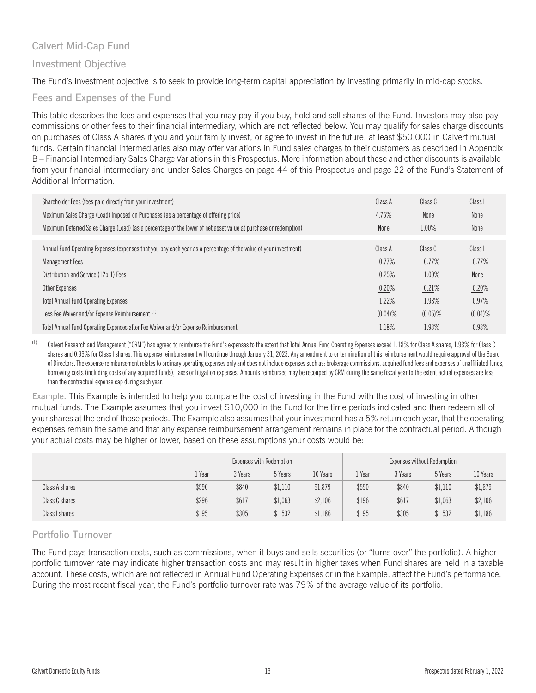## Calvert Mid-Cap Fund

## Investment Objective

The Fund's investment objective is to seek to provide long-term capital appreciation by investing primarily in mid-cap stocks.

## Fees and Expenses of the Fund

This table describes the fees and expenses that you may pay if you buy, hold and sell shares of the Fund. Investors may also pay commissions or other fees to their financial intermediary, which are not reflected below. You may qualify for sales charge discounts on purchases of Class A shares if you and your family invest, or agree to invest in the future, at least \$50,000 in Calvert mutual funds. Certain financial intermediaries also may offer variations in Fund sales charges to their customers as described in Appendix B – Financial Intermediary Sales Charge Variations in this Prospectus. More information about these and other discounts is available from your financial intermediary and under Sales Charges on page 44 of this Prospectus and page 22 of the Fund's Statement of Additional Information.

| Shareholder Fees (fees paid directly from your investment)                                                       | Class A    | Class C    | Class I    |
|------------------------------------------------------------------------------------------------------------------|------------|------------|------------|
| Maximum Sales Charge (Load) Imposed on Purchases (as a percentage of offering price)                             | 4.75%      | None       | None       |
| Maximum Deferred Sales Charge (Load) (as a percentage of the lower of net asset value at purchase or redemption) | None       | 1.00%      | None       |
|                                                                                                                  |            |            |            |
| Annual Fund Operating Expenses (expenses that you pay each year as a percentage of the value of your investment) | Class A    | Class C    | Class I    |
| <b>Management Fees</b>                                                                                           | 0.77%      | 0.77%      | 0.77%      |
| Distribution and Service (12b-1) Fees                                                                            | 0.25%      | 1.00%      | None       |
| Other Expenses                                                                                                   | 0.20%      | 0.21%      | 0.20%      |
| <b>Total Annual Fund Operating Expenses</b>                                                                      | 1.22%      | 1.98%      | 0.97%      |
| Less Fee Waiver and/or Expense Reimbursement <sup>(1)</sup>                                                      | $(0.04)$ % | $(0.05)\%$ | $(0.04)$ % |
| Total Annual Fund Operating Expenses after Fee Waiver and/or Expense Reimbursement                               | 1.18%      | 1.93%      | 0.93%      |

(1) Calvert Research and Management ("CRM") has agreed to reimburse the Fund's expenses to the extent that Total Annual Fund Operating Expenses exceed 1.18% for Class A shares, 1.93% for Class C shares and 0.93% for Class I shares. This expense reimbursement will continue through January 31, 2023. Any amendment to or termination of this reimbursement would require approval of the Board of Directors. The expense reimbursement relates to ordinary operating expenses only and does not include expenses such as: brokerage commissions, acquired fund fees and expenses of unaffiliated funds, borrowing costs (including costs of any acquired funds), taxes or litigation expenses. Amounts reimbursed may be recouped by CRM during the same fiscal year to the extent actual expenses are less than the contractual expense cap during such year.

Example. This Example is intended to help you compare the cost of investing in the Fund with the cost of investing in other mutual funds. The Example assumes that you invest \$10,000 in the Fund for the time periods indicated and then redeem all of your shares at the end of those periods. The Example also assumes that your investment has a 5% return each year, that the operating expenses remain the same and that any expense reimbursement arrangement remains in place for the contractual period. Although your actual costs may be higher or lower, based on these assumptions your costs would be:

|                | Expenses with Redemption |         |         |          |       |         | Expenses without Redemption |          |
|----------------|--------------------------|---------|---------|----------|-------|---------|-----------------------------|----------|
|                | . Year                   | 3 Years | 5 Years | 10 Years | Year  | 3 Years | 5 Years                     | 10 Years |
| Class A shares | \$590                    | \$840   | \$1,110 | \$1,879  | \$590 | \$840   | \$1,110                     | \$1,879  |
| Class C shares | \$296                    | \$617   | \$1,063 | \$2,106  | \$196 | \$617   | \$1,063                     | \$2,106  |
| Class I shares | \$95                     | \$305   | 532     | \$1,186  | \$95  | \$305   | \$532                       | \$1,186  |

# Portfolio Turnover

The Fund pays transaction costs, such as commissions, when it buys and sells securities (or "turns over" the portfolio). A higher portfolio turnover rate may indicate higher transaction costs and may result in higher taxes when Fund shares are held in a taxable account. These costs, which are not reflected in Annual Fund Operating Expenses or in the Example, affect the Fund's performance. During the most recent fiscal year, the Fund's portfolio turnover rate was 79% of the average value of its portfolio.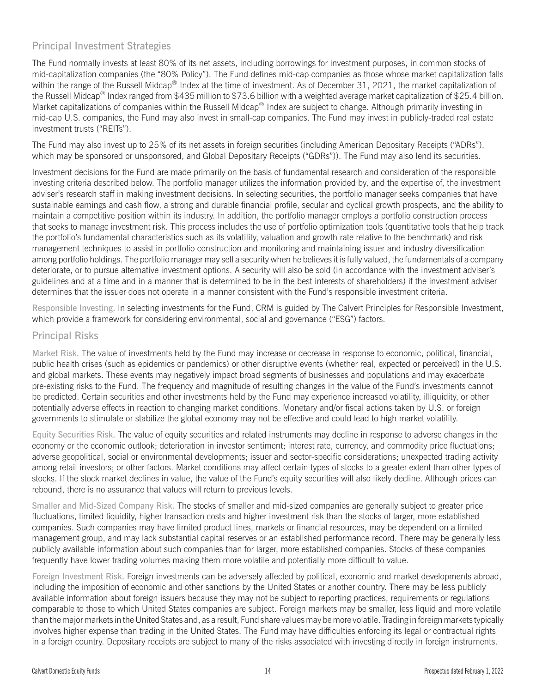# Principal Investment Strategies

The Fund normally invests at least 80% of its net assets, including borrowings for investment purposes, in common stocks of mid-capitalization companies (the "80% Policy"). The Fund defines mid-cap companies as those whose market capitalization falls within the range of the Russell Midcap® Index at the time of investment. As of December 31, 2021, the market capitalization of the Russell Midcap<sup>®</sup> Index ranged from \$435 million to \$73.6 billion with a weighted average market capitalization of \$25.4 billion. Market capitalizations of companies within the Russell Midcap® Index are subject to change. Although primarily investing in mid-cap U.S. companies, the Fund may also invest in small-cap companies. The Fund may invest in publicly-traded real estate investment trusts ("REITs").

The Fund may also invest up to 25% of its net assets in foreign securities (including American Depositary Receipts ("ADRs"), which may be sponsored or unsponsored, and Global Depositary Receipts ("GDRs")). The Fund may also lend its securities.

Investment decisions for the Fund are made primarily on the basis of fundamental research and consideration of the responsible investing criteria described below. The portfolio manager utilizes the information provided by, and the expertise of, the investment adviser's research staff in making investment decisions. In selecting securities, the portfolio manager seeks companies that have sustainable earnings and cash flow, a strong and durable financial profile, secular and cyclical growth prospects, and the ability to maintain a competitive position within its industry. In addition, the portfolio manager employs a portfolio construction process that seeks to manage investment risk. This process includes the use of portfolio optimization tools (quantitative tools that help track the portfolio's fundamental characteristics such as its volatility, valuation and growth rate relative to the benchmark) and risk management techniques to assist in portfolio construction and monitoring and maintaining issuer and industry diversification among portfolio holdings. The portfolio manager may sell a security when he believes it is fully valued, the fundamentals of a company deteriorate, or to pursue alternative investment options. A security will also be sold (in accordance with the investment adviser's guidelines and at a time and in a manner that is determined to be in the best interests of shareholders) if the investment adviser determines that the issuer does not operate in a manner consistent with the Fund's responsible investment criteria.

Responsible Investing. In selecting investments for the Fund, CRM is guided by The Calvert Principles for Responsible Investment, which provide a framework for considering environmental, social and governance ("ESG") factors.

## Principal Risks

Market Risk. The value of investments held by the Fund may increase or decrease in response to economic, political, financial, public health crises (such as epidemics or pandemics) or other disruptive events (whether real, expected or perceived) in the U.S. and global markets. These events may negatively impact broad segments of businesses and populations and may exacerbate pre-existing risks to the Fund. The frequency and magnitude of resulting changes in the value of the Fund's investments cannot be predicted. Certain securities and other investments held by the Fund may experience increased volatility, illiquidity, or other potentially adverse effects in reaction to changing market conditions. Monetary and/or fiscal actions taken by U.S. or foreign governments to stimulate or stabilize the global economy may not be effective and could lead to high market volatility.

Equity Securities Risk. The value of equity securities and related instruments may decline in response to adverse changes in the economy or the economic outlook; deterioration in investor sentiment; interest rate, currency, and commodity price fluctuations; adverse geopolitical, social or environmental developments; issuer and sector-specific considerations; unexpected trading activity among retail investors; or other factors. Market conditions may affect certain types of stocks to a greater extent than other types of stocks. If the stock market declines in value, the value of the Fund's equity securities will also likely decline. Although prices can rebound, there is no assurance that values will return to previous levels.

Smaller and Mid-Sized Company Risk. The stocks of smaller and mid-sized companies are generally subject to greater price fluctuations, limited liquidity, higher transaction costs and higher investment risk than the stocks of larger, more established companies. Such companies may have limited product lines, markets or financial resources, may be dependent on a limited management group, and may lack substantial capital reserves or an established performance record. There may be generally less publicly available information about such companies than for larger, more established companies. Stocks of these companies frequently have lower trading volumes making them more volatile and potentially more difficult to value.

Foreign Investment Risk. Foreign investments can be adversely affected by political, economic and market developments abroad, including the imposition of economic and other sanctions by the United States or another country. There may be less publicly available information about foreign issuers because they may not be subject to reporting practices, requirements or regulations comparable to those to which United States companies are subject. Foreign markets may be smaller, less liquid and more volatile than the major markets in the United States and, as a result, Fund share values may be more volatile. Trading in foreign markets typically involves higher expense than trading in the United States. The Fund may have difficulties enforcing its legal or contractual rights in a foreign country. Depositary receipts are subject to many of the risks associated with investing directly in foreign instruments.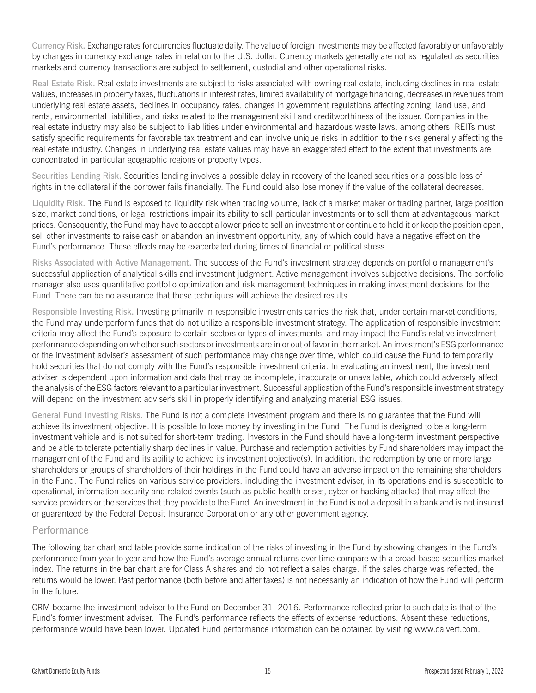Currency Risk. Exchange rates for currencies fluctuate daily. The value of foreign investments may be affected favorably or unfavorably by changes in currency exchange rates in relation to the U.S. dollar. Currency markets generally are not as regulated as securities markets and currency transactions are subject to settlement, custodial and other operational risks.

Real Estate Risk. Real estate investments are subject to risks associated with owning real estate, including declines in real estate values, increases in property taxes, fluctuations in interest rates, limited availability of mortgage financing, decreases in revenues from underlying real estate assets, declines in occupancy rates, changes in government regulations affecting zoning, land use, and rents, environmental liabilities, and risks related to the management skill and creditworthiness of the issuer. Companies in the real estate industry may also be subject to liabilities under environmental and hazardous waste laws, among others. REITs must satisfy specific requirements for favorable tax treatment and can involve unique risks in addition to the risks generally affecting the real estate industry. Changes in underlying real estate values may have an exaggerated effect to the extent that investments are concentrated in particular geographic regions or property types.

Securities Lending Risk. Securities lending involves a possible delay in recovery of the loaned securities or a possible loss of rights in the collateral if the borrower fails financially. The Fund could also lose money if the value of the collateral decreases.

Liquidity Risk. The Fund is exposed to liquidity risk when trading volume, lack of a market maker or trading partner, large position size, market conditions, or legal restrictions impair its ability to sell particular investments or to sell them at advantageous market prices. Consequently, the Fund may have to accept a lower price to sell an investment or continue to hold it or keep the position open, sell other investments to raise cash or abandon an investment opportunity, any of which could have a negative effect on the Fund's performance. These effects may be exacerbated during times of financial or political stress.

Risks Associated with Active Management. The success of the Fund's investment strategy depends on portfolio management's successful application of analytical skills and investment judgment. Active management involves subjective decisions. The portfolio manager also uses quantitative portfolio optimization and risk management techniques in making investment decisions for the Fund. There can be no assurance that these techniques will achieve the desired results.

Responsible Investing Risk. Investing primarily in responsible investments carries the risk that, under certain market conditions, the Fund may underperform funds that do not utilize a responsible investment strategy. The application of responsible investment criteria may affect the Fund's exposure to certain sectors or types of investments, and may impact the Fund's relative investment performance depending on whether such sectors or investments are in or out of favor in the market. An investment's ESG performance or the investment adviser's assessment of such performance may change over time, which could cause the Fund to temporarily hold securities that do not comply with the Fund's responsible investment criteria. In evaluating an investment, the investment adviser is dependent upon information and data that may be incomplete, inaccurate or unavailable, which could adversely affect the analysis of the ESG factors relevant to a particular investment. Successful application of the Fund's responsible investment strategy will depend on the investment adviser's skill in properly identifying and analyzing material ESG issues.

General Fund Investing Risks. The Fund is not a complete investment program and there is no guarantee that the Fund will achieve its investment objective. It is possible to lose money by investing in the Fund. The Fund is designed to be a long-term investment vehicle and is not suited for short-term trading. Investors in the Fund should have a long-term investment perspective and be able to tolerate potentially sharp declines in value. Purchase and redemption activities by Fund shareholders may impact the management of the Fund and its ability to achieve its investment objective(s). In addition, the redemption by one or more large shareholders or groups of shareholders of their holdings in the Fund could have an adverse impact on the remaining shareholders in the Fund. The Fund relies on various service providers, including the investment adviser, in its operations and is susceptible to operational, information security and related events (such as public health crises, cyber or hacking attacks) that may affect the service providers or the services that they provide to the Fund. An investment in the Fund is not a deposit in a bank and is not insured or guaranteed by the Federal Deposit Insurance Corporation or any other government agency.

#### **Performance**

The following bar chart and table provide some indication of the risks of investing in the Fund by showing changes in the Fund's performance from year to year and how the Fund's average annual returns over time compare with a broad-based securities market index. The returns in the bar chart are for Class A shares and do not reflect a sales charge. If the sales charge was reflected, the returns would be lower. Past performance (both before and after taxes) is not necessarily an indication of how the Fund will perform in the future.

CRM became the investment adviser to the Fund on December 31, 2016. Performance reflected prior to such date is that of the Fund's former investment adviser. The Fund's performance reflects the effects of expense reductions. Absent these reductions, performance would have been lower. Updated Fund performance information can be obtained by visiting [www.calvert.com.](www.calvert.com)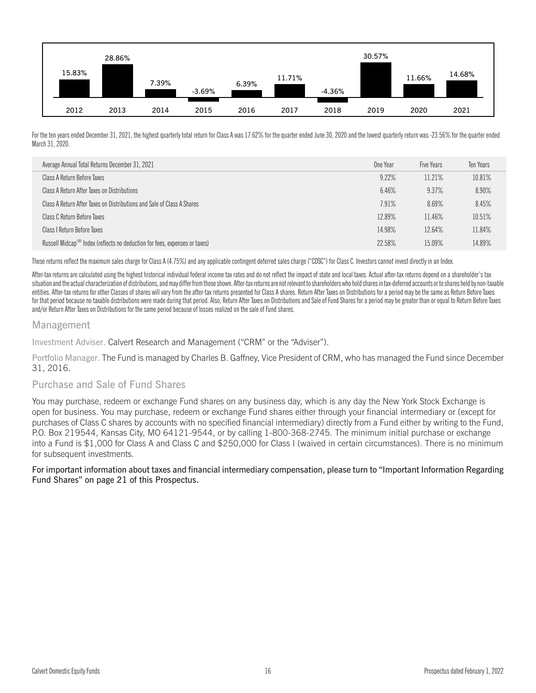

For the ten years ended December 31, 2021, the highest quarterly total return for Class A was 17.62% for the quarter ended June 30, 2020 and the lowest quarterly return was -23.56% for the quarter ended March 31, 2020.

| Average Annual Total Returns December 31, 2021                                        | One Year | Five Years | Ten Years |
|---------------------------------------------------------------------------------------|----------|------------|-----------|
| Class A Return Before Taxes                                                           | 9.22%    | 11.21%     | 10.81%    |
| Class A Return After Taxes on Distributions                                           | 6.46%    | 9.37%      | 8.90%     |
| Class A Return After Taxes on Distributions and Sale of Class A Shares                | 7.91%    | 8.69%      | 8.45%     |
| Class C Return Before Taxes                                                           | 12.89%   | 11.46%     | 10.51%    |
| Class I Return Before Taxes                                                           | 14.98%   | 12.64%     | 11.84%    |
| Russell Midcap <sup>®</sup> Index (reflects no deduction for fees, expenses or taxes) | 22.58%   | 15.09%     | 14.89%    |

These returns reflect the maximum sales charge for Class A (4.75%) and any applicable contingent deferred sales charge ("CDSC") for Class C. Investors cannot invest directly in an Index.

After-tax returns are calculated using the highest historical individual federal income tax rates and do not reflect the impact of state and local taxes. Actual after-tax returns depend on a shareholder's tax situation and the actual characterization of distributions, and may differ from those shown. After-tax returns are not relevant to shareholders who hold shares in tax-deferred accounts or to shares held by non-taxable entities. After-tax returns for other Classes of shares will vary from the after-tax returns presented for Class A shares. Return After Taxes on Distributions for a period may be the same as Return Before Taxes for that period because no taxable distributions were made during that period. Also, Return After Taxes on Distributions and Sale of Fund Shares for a period may be greater than or equal to Return Before Taxes and/or Return After Taxes on Distributions for the same period because of losses realized on the sale of Fund shares.

#### Management

Investment Adviser. Calvert Research and Management ("CRM" or the "Adviser").

Portfolio Manager. The Fund is managed by Charles B. Gaffney, Vice President of CRM, who has managed the Fund since December 31, 2016.

#### Purchase and Sale of Fund Shares

You may purchase, redeem or exchange Fund shares on any business day, which is any day the New York Stock Exchange is open for business. You may purchase, redeem or exchange Fund shares either through your financial intermediary or (except for purchases of Class C shares by accounts with no specified financial intermediary) directly from a Fund either by writing to the Fund, P.O. Box 219544, Kansas City, MO 64121-9544, or by calling 1-800-368-2745. The minimum initial purchase or exchange into a Fund is \$1,000 for Class A and Class C and \$250,000 for Class I (waived in certain circumstances). There is no minimum for subsequent investments.

#### For important information about taxes and financial intermediary compensation, please turn to "Important Information Regarding Fund Shares" on page 21 of this Prospectus.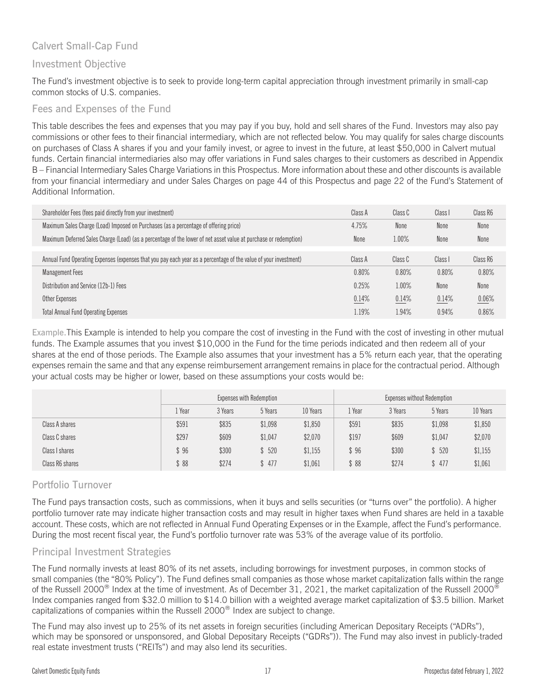## Calvert Small-Cap Fund

## Investment Objective

The Fund's investment objective is to seek to provide long-term capital appreciation through investment primarily in small-cap common stocks of U.S. companies.

#### Fees and Expenses of the Fund

This table describes the fees and expenses that you may pay if you buy, hold and sell shares of the Fund. Investors may also pay commissions or other fees to their financial intermediary, which are not reflected below. You may qualify for sales charge discounts on purchases of Class A shares if you and your family invest, or agree to invest in the future, at least \$50,000 in Calvert mutual funds. Certain financial intermediaries also may offer variations in Fund sales charges to their customers as described in Appendix B – Financial Intermediary Sales Charge Variations in this Prospectus. More information about these and other discounts is available from your financial intermediary and under Sales Charges on page 44 of this Prospectus and page 22 of the Fund's Statement of Additional Information.

| Shareholder Fees (fees paid directly from your investment)                                                       | Class A | Class C | Class I | Class R6 |
|------------------------------------------------------------------------------------------------------------------|---------|---------|---------|----------|
| Maximum Sales Charge (Load) Imposed on Purchases (as a percentage of offering price)                             | 4.75%   | None    | None    | None     |
| Maximum Deferred Sales Charge (Load) (as a percentage of the lower of net asset value at purchase or redemption) | None    | 1.00%   | None    | None     |
|                                                                                                                  |         |         |         |          |
| Annual Fund Operating Expenses (expenses that you pay each year as a percentage of the value of your investment) | Class A | Class C | Class I | Class R6 |
| <b>Management Fees</b>                                                                                           | 0.80%   | 0.80%   | 0.80%   | 0.80%    |
| Distribution and Service (12b-1) Fees                                                                            | 0.25%   | 1.00%   | None    | None     |
| Other Expenses                                                                                                   | 0.14%   | 0.14%   | 0.14%   | 0.06%    |
| <b>Total Annual Fund Operating Expenses</b>                                                                      | 1.19%   | 1.94%   | 0.94%   | 0.86%    |

Example.This Example is intended to help you compare the cost of investing in the Fund with the cost of investing in other mutual funds. The Example assumes that you invest \$10,000 in the Fund for the time periods indicated and then redeem all of your shares at the end of those periods. The Example also assumes that your investment has a 5% return each year, that the operating expenses remain the same and that any expense reimbursement arrangement remains in place for the contractual period. Although your actual costs may be higher or lower, based on these assumptions your costs would be:

|                 | Expenses with Redemption |         |         |          |       |         |         | Expenses without Redemption |  |  |
|-----------------|--------------------------|---------|---------|----------|-------|---------|---------|-----------------------------|--|--|
|                 | Year                     | 3 Years | 5 Years | 10 Years | Year  | 3 Years | 5 Years | 10 Years                    |  |  |
| Class A shares  | \$591                    | \$835   | \$1,098 | \$1,850  | \$591 | \$835   | \$1,098 | \$1,850                     |  |  |
| Class C shares  | \$297                    | \$609   | \$1,047 | \$2,070  | \$197 | \$609   | \$1,047 | \$2,070                     |  |  |
| Class I shares  | 96                       | \$300   | \$520   | \$1,155  | \$96  | \$300   | \$520   | \$1,155                     |  |  |
| Class R6 shares | $88^\circ$               | \$274   | \$477   | \$1,061  | \$88  | \$274   | \$477   | \$1,061                     |  |  |

## Portfolio Turnover

The Fund pays transaction costs, such as commissions, when it buys and sells securities (or "turns over" the portfolio). A higher portfolio turnover rate may indicate higher transaction costs and may result in higher taxes when Fund shares are held in a taxable account. These costs, which are not reflected in Annual Fund Operating Expenses or in the Example, affect the Fund's performance. During the most recent fiscal year, the Fund's portfolio turnover rate was 53% of the average value of its portfolio.

## Principal Investment Strategies

The Fund normally invests at least 80% of its net assets, including borrowings for investment purposes, in common stocks of small companies (the "80% Policy"). The Fund defines small companies as those whose market capitalization falls within the range of the Russell 2000<sup>®</sup> Index at the time of investment. As of December 31, 2021, the market capitalization of the Russell 2000<sup>®</sup> Index companies ranged from \$32.0 million to \$14.0 billion with a weighted average market capitalization of \$3.5 billion. Market capitalizations of companies within the Russell 2000® Index are subject to change.

The Fund may also invest up to 25% of its net assets in foreign securities (including American Depositary Receipts ("ADRs"), which may be sponsored or unsponsored, and Global Depositary Receipts ("GDRs")). The Fund may also invest in publicly-traded real estate investment trusts ("REITs") and may also lend its securities.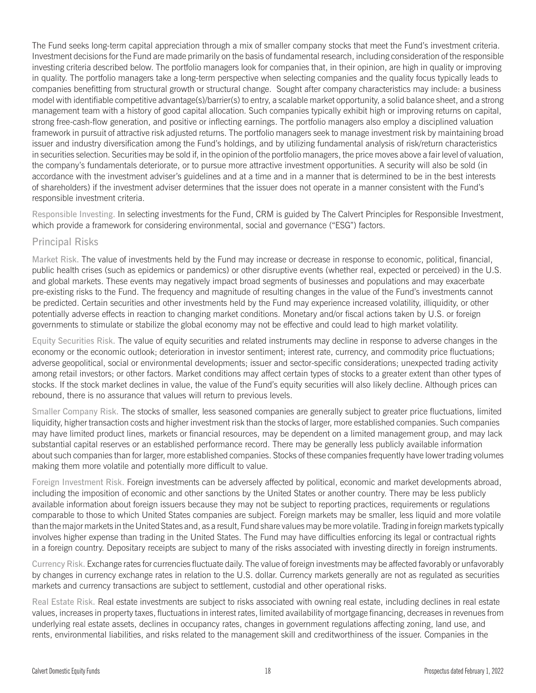The Fund seeks long-term capital appreciation through a mix of smaller company stocks that meet the Fund's investment criteria. Investment decisions for the Fund are made primarily on the basis of fundamental research, including consideration of the responsible investing criteria described below. The portfolio managers look for companies that, in their opinion, are high in quality or improving in quality. The portfolio managers take a long-term perspective when selecting companies and the quality focus typically leads to companies benefitting from structural growth or structural change. Sought after company characteristics may include: a business model with identifiable competitive advantage(s)/barrier(s) to entry, a scalable market opportunity, a solid balance sheet, and a strong management team with a history of good capital allocation. Such companies typically exhibit high or improving returns on capital, strong free-cash-flow generation, and positive or inflecting earnings. The portfolio managers also employ a disciplined valuation framework in pursuit of attractive risk adjusted returns. The portfolio managers seek to manage investment risk by maintaining broad issuer and industry diversification among the Fund's holdings, and by utilizing fundamental analysis of risk/return characteristics in securities selection. Securities may be sold if, in the opinion of the portfolio managers, the price moves above a fair level of valuation, the company's fundamentals deteriorate, or to pursue more attractive investment opportunities. A security will also be sold (in accordance with the investment adviser's guidelines and at a time and in a manner that is determined to be in the best interests of shareholders) if the investment adviser determines that the issuer does not operate in a manner consistent with the Fund's responsible investment criteria.

Responsible Investing. In selecting investments for the Fund, CRM is guided by The Calvert Principles for Responsible Investment, which provide a framework for considering environmental, social and governance ("ESG") factors.

## Principal Risks

Market Risk. The value of investments held by the Fund may increase or decrease in response to economic, political, financial, public health crises (such as epidemics or pandemics) or other disruptive events (whether real, expected or perceived) in the U.S. and global markets. These events may negatively impact broad segments of businesses and populations and may exacerbate pre-existing risks to the Fund. The frequency and magnitude of resulting changes in the value of the Fund's investments cannot be predicted. Certain securities and other investments held by the Fund may experience increased volatility, illiquidity, or other potentially adverse effects in reaction to changing market conditions. Monetary and/or fiscal actions taken by U.S. or foreign governments to stimulate or stabilize the global economy may not be effective and could lead to high market volatility.

Equity Securities Risk. The value of equity securities and related instruments may decline in response to adverse changes in the economy or the economic outlook; deterioration in investor sentiment; interest rate, currency, and commodity price fluctuations; adverse geopolitical, social or environmental developments; issuer and sector-specific considerations; unexpected trading activity among retail investors; or other factors. Market conditions may affect certain types of stocks to a greater extent than other types of stocks. If the stock market declines in value, the value of the Fund's equity securities will also likely decline. Although prices can rebound, there is no assurance that values will return to previous levels.

Smaller Company Risk. The stocks of smaller, less seasoned companies are generally subject to greater price fluctuations, limited liquidity, higher transaction costs and higher investment risk than the stocks of larger, more established companies. Such companies may have limited product lines, markets or financial resources, may be dependent on a limited management group, and may lack substantial capital reserves or an established performance record. There may be generally less publicly available information about such companies than for larger, more established companies. Stocks of these companies frequently have lower trading volumes making them more volatile and potentially more difficult to value.

Foreign Investment Risk. Foreign investments can be adversely affected by political, economic and market developments abroad, including the imposition of economic and other sanctions by the United States or another country. There may be less publicly available information about foreign issuers because they may not be subject to reporting practices, requirements or regulations comparable to those to which United States companies are subject. Foreign markets may be smaller, less liquid and more volatile than the major markets in the United States and, as a result, Fund share values may be more volatile. Trading in foreign markets typically involves higher expense than trading in the United States. The Fund may have difficulties enforcing its legal or contractual rights in a foreign country. Depositary receipts are subject to many of the risks associated with investing directly in foreign instruments.

Currency Risk. Exchange rates for currencies fluctuate daily. The value of foreign investments may be affected favorably or unfavorably by changes in currency exchange rates in relation to the U.S. dollar. Currency markets generally are not as regulated as securities markets and currency transactions are subject to settlement, custodial and other operational risks.

Real Estate Risk. Real estate investments are subject to risks associated with owning real estate, including declines in real estate values, increases in property taxes, fluctuations in interest rates, limited availability of mortgage financing, decreases in revenues from underlying real estate assets, declines in occupancy rates, changes in government regulations affecting zoning, land use, and rents, environmental liabilities, and risks related to the management skill and creditworthiness of the issuer. Companies in the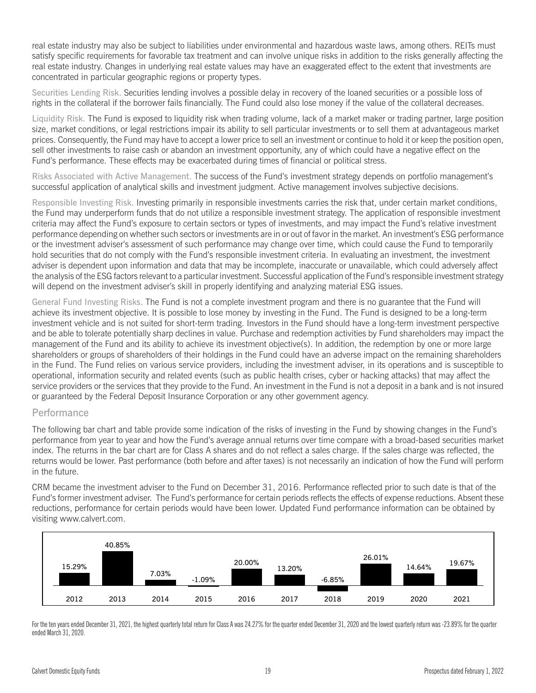real estate industry may also be subject to liabilities under environmental and hazardous waste laws, among others. REITs must satisfy specific requirements for favorable tax treatment and can involve unique risks in addition to the risks generally affecting the real estate industry. Changes in underlying real estate values may have an exaggerated effect to the extent that investments are concentrated in particular geographic regions or property types.

Securities Lending Risk. Securities lending involves a possible delay in recovery of the loaned securities or a possible loss of rights in the collateral if the borrower fails financially. The Fund could also lose money if the value of the collateral decreases.

Liquidity Risk. The Fund is exposed to liquidity risk when trading volume, lack of a market maker or trading partner, large position size, market conditions, or legal restrictions impair its ability to sell particular investments or to sell them at advantageous market prices. Consequently, the Fund may have to accept a lower price to sell an investment or continue to hold it or keep the position open, sell other investments to raise cash or abandon an investment opportunity, any of which could have a negative effect on the Fund's performance. These effects may be exacerbated during times of financial or political stress.

Risks Associated with Active Management. The success of the Fund's investment strategy depends on portfolio management's successful application of analytical skills and investment judgment. Active management involves subjective decisions.

Responsible Investing Risk. Investing primarily in responsible investments carries the risk that, under certain market conditions, the Fund may underperform funds that do not utilize a responsible investment strategy. The application of responsible investment criteria may affect the Fund's exposure to certain sectors or types of investments, and may impact the Fund's relative investment performance depending on whether such sectors or investments are in or out of favor in the market. An investment's ESG performance or the investment adviser's assessment of such performance may change over time, which could cause the Fund to temporarily hold securities that do not comply with the Fund's responsible investment criteria. In evaluating an investment, the investment adviser is dependent upon information and data that may be incomplete, inaccurate or unavailable, which could adversely affect the analysis of the ESG factors relevant to a particular investment. Successful application of the Fund's responsible investment strategy will depend on the investment adviser's skill in properly identifying and analyzing material ESG issues.

General Fund Investing Risks. The Fund is not a complete investment program and there is no guarantee that the Fund will achieve its investment objective. It is possible to lose money by investing in the Fund. The Fund is designed to be a long-term investment vehicle and is not suited for short-term trading. Investors in the Fund should have a long-term investment perspective and be able to tolerate potentially sharp declines in value. Purchase and redemption activities by Fund shareholders may impact the management of the Fund and its ability to achieve its investment objective(s). In addition, the redemption by one or more large shareholders or groups of shareholders of their holdings in the Fund could have an adverse impact on the remaining shareholders in the Fund. The Fund relies on various service providers, including the investment adviser, in its operations and is susceptible to operational, information security and related events (such as public health crises, cyber or hacking attacks) that may affect the service providers or the services that they provide to the Fund. An investment in the Fund is not a deposit in a bank and is not insured or guaranteed by the Federal Deposit Insurance Corporation or any other government agency.

#### **Performance**

The following bar chart and table provide some indication of the risks of investing in the Fund by showing changes in the Fund's performance from year to year and how the Fund's average annual returns over time compare with a broad-based securities market index. The returns in the bar chart are for Class A shares and do not reflect a sales charge. If the sales charge was reflected, the returns would be lower. Past performance (both before and after taxes) is not necessarily an indication of how the Fund will perform in the future.

CRM became the investment adviser to the Fund on December 31, 2016. Performance reflected prior to such date is that of the Fund's former investment adviser. The Fund's performance for certain periods reflects the effects of expense reductions. Absent these reductions, performance for certain periods would have been lower. Updated Fund performance information can be obtained by visiting [www.calvert.com.](www.calvert.com)



For the ten years ended December 31, 2021, the highest quarterly total return for Class A was 24.27% for the quarter ended December 31, 2020 and the lowest quarterly return was -23.89% for the quarter ended March 31, 2020.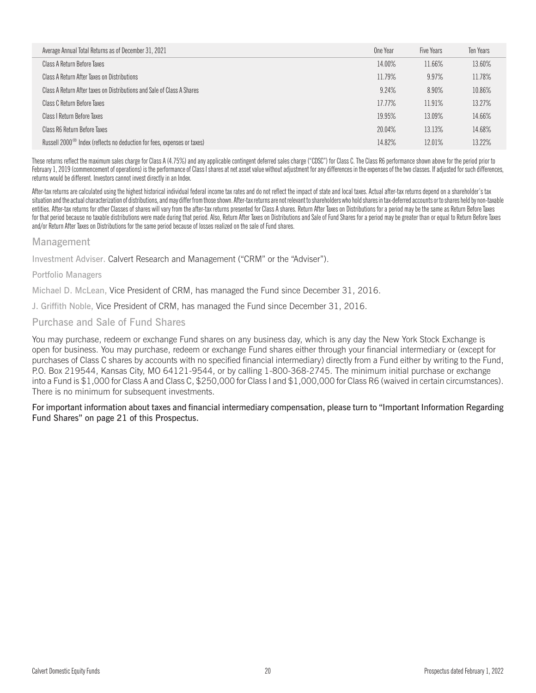| Average Annual Total Returns as of December 31, 2021                                | One Year | Five Years | Ten Years |
|-------------------------------------------------------------------------------------|----------|------------|-----------|
| Class A Return Before Taxes                                                         | 14.00%   | 11.66%     | 13.60%    |
| Class A Return After Taxes on Distributions                                         | 11.79%   | 9.97%      | 11.78%    |
| Class A Return After taxes on Distributions and Sale of Class A Shares              | 9.24%    | 8.90%      | 10.86%    |
| Class C Return Before Taxes                                                         | 17.77%   | 11.91%     | 13.27%    |
| Class I Return Before Taxes                                                         | 19.95%   | 13.09%     | 14.66%    |
| Class R6 Return Before Taxes                                                        | 20.04%   | 13.13%     | 14.68%    |
| Russell 2000 <sup>®</sup> Index (reflects no deduction for fees, expenses or taxes) | 14.82%   | 12.01%     | 13.22%    |

These returns reflect the maximum sales charge for Class A (4.75%) and any applicable contingent deferred sales charge ("CDSC") for Class C. The Class R6 performance shown above for the period prior to February 1, 2019 (commencement of operations) is the performance of Class I shares at net asset value without adjustment for any differences in the expenses of the two classes. If adjusted for such differences, returns would be different. Investors cannot invest directly in an Index.

After-tax returns are calculated using the highest historical individual federal income tax rates and do not reflect the impact of state and local taxes. Actual after-tax returns depend on a shareholder's tax situation and the actual characterization of distributions, and may differ from those shown. After-taxreturns are notrelevant to shareholders whohold shares in tax-deferred accounts or to shares held by non-taxable entities. After-tax returns for other Classes of shares will vary from the after-tax returns presented for Class A shares. Return After Taxes on Distributions for a period may be the same as Return Before Taxes for that period because no taxable distributions were made during that period. Also, Return After Taxes on Distributions and Sale of Fund Shares for a period may be greater than or equal to Return Before Taxes and/or Return After Taxes on Distributions for the same period because of losses realized on the sale of Fund shares.

#### Management

Investment Adviser. Calvert Research and Management ("CRM" or the "Adviser").

#### Portfolio Managers

Michael D. McLean, Vice President of CRM, has managed the Fund since December 31, 2016.

J. Griffith Noble, Vice President of CRM, has managed the Fund since December 31, 2016.

#### Purchase and Sale of Fund Shares

You may purchase, redeem or exchange Fund shares on any business day, which is any day the New York Stock Exchange is open for business. You may purchase, redeem or exchange Fund shares either through your financial intermediary or (except for purchases of Class C shares by accounts with no specified financial intermediary) directly from a Fund either by writing to the Fund, P.O. Box 219544, Kansas City, MO 64121-9544, or by calling 1-800-368-2745. The minimum initial purchase or exchange into a Fund is \$1,000 for Class A and Class C, \$250,000 for Class I and \$1,000,000 for Class R6 (waived in certain circumstances). There is no minimum for subsequent investments.

For important information about taxes and financial intermediary compensation, please turn to "Important Information Regarding Fund Shares" on page 21 of this Prospectus.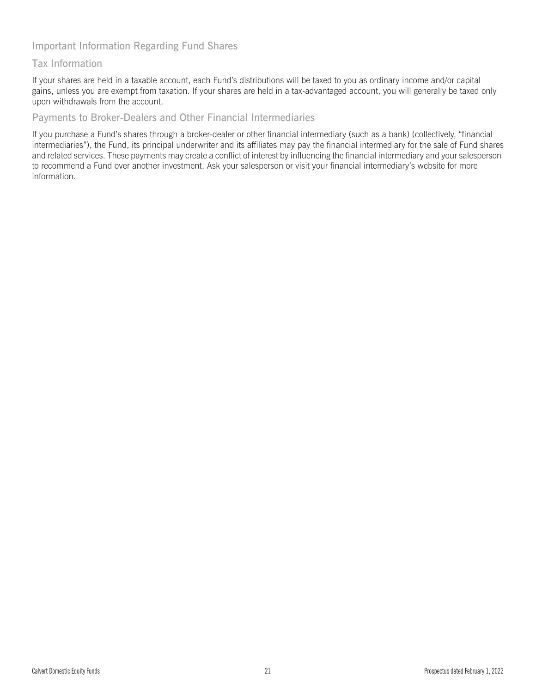## Important Information Regarding Fund Shares

## Tax Information

If your shares are held in a taxable account, each Fund's distributions will be taxed to you as ordinary income and/or capital gains, unless you are exempt from taxation. If your shares are held in a tax-advantaged account, you will generally be taxed only upon withdrawals from the account.

#### Payments to Broker-Dealers and Other Financial Intermediaries

If you purchase a Fund's shares through a broker-dealer or other financial intermediary (such as a bank) (collectively, "financial intermediaries"), the Fund, its principal underwriter and its affiliates may pay the financial intermediary for the sale of Fund shares and related services. These payments may create a conflict of interest by influencing the financial intermediary and your salesperson to recommend a Fund over another investment. Ask your salesperson or visit your financial intermediary's website for more information.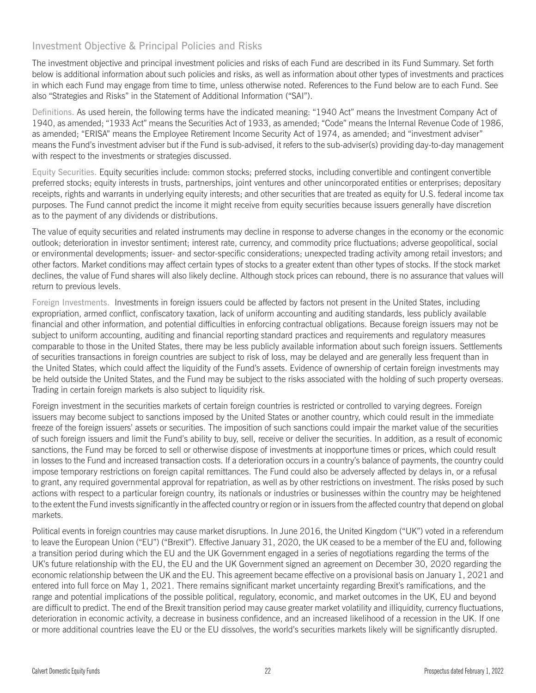## Investment Objective & Principal Policies and Risks

The investment objective and principal investment policies and risks of each Fund are described in its Fund Summary. Set forth below is additional information about such policies and risks, as well as information about other types of investments and practices in which each Fund may engage from time to time, unless otherwise noted. References to the Fund below are to each Fund. See also "Strategies and Risks" in the Statement of Additional Information ("SAI").

Definitions. As used herein, the following terms have the indicated meaning: "1940 Act" means the Investment Company Act of 1940, as amended; "1933 Act" means the Securities Act of 1933, as amended; "Code" means the Internal Revenue Code of 1986, as amended; "ERISA" means the Employee Retirement Income Security Act of 1974, as amended; and "investment adviser" means the Fund's investment adviser but if the Fund is sub-advised, it refers to the sub-adviser(s) providing day-to-day management with respect to the investments or strategies discussed.

Equity Securities. Equity securities include: common stocks; preferred stocks, including convertible and contingent convertible preferred stocks; equity interests in trusts, partnerships, joint ventures and other unincorporated entities or enterprises; depositary receipts, rights and warrants in underlying equity interests; and other securities that are treated as equity for U.S. federal income tax purposes. The Fund cannot predict the income it might receive from equity securities because issuers generally have discretion as to the payment of any dividends or distributions.

The value of equity securities and related instruments may decline in response to adverse changes in the economy or the economic outlook; deterioration in investor sentiment; interest rate, currency, and commodity price fluctuations; adverse geopolitical, social or environmental developments; issuer- and sector-specific considerations; unexpected trading activity among retail investors; and other factors. Market conditions may affect certain types of stocks to a greater extent than other types of stocks. If the stock market declines, the value of Fund shares will also likely decline. Although stock prices can rebound, there is no assurance that values will return to previous levels.

Foreign Investments. Investments in foreign issuers could be affected by factors not present in the United States, including expropriation, armed conflict, confiscatory taxation, lack of uniform accounting and auditing standards, less publicly available financial and other information, and potential difficulties in enforcing contractual obligations. Because foreign issuers may not be subject to uniform accounting, auditing and financial reporting standard practices and requirements and regulatory measures comparable to those in the United States, there may be less publicly available information about such foreign issuers. Settlements of securities transactions in foreign countries are subject to risk of loss, may be delayed and are generally less frequent than in the United States, which could affect the liquidity of the Fund's assets. Evidence of ownership of certain foreign investments may be held outside the United States, and the Fund may be subject to the risks associated with the holding of such property overseas. Trading in certain foreign markets is also subject to liquidity risk.

Foreign investment in the securities markets of certain foreign countries is restricted or controlled to varying degrees. Foreign issuers may become subject to sanctions imposed by the United States or another country, which could result in the immediate freeze of the foreign issuers' assets or securities. The imposition of such sanctions could impair the market value of the securities of such foreign issuers and limit the Fund's ability to buy, sell, receive or deliver the securities. In addition, as a result of economic sanctions, the Fund may be forced to sell or otherwise dispose of investments at inopportune times or prices, which could result in losses to the Fund and increased transaction costs. If a deterioration occurs in a country's balance of payments, the country could impose temporary restrictions on foreign capital remittances. The Fund could also be adversely affected by delays in, or a refusal to grant, any required governmental approval for repatriation, as well as by other restrictions on investment. The risks posed by such actions with respect to a particular foreign country, its nationals or industries or businesses within the country may be heightened to the extent the Fund invests significantly in the affected country or region or in issuers from the affected country that depend on global markets.

Political events in foreign countries may cause market disruptions. In June 2016, the United Kingdom ("UK") voted in a referendum to leave the European Union ("EU") ("Brexit"). Effective January 31, 2020, the UK ceased to be a member of the EU and, following a transition period during which the EU and the UK Government engaged in a series of negotiations regarding the terms of the UK's future relationship with the EU, the EU and the UK Government signed an agreement on December 30, 2020 regarding the economic relationship between the UK and the EU. This agreement became effective on a provisional basis on January 1, 2021 and entered into full force on May 1, 2021. There remains significant market uncertainty regarding Brexit's ramifications, and the range and potential implications of the possible political, regulatory, economic, and market outcomes in the UK, EU and beyond are difficult to predict. The end of the Brexit transition period may cause greater market volatility and illiquidity, currency fluctuations, deterioration in economic activity, a decrease in business confidence, and an increased likelihood of a recession in the UK. If one or more additional countries leave the EU or the EU dissolves, the world's securities markets likely will be significantly disrupted.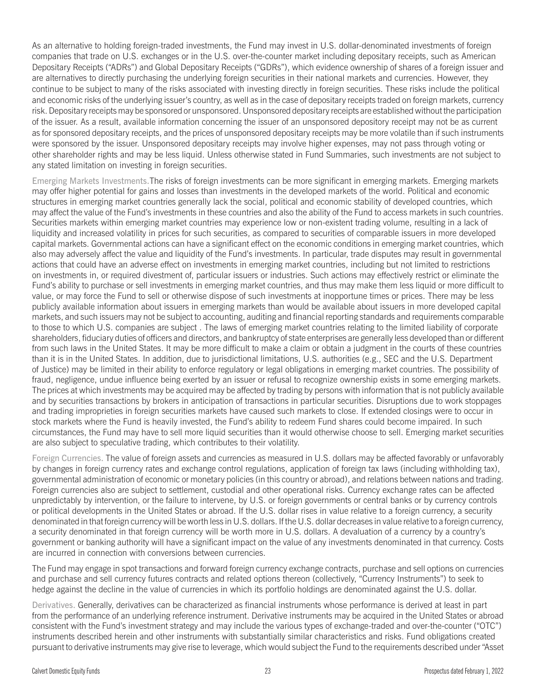As an alternative to holding foreign-traded investments, the Fund may invest in U.S. dollar-denominated investments of foreign companies that trade on U.S. exchanges or in the U.S. over-the-counter market including depositary receipts, such as American Depositary Receipts ("ADRs") and Global Depositary Receipts ("GDRs"), which evidence ownership of shares of a foreign issuer and are alternatives to directly purchasing the underlying foreign securities in their national markets and currencies. However, they continue to be subject to many of the risks associated with investing directly in foreign securities. These risks include the political and economic risks of the underlying issuer's country, as well as in the case of depositary receipts traded on foreign markets, currency risk. Depositary receipts may be sponsored or unsponsored. Unsponsored depositary receipts are established without the participation of the issuer. As a result, available information concerning the issuer of an unsponsored depository receipt may not be as current as for sponsored depositary receipts, and the prices of unsponsored depositary receipts may be more volatile than if such instruments were sponsored by the issuer. Unsponsored depositary receipts may involve higher expenses, may not pass through voting or other shareholder rights and may be less liquid. Unless otherwise stated in Fund Summaries, such investments are not subject to any stated limitation on investing in foreign securities.

Emerging Markets Investments.The risks of foreign investments can be more significant in emerging markets. Emerging markets may offer higher potential for gains and losses than investments in the developed markets of the world. Political and economic structures in emerging market countries generally lack the social, political and economic stability of developed countries, which may affect the value of the Fund's investments in these countries and also the ability of the Fund to access markets in such countries. Securities markets within emerging market countries may experience low or non-existent trading volume, resulting in a lack of liquidity and increased volatility in prices for such securities, as compared to securities of comparable issuers in more developed capital markets. Governmental actions can have a significant effect on the economic conditions in emerging market countries, which also may adversely affect the value and liquidity of the Fund's investments. In particular, trade disputes may result in governmental actions that could have an adverse effect on investments in emerging market countries, including but not limited to restrictions on investments in, or required divestment of, particular issuers or industries. Such actions may effectively restrict or eliminate the Fund's ability to purchase or sell investments in emerging market countries, and thus may make them less liquid or more difficult to value, or may force the Fund to sell or otherwise dispose of such investments at inopportune times or prices. There may be less publicly available information about issuers in emerging markets than would be available about issuers in more developed capital markets, and such issuers may not be subject to accounting, auditing and financial reporting standards and requirements comparable to those to which U.S. companies are subject . The laws of emerging market countries relating to the limited liability of corporate shareholders, fiduciary duties of officers and directors, and bankruptcy of state enterprises are generally less developed than or different from such laws in the United States. It may be more difficult to make a claim or obtain a judgment in the courts of these countries than it is in the United States. In addition, due to jurisdictional limitations, U.S. authorities (e.g., SEC and the U.S. Department of Justice) may be limited in their ability to enforce regulatory or legal obligations in emerging market countries. The possibility of fraud, negligence, undue influence being exerted by an issuer or refusal to recognize ownership exists in some emerging markets. The prices at which investments may be acquired may be affected by trading by persons with information that is not publicly available and by securities transactions by brokers in anticipation of transactions in particular securities. Disruptions due to work stoppages and trading improprieties in foreign securities markets have caused such markets to close. If extended closings were to occur in stock markets where the Fund is heavily invested, the Fund's ability to redeem Fund shares could become impaired. In such circumstances, the Fund may have to sell more liquid securities than it would otherwise choose to sell. Emerging market securities are also subject to speculative trading, which contributes to their volatility.

Foreign Currencies. The value of foreign assets and currencies as measured in U.S. dollars may be affected favorably or unfavorably by changes in foreign currency rates and exchange control regulations, application of foreign tax laws (including withholding tax), governmental administration of economic or monetary policies (in this country or abroad), and relations between nations and trading. Foreign currencies also are subject to settlement, custodial and other operational risks. Currency exchange rates can be affected unpredictably by intervention, or the failure to intervene, by U.S. or foreign governments or central banks or by currency controls or political developments in the United States or abroad. If the U.S. dollar rises in value relative to a foreign currency, a security denominated in that foreign currency will be worth less in U.S. dollars. If the U.S. dollar decreases in value relative to a foreign currency, a security denominated in that foreign currency will be worth more in U.S. dollars. A devaluation of a currency by a country's government or banking authority will have a significant impact on the value of any investments denominated in that currency. Costs are incurred in connection with conversions between currencies.

The Fund may engage in spot transactions and forward foreign currency exchange contracts, purchase and sell options on currencies and purchase and sell currency futures contracts and related options thereon (collectively, "Currency Instruments") to seek to hedge against the decline in the value of currencies in which its portfolio holdings are denominated against the U.S. dollar.

Derivatives. Generally, derivatives can be characterized as financial instruments whose performance is derived at least in part from the performance of an underlying reference instrument. Derivative instruments may be acquired in the United States or abroad consistent with the Fund's investment strategy and may include the various types of exchange-traded and over-the-counter ("OTC") instruments described herein and other instruments with substantially similar characteristics and risks. Fund obligations created pursuant to derivative instruments may give rise to leverage, which would subject the Fund to the requirements described under "Asset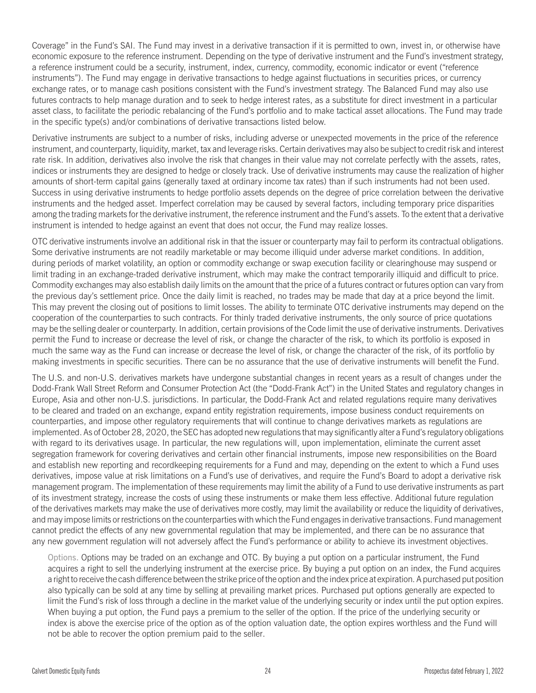Coverage" in the Fund's SAI. The Fund may invest in a derivative transaction if it is permitted to own, invest in, or otherwise have economic exposure to the reference instrument. Depending on the type of derivative instrument and the Fund's investment strategy, a reference instrument could be a security, instrument, index, currency, commodity, economic indicator or event ("reference instruments"). The Fund may engage in derivative transactions to hedge against fluctuations in securities prices, or currency exchange rates, or to manage cash positions consistent with the Fund's investment strategy. The Balanced Fund may also use futures contracts to help manage duration and to seek to hedge interest rates, as a substitute for direct investment in a particular asset class, to facilitate the periodic rebalancing of the Fund's portfolio and to make tactical asset allocations. The Fund may trade in the specific type(s) and/or combinations of derivative transactions listed below.

Derivative instruments are subject to a number of risks, including adverse or unexpected movements in the price of the reference instrument, and counterparty, liquidity, market, tax and leverage risks. Certain derivatives may also be subject to credit risk and interest rate risk. In addition, derivatives also involve the risk that changes in their value may not correlate perfectly with the assets, rates, indices or instruments they are designed to hedge or closely track. Use of derivative instruments may cause the realization of higher amounts of short-term capital gains (generally taxed at ordinary income tax rates) than if such instruments had not been used. Success in using derivative instruments to hedge portfolio assets depends on the degree of price correlation between the derivative instruments and the hedged asset. Imperfect correlation may be caused by several factors, including temporary price disparities among the trading markets for the derivative instrument, the reference instrument and the Fund's assets. To the extent that a derivative instrument is intended to hedge against an event that does not occur, the Fund may realize losses.

OTC derivative instruments involve an additional risk in that the issuer or counterparty may fail to perform its contractual obligations. Some derivative instruments are not readily marketable or may become illiquid under adverse market conditions. In addition, during periods of market volatility, an option or commodity exchange or swap execution facility or clearinghouse may suspend or limit trading in an exchange-traded derivative instrument, which may make the contract temporarily illiquid and difficult to price. Commodity exchanges may also establish daily limits on the amount that the price of a futures contract or futures option can vary from the previous day's settlement price. Once the daily limit is reached, no trades may be made that day at a price beyond the limit. This may prevent the closing out of positions to limit losses. The ability to terminate OTC derivative instruments may depend on the cooperation of the counterparties to such contracts. For thinly traded derivative instruments, the only source of price quotations may be the selling dealer or counterparty. In addition, certain provisions of the Code limit the use of derivative instruments. Derivatives permit the Fund to increase or decrease the level of risk, or change the character of the risk, to which its portfolio is exposed in much the same way as the Fund can increase or decrease the level of risk, or change the character of the risk, of its portfolio by making investments in specific securities. There can be no assurance that the use of derivative instruments will benefit the Fund.

The U.S. and non-U.S. derivatives markets have undergone substantial changes in recent years as a result of changes under the Dodd-Frank Wall Street Reform and Consumer Protection Act (the "Dodd-Frank Act") in the United States and regulatory changes in Europe, Asia and other non-U.S. jurisdictions. In particular, the Dodd-Frank Act and related regulations require many derivatives to be cleared and traded on an exchange, expand entity registration requirements, impose business conduct requirements on counterparties, and impose other regulatory requirements that will continue to change derivatives markets as regulations are implemented. As of October 28, 2020, the SEC has adopted new regulations that may significantly alter a Fund's regulatory obligations with regard to its derivatives usage. In particular, the new regulations will, upon implementation, eliminate the current asset segregation framework for covering derivatives and certain other financial instruments, impose new responsibilities on the Board and establish new reporting and recordkeeping requirements for a Fund and may, depending on the extent to which a Fund uses derivatives, impose value at risk limitations on a Fund's use of derivatives, and require the Fund's Board to adopt a derivative risk management program. The implementation of these requirements may limit the ability of a Fund to use derivative instruments as part of its investment strategy, increase the costs of using these instruments or make them less effective. Additional future regulation of the derivatives markets may make the use of derivatives more costly, may limit the availability or reduce the liquidity of derivatives, and may impose limits or restrictions on the counterparties with which the Fund engages in derivative transactions. Fund management cannot predict the effects of any new governmental regulation that may be implemented, and there can be no assurance that any new government regulation will not adversely affect the Fund's performance or ability to achieve its investment objectives.

Options. Options may be traded on an exchange and OTC. By buying a put option on a particular instrument, the Fund acquires a right to sell the underlying instrument at the exercise price. By buying a put option on an index, the Fund acquires a right to receive the cash difference between the strike price of the option and the index price at expiration. A purchased put position also typically can be sold at any time by selling at prevailing market prices. Purchased put options generally are expected to limit the Fund's risk of loss through a decline in the market value of the underlying security or index until the put option expires. When buying a put option, the Fund pays a premium to the seller of the option. If the price of the underlying security or index is above the exercise price of the option as of the option valuation date, the option expires worthless and the Fund will not be able to recover the option premium paid to the seller.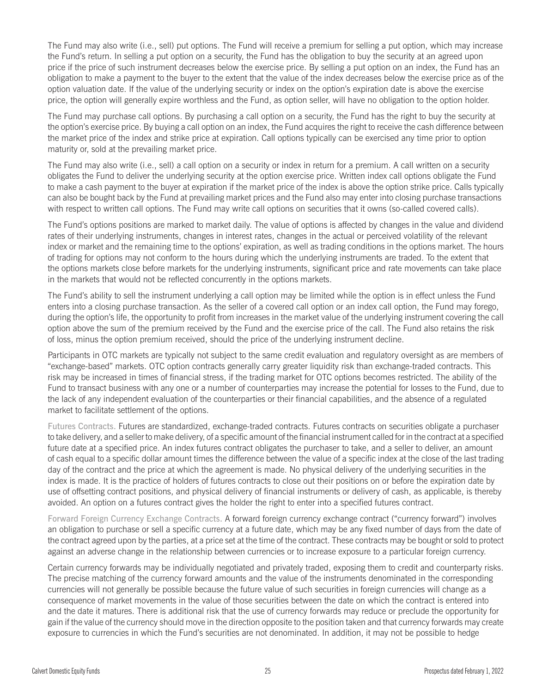The Fund may also write (i.e., sell) put options. The Fund will receive a premium for selling a put option, which may increase the Fund's return. In selling a put option on a security, the Fund has the obligation to buy the security at an agreed upon price if the price of such instrument decreases below the exercise price. By selling a put option on an index, the Fund has an obligation to make a payment to the buyer to the extent that the value of the index decreases below the exercise price as of the option valuation date. If the value of the underlying security or index on the option's expiration date is above the exercise price, the option will generally expire worthless and the Fund, as option seller, will have no obligation to the option holder.

The Fund may purchase call options. By purchasing a call option on a security, the Fund has the right to buy the security at the option's exercise price. By buying a call option on an index, the Fund acquires the right to receive the cash difference between the market price of the index and strike price at expiration. Call options typically can be exercised any time prior to option maturity or, sold at the prevailing market price.

The Fund may also write (i.e., sell) a call option on a security or index in return for a premium. A call written on a security obligates the Fund to deliver the underlying security at the option exercise price. Written index call options obligate the Fund to make a cash payment to the buyer at expiration if the market price of the index is above the option strike price. Calls typically can also be bought back by the Fund at prevailing market prices and the Fund also may enter into closing purchase transactions with respect to written call options. The Fund may write call options on securities that it owns (so-called covered calls).

The Fund's options positions are marked to market daily. The value of options is affected by changes in the value and dividend rates of their underlying instruments, changes in interest rates, changes in the actual or perceived volatility of the relevant index or market and the remaining time to the options' expiration, as well as trading conditions in the options market. The hours of trading for options may not conform to the hours during which the underlying instruments are traded. To the extent that the options markets close before markets for the underlying instruments, significant price and rate movements can take place in the markets that would not be reflected concurrently in the options markets.

The Fund's ability to sell the instrument underlying a call option may be limited while the option is in effect unless the Fund enters into a closing purchase transaction. As the seller of a covered call option or an index call option, the Fund may forego, during the option's life, the opportunity to profit from increases in the market value of the underlying instrument covering the call option above the sum of the premium received by the Fund and the exercise price of the call. The Fund also retains the risk of loss, minus the option premium received, should the price of the underlying instrument decline.

Participants in OTC markets are typically not subject to the same credit evaluation and regulatory oversight as are members of "exchange-based" markets. OTC option contracts generally carry greater liquidity risk than exchange-traded contracts. This risk may be increased in times of financial stress, if the trading market for OTC options becomes restricted. The ability of the Fund to transact business with any one or a number of counterparties may increase the potential for losses to the Fund, due to the lack of any independent evaluation of the counterparties or their financial capabilities, and the absence of a regulated market to facilitate settlement of the options.

Futures Contracts. Futures are standardized, exchange-traded contracts. Futures contracts on securities obligate a purchaser to take delivery, and a seller to make delivery, of a specific amount of the financial instrument called for in the contract at a specified future date at a specified price. An index futures contract obligates the purchaser to take, and a seller to deliver, an amount of cash equal to a specific dollar amount times the difference between the value of a specific index at the close of the last trading day of the contract and the price at which the agreement is made. No physical delivery of the underlying securities in the index is made. It is the practice of holders of futures contracts to close out their positions on or before the expiration date by use of offsetting contract positions, and physical delivery of financial instruments or delivery of cash, as applicable, is thereby avoided. An option on a futures contract gives the holder the right to enter into a specified futures contract.

Forward Foreign Currency Exchange Contracts. A forward foreign currency exchange contract ("currency forward") involves an obligation to purchase or sell a specific currency at a future date, which may be any fixed number of days from the date of the contract agreed upon by the parties, at a price set at the time of the contract. These contracts may be bought or sold to protect against an adverse change in the relationship between currencies or to increase exposure to a particular foreign currency.

Certain currency forwards may be individually negotiated and privately traded, exposing them to credit and counterparty risks. The precise matching of the currency forward amounts and the value of the instruments denominated in the corresponding currencies will not generally be possible because the future value of such securities in foreign currencies will change as a consequence of market movements in the value of those securities between the date on which the contract is entered into and the date it matures. There is additional risk that the use of currency forwards may reduce or preclude the opportunity for gain if the value of the currency should move in the direction opposite to the position taken and that currency forwards may create exposure to currencies in which the Fund's securities are not denominated. In addition, it may not be possible to hedge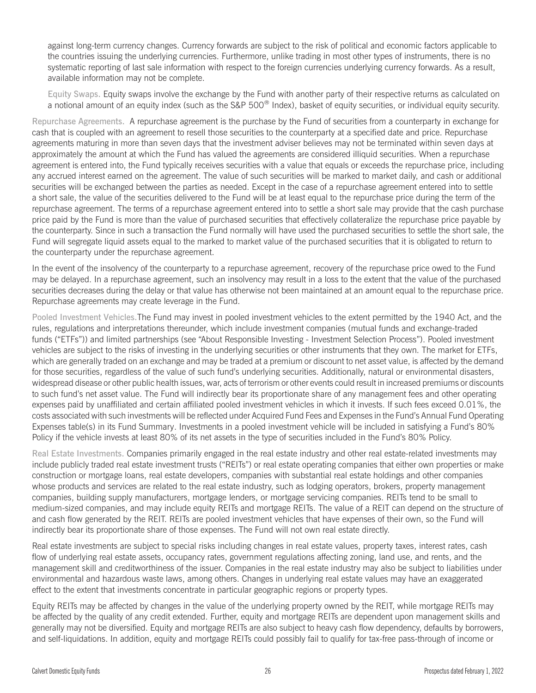against long-term currency changes. Currency forwards are subject to the risk of political and economic factors applicable to the countries issuing the underlying currencies. Furthermore, unlike trading in most other types of instruments, there is no systematic reporting of last sale information with respect to the foreign currencies underlying currency forwards. As a result, available information may not be complete.

Equity Swaps. Equity swaps involve the exchange by the Fund with another party of their respective returns as calculated on a notional amount of an equity index (such as the S&P 500® Index), basket of equity securities, or individual equity security.

Repurchase Agreements. A repurchase agreement is the purchase by the Fund of securities from a counterparty in exchange for cash that is coupled with an agreement to resell those securities to the counterparty at a specified date and price. Repurchase agreements maturing in more than seven days that the investment adviser believes may not be terminated within seven days at approximately the amount at which the Fund has valued the agreements are considered illiquid securities. When a repurchase agreement is entered into, the Fund typically receives securities with a value that equals or exceeds the repurchase price, including any accrued interest earned on the agreement. The value of such securities will be marked to market daily, and cash or additional securities will be exchanged between the parties as needed. Except in the case of a repurchase agreement entered into to settle a short sale, the value of the securities delivered to the Fund will be at least equal to the repurchase price during the term of the repurchase agreement. The terms of a repurchase agreement entered into to settle a short sale may provide that the cash purchase price paid by the Fund is more than the value of purchased securities that effectively collateralize the repurchase price payable by the counterparty. Since in such a transaction the Fund normally will have used the purchased securities to settle the short sale, the Fund will segregate liquid assets equal to the marked to market value of the purchased securities that it is obligated to return to the counterparty under the repurchase agreement.

In the event of the insolvency of the counterparty to a repurchase agreement, recovery of the repurchase price owed to the Fund may be delayed. In a repurchase agreement, such an insolvency may result in a loss to the extent that the value of the purchased securities decreases during the delay or that value has otherwise not been maintained at an amount equal to the repurchase price. Repurchase agreements may create leverage in the Fund.

Pooled Investment Vehicles.The Fund may invest in pooled investment vehicles to the extent permitted by the 1940 Act, and the rules, regulations and interpretations thereunder, which include investment companies (mutual funds and exchange-traded funds ("ETFs")) and limited partnerships (see "About Responsible Investing - Investment Selection Process"). Pooled investment vehicles are subject to the risks of investing in the underlying securities or other instruments that they own. The market for ETFs, which are generally traded on an exchange and may be traded at a premium or discount to net asset value, is affected by the demand for those securities, regardless of the value of such fund's underlying securities. Additionally, natural or environmental disasters, widespread disease or other public health issues, war, acts of terrorism or other events could result in increased premiums or discounts to such fund's net asset value. The Fund will indirectly bear its proportionate share of any management fees and other operating expenses paid by unaffiliated and certain affiliated pooled investment vehicles in which it invests. If such fees exceed 0.01%, the costs associated with such investments will be reflected under Acquired Fund Fees and Expenses in the Fund's Annual Fund Operating Expenses table(s) in its Fund Summary. Investments in a pooled investment vehicle will be included in satisfying a Fund's 80% Policy if the vehicle invests at least 80% of its net assets in the type of securities included in the Fund's 80% Policy.

Real Estate Investments. Companies primarily engaged in the real estate industry and other real estate-related investments may include publicly traded real estate investment trusts ("REITs") or real estate operating companies that either own properties or make construction or mortgage loans, real estate developers, companies with substantial real estate holdings and other companies whose products and services are related to the real estate industry, such as lodging operators, brokers, property management companies, building supply manufacturers, mortgage lenders, or mortgage servicing companies. REITs tend to be small to medium-sized companies, and may include equity REITs and mortgage REITs. The value of a REIT can depend on the structure of and cash flow generated by the REIT. REITs are pooled investment vehicles that have expenses of their own, so the Fund will indirectly bear its proportionate share of those expenses. The Fund will not own real estate directly.

Real estate investments are subject to special risks including changes in real estate values, property taxes, interest rates, cash flow of underlying real estate assets, occupancy rates, government regulations affecting zoning, land use, and rents, and the management skill and creditworthiness of the issuer. Companies in the real estate industry may also be subject to liabilities under environmental and hazardous waste laws, among others. Changes in underlying real estate values may have an exaggerated effect to the extent that investments concentrate in particular geographic regions or property types.

Equity REITs may be affected by changes in the value of the underlying property owned by the REIT, while mortgage REITs may be affected by the quality of any credit extended. Further, equity and mortgage REITs are dependent upon management skills and generally may not be diversified. Equity and mortgage REITs are also subject to heavy cash flow dependency, defaults by borrowers, and self-liquidations. In addition, equity and mortgage REITs could possibly fail to qualify for tax-free pass-through of income or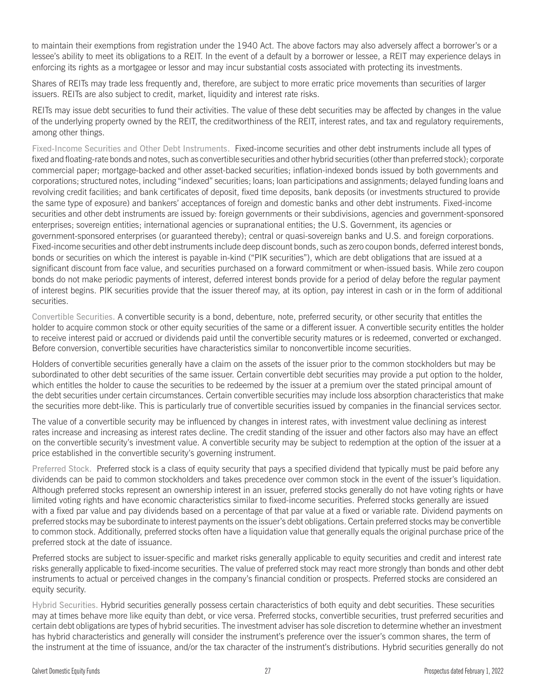to maintain their exemptions from registration under the 1940 Act. The above factors may also adversely affect a borrower's or a lessee's ability to meet its obligations to a REIT. In the event of a default by a borrower or lessee, a REIT may experience delays in enforcing its rights as a mortgagee or lessor and may incur substantial costs associated with protecting its investments.

Shares of REITs may trade less frequently and, therefore, are subject to more erratic price movements than securities of larger issuers. REITs are also subject to credit, market, liquidity and interest rate risks.

REITs may issue debt securities to fund their activities. The value of these debt securities may be affected by changes in the value of the underlying property owned by the REIT, the creditworthiness of the REIT, interest rates, and tax and regulatory requirements, among other things.

Fixed-Income Securities and Other Debt Instruments. Fixed-income securities and other debt instruments include all types of fixed and floating-rate bonds and notes, such as convertible securities and other hybrid securities (other than preferred stock); corporate commercial paper; mortgage-backed and other asset-backed securities; inflation-indexed bonds issued by both governments and corporations; structured notes, including "indexed" securities; loans; loan participations and assignments; delayed funding loans and revolving credit facilities; and bank certificates of deposit, fixed time deposits, bank deposits (or investments structured to provide the same type of exposure) and bankers' acceptances of foreign and domestic banks and other debt instruments. Fixed-income securities and other debt instruments are issued by: foreign governments or their subdivisions, agencies and government-sponsored enterprises; sovereign entities; international agencies or supranational entities; the U.S. Government, its agencies or government-sponsored enterprises (or guaranteed thereby); central or quasi-sovereign banks and U.S. and foreign corporations. Fixed-income securities and other debt instruments include deep discount bonds, such as zero coupon bonds, deferred interest bonds, bonds or securities on which the interest is payable in-kind ("PIK securities"), which are debt obligations that are issued at a significant discount from face value, and securities purchased on a forward commitment or when-issued basis. While zero coupon bonds do not make periodic payments of interest, deferred interest bonds provide for a period of delay before the regular payment of interest begins. PIK securities provide that the issuer thereof may, at its option, pay interest in cash or in the form of additional securities.

Convertible Securities. A convertible security is a bond, debenture, note, preferred security, or other security that entitles the holder to acquire common stock or other equity securities of the same or a different issuer. A convertible security entitles the holder to receive interest paid or accrued or dividends paid until the convertible security matures or is redeemed, converted or exchanged. Before conversion, convertible securities have characteristics similar to nonconvertible income securities.

Holders of convertible securities generally have a claim on the assets of the issuer prior to the common stockholders but may be subordinated to other debt securities of the same issuer. Certain convertible debt securities may provide a put option to the holder, which entitles the holder to cause the securities to be redeemed by the issuer at a premium over the stated principal amount of the debt securities under certain circumstances. Certain convertible securities may include loss absorption characteristics that make the securities more debt-like. This is particularly true of convertible securities issued by companies in the financial services sector.

The value of a convertible security may be influenced by changes in interest rates, with investment value declining as interest rates increase and increasing as interest rates decline. The credit standing of the issuer and other factors also may have an effect on the convertible security's investment value. A convertible security may be subject to redemption at the option of the issuer at a price established in the convertible security's governing instrument.

Preferred Stock. Preferred stock is a class of equity security that pays a specified dividend that typically must be paid before any dividends can be paid to common stockholders and takes precedence over common stock in the event of the issuer's liquidation. Although preferred stocks represent an ownership interest in an issuer, preferred stocks generally do not have voting rights or have limited voting rights and have economic characteristics similar to fixed-income securities. Preferred stocks generally are issued with a fixed par value and pay dividends based on a percentage of that par value at a fixed or variable rate. Dividend payments on preferred stocks may be subordinate to interest payments on the issuer's debt obligations. Certain preferred stocks may be convertible to common stock. Additionally, preferred stocks often have a liquidation value that generally equals the original purchase price of the preferred stock at the date of issuance.

Preferred stocks are subject to issuer-specific and market risks generally applicable to equity securities and credit and interest rate risks generally applicable to fixed-income securities. The value of preferred stock may react more strongly than bonds and other debt instruments to actual or perceived changes in the company's financial condition or prospects. Preferred stocks are considered an equity security.

Hybrid Securities. Hybrid securities generally possess certain characteristics of both equity and debt securities. These securities may at times behave more like equity than debt, or vice versa. Preferred stocks, convertible securities, trust preferred securities and certain debt obligations are types of hybrid securities. The investment adviser has sole discretion to determine whether an investment has hybrid characteristics and generally will consider the instrument's preference over the issuer's common shares, the term of the instrument at the time of issuance, and/or the tax character of the instrument's distributions. Hybrid securities generally do not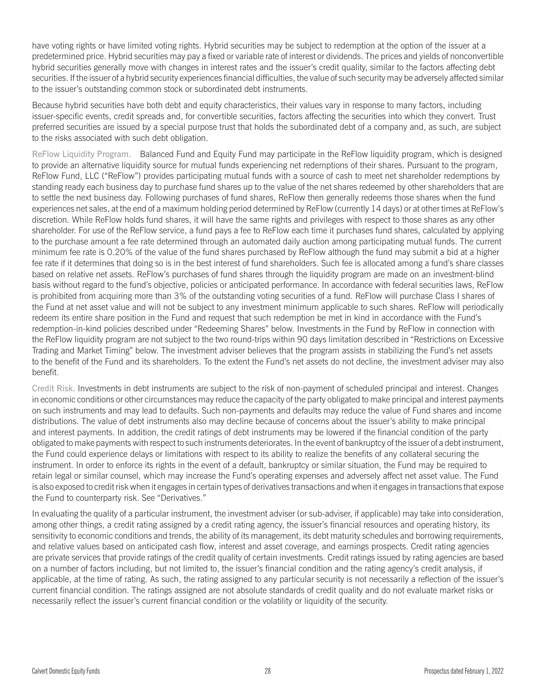have voting rights or have limited voting rights. Hybrid securities may be subject to redemption at the option of the issuer at a predetermined price. Hybrid securities may pay a fixed or variable rate of interest or dividends. The prices and yields of nonconvertible hybrid securities generally move with changes in interest rates and the issuer's credit quality, similar to the factors affecting debt securities. If the issuer of a hybrid security experiences financial difficulties, the value of such security may be adversely affected similar to the issuer's outstanding common stock or subordinated debt instruments.

Because hybrid securities have both debt and equity characteristics, their values vary in response to many factors, including issuer-specific events, credit spreads and, for convertible securities, factors affecting the securities into which they convert. Trust preferred securities are issued by a special purpose trust that holds the subordinated debt of a company and, as such, are subject to the risks associated with such debt obligation.

ReFlow Liquidity Program. Balanced Fund and Equity Fund may participate in the ReFlow liquidity program, which is designed to provide an alternative liquidity source for mutual funds experiencing net redemptions of their shares. Pursuant to the program, ReFlow Fund, LLC ("ReFlow") provides participating mutual funds with a source of cash to meet net shareholder redemptions by standing ready each business day to purchase fund shares up to the value of the net shares redeemed by other shareholders that are to settle the next business day. Following purchases of fund shares, ReFlow then generally redeems those shares when the fund experiences net sales, at the end of a maximum holding period determined by ReFlow (currently 14 days) or at other times at ReFlow's discretion. While ReFlow holds fund shares, it will have the same rights and privileges with respect to those shares as any other shareholder. For use of the ReFlow service, a fund pays a fee to ReFlow each time it purchases fund shares, calculated by applying to the purchase amount a fee rate determined through an automated daily auction among participating mutual funds. The current minimum fee rate is 0.20% of the value of the fund shares purchased by ReFlow although the fund may submit a bid at a higher fee rate if it determines that doing so is in the best interest of fund shareholders. Such fee is allocated among a fund's share classes based on relative net assets. ReFlow's purchases of fund shares through the liquidity program are made on an investment-blind basis without regard to the fund's objective, policies or anticipated performance. In accordance with federal securities laws, ReFlow is prohibited from acquiring more than 3% of the outstanding voting securities of a fund. ReFlow will purchase Class I shares of the Fund at net asset value and will not be subject to any investment minimum applicable to such shares. ReFlow will periodically redeem its entire share position in the Fund and request that such redemption be met in kind in accordance with the Fund's redemption-in-kind policies described under "Redeeming Shares" below. Investments in the Fund by ReFlow in connection with the ReFlow liquidity program are not subject to the two round-trips within 90 days limitation described in "Restrictions on Excessive Trading and Market Timing" below. The investment adviser believes that the program assists in stabilizing the Fund's net assets to the benefit of the Fund and its shareholders. To the extent the Fund's net assets do not decline, the investment adviser may also benefit.

Credit Risk. Investments in debt instruments are subject to the risk of non-payment of scheduled principal and interest. Changes in economic conditions or other circumstances may reduce the capacity of the party obligated to make principal and interest payments on such instruments and may lead to defaults. Such non-payments and defaults may reduce the value of Fund shares and income distributions. The value of debt instruments also may decline because of concerns about the issuer's ability to make principal and interest payments. In addition, the credit ratings of debt instruments may be lowered if the financial condition of the party obligated to make payments with respect to such instruments deteriorates. In the event of bankruptcy of the issuer of a debt instrument, the Fund could experience delays or limitations with respect to its ability to realize the benefits of any collateral securing the instrument. In order to enforce its rights in the event of a default, bankruptcy or similar situation, the Fund may be required to retain legal or similar counsel, which may increase the Fund's operating expenses and adversely affect net asset value. The Fund is also exposed to credit risk when it engages in certain types of derivatives transactions and when it engages in transactions that expose the Fund to counterparty risk. See "Derivatives."

In evaluating the quality of a particular instrument, the investment adviser (or sub-adviser, if applicable) may take into consideration, among other things, a credit rating assigned by a credit rating agency, the issuer's financial resources and operating history, its sensitivity to economic conditions and trends, the ability of its management, its debt maturity schedules and borrowing requirements, and relative values based on anticipated cash flow, interest and asset coverage, and earnings prospects. Credit rating agencies are private services that provide ratings of the credit quality of certain investments. Credit ratings issued by rating agencies are based on a number of factors including, but not limited to, the issuer's financial condition and the rating agency's credit analysis, if applicable, at the time of rating. As such, the rating assigned to any particular security is not necessarily a reflection of the issuer's current financial condition. The ratings assigned are not absolute standards of credit quality and do not evaluate market risks or necessarily reflect the issuer's current financial condition or the volatility or liquidity of the security.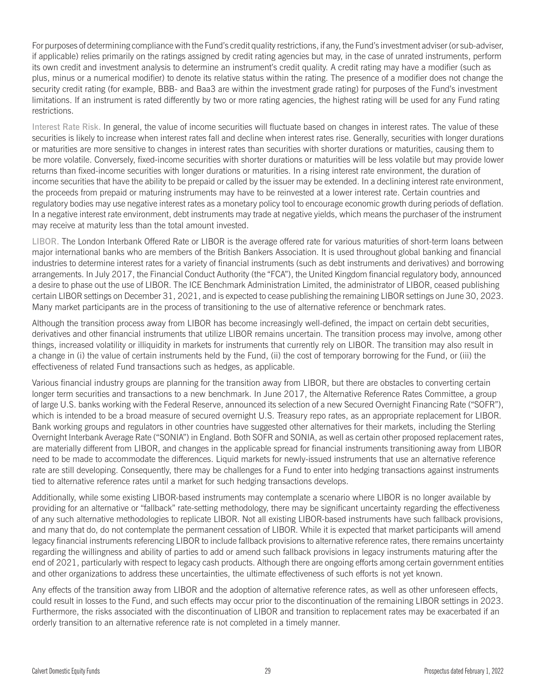For purposes of determining compliance with the Fund's credit quality restrictions, if any, the Fund's investment adviser (or sub-adviser, if applicable) relies primarily on the ratings assigned by credit rating agencies but may, in the case of unrated instruments, perform its own credit and investment analysis to determine an instrument's credit quality. A credit rating may have a modifier (such as plus, minus or a numerical modifier) to denote its relative status within the rating. The presence of a modifier does not change the security credit rating (for example, BBB- and Baa3 are within the investment grade rating) for purposes of the Fund's investment limitations. If an instrument is rated differently by two or more rating agencies, the highest rating will be used for any Fund rating restrictions.

Interest Rate Risk. In general, the value of income securities will fluctuate based on changes in interest rates. The value of these securities is likely to increase when interest rates fall and decline when interest rates rise. Generally, securities with longer durations or maturities are more sensitive to changes in interest rates than securities with shorter durations or maturities, causing them to be more volatile. Conversely, fixed-income securities with shorter durations or maturities will be less volatile but may provide lower returns than fixed-income securities with longer durations or maturities. In a rising interest rate environment, the duration of income securities that have the ability to be prepaid or called by the issuer may be extended. In a declining interest rate environment, the proceeds from prepaid or maturing instruments may have to be reinvested at a lower interest rate. Certain countries and regulatory bodies may use negative interest rates as a monetary policy tool to encourage economic growth during periods of deflation. In a negative interest rate environment, debt instruments may trade at negative yields, which means the purchaser of the instrument may receive at maturity less than the total amount invested.

LIBOR. The London Interbank Offered Rate or LIBOR is the average offered rate for various maturities of short-term loans between major international banks who are members of the British Bankers Association. It is used throughout global banking and financial industries to determine interest rates for a variety of financial instruments (such as debt instruments and derivatives) and borrowing arrangements. In July 2017, the Financial Conduct Authority (the "FCA"), the United Kingdom financial regulatory body, announced a desire to phase out the use of LIBOR. The ICE Benchmark Administration Limited, the administrator of LIBOR, ceased publishing certain LIBOR settings on December 31, 2021, and is expected to cease publishing the remaining LIBOR settings on June 30, 2023. Many market participants are in the process of transitioning to the use of alternative reference or benchmark rates.

Although the transition process away from LIBOR has become increasingly well-defined, the impact on certain debt securities, derivatives and other financial instruments that utilize LIBOR remains uncertain. The transition process may involve, among other things, increased volatility or illiquidity in markets for instruments that currently rely on LIBOR. The transition may also result in a change in (i) the value of certain instruments held by the Fund, (ii) the cost of temporary borrowing for the Fund, or (iii) the effectiveness of related Fund transactions such as hedges, as applicable.

Various financial industry groups are planning for the transition away from LIBOR, but there are obstacles to converting certain longer term securities and transactions to a new benchmark. In June 2017, the Alternative Reference Rates Committee, a group of large U.S. banks working with the Federal Reserve, announced its selection of a new Secured Overnight Financing Rate ("SOFR"), which is intended to be a broad measure of secured overnight U.S. Treasury repo rates, as an appropriate replacement for LIBOR. Bank working groups and regulators in other countries have suggested other alternatives for their markets, including the Sterling Overnight Interbank Average Rate ("SONIA") in England. Both SOFR and SONIA, as well as certain other proposed replacement rates, are materially different from LIBOR, and changes in the applicable spread for financial instruments transitioning away from LIBOR need to be made to accommodate the differences. Liquid markets for newly-issued instruments that use an alternative reference rate are still developing. Consequently, there may be challenges for a Fund to enter into hedging transactions against instruments tied to alternative reference rates until a market for such hedging transactions develops.

Additionally, while some existing LIBOR-based instruments may contemplate a scenario where LIBOR is no longer available by providing for an alternative or "fallback" rate-setting methodology, there may be significant uncertainty regarding the effectiveness of any such alternative methodologies to replicate LIBOR. Not all existing LIBOR-based instruments have such fallback provisions, and many that do, do not contemplate the permanent cessation of LIBOR. While it is expected that market participants will amend legacy financial instruments referencing LIBOR to include fallback provisions to alternative reference rates, there remains uncertainty regarding the willingness and ability of parties to add or amend such fallback provisions in legacy instruments maturing after the end of 2021, particularly with respect to legacy cash products. Although there are ongoing efforts among certain government entities and other organizations to address these uncertainties, the ultimate effectiveness of such efforts is not yet known.

Any effects of the transition away from LIBOR and the adoption of alternative reference rates, as well as other unforeseen effects, could result in losses to the Fund, and such effects may occur prior to the discontinuation of the remaining LIBOR settings in 2023. Furthermore, the risks associated with the discontinuation of LIBOR and transition to replacement rates may be exacerbated if an orderly transition to an alternative reference rate is not completed in a timely manner.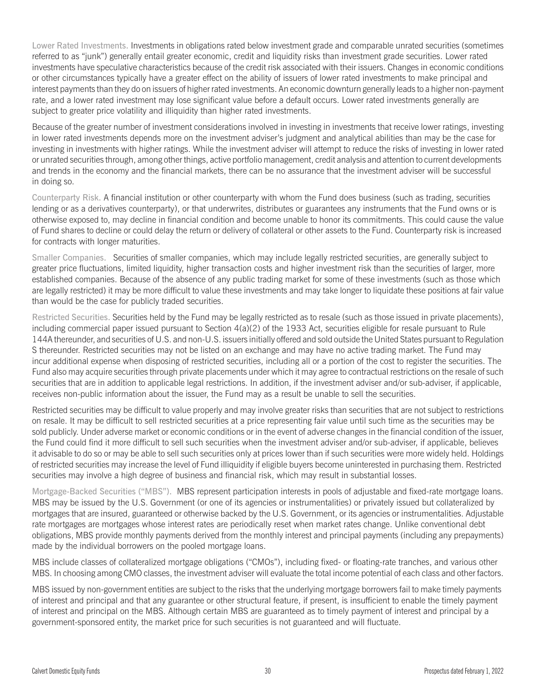Lower Rated Investments. Investments in obligations rated below investment grade and comparable unrated securities (sometimes referred to as "junk") generally entail greater economic, credit and liquidity risks than investment grade securities. Lower rated investments have speculative characteristics because of the credit risk associated with their issuers. Changes in economic conditions or other circumstances typically have a greater effect on the ability of issuers of lower rated investments to make principal and interest payments than they do on issuers of higher rated investments. An economic downturn generally leads to a higher non-payment rate, and a lower rated investment may lose significant value before a default occurs. Lower rated investments generally are subject to greater price volatility and illiquidity than higher rated investments.

Because of the greater number of investment considerations involved in investing in investments that receive lower ratings, investing in lower rated investments depends more on the investment adviser's judgment and analytical abilities than may be the case for investing in investments with higher ratings. While the investment adviser will attempt to reduce the risks of investing in lower rated or unrated securities through, among other things, active portfolio management, credit analysis and attention to current developments and trends in the economy and the financial markets, there can be no assurance that the investment adviser will be successful in doing so.

Counterparty Risk. A financial institution or other counterparty with whom the Fund does business (such as trading, securities lending or as a derivatives counterparty), or that underwrites, distributes or guarantees any instruments that the Fund owns or is otherwise exposed to, may decline in financial condition and become unable to honor its commitments. This could cause the value of Fund shares to decline or could delay the return or delivery of collateral or other assets to the Fund. Counterparty risk is increased for contracts with longer maturities.

Smaller Companies. Securities of smaller companies, which may include legally restricted securities, are generally subject to greater price fluctuations, limited liquidity, higher transaction costs and higher investment risk than the securities of larger, more established companies. Because of the absence of any public trading market for some of these investments (such as those which are legally restricted) it may be more difficult to value these investments and may take longer to liquidate these positions at fair value than would be the case for publicly traded securities.

Restricted Securities. Securities held by the Fund may be legally restricted as to resale (such as those issued in private placements), including commercial paper issued pursuant to Section 4(a)(2) of the 1933 Act, securities eligible for resale pursuant to Rule 144A thereunder, and securities of U.S. and non-U.S. issuers initially offered and sold outside the United States pursuant to Regulation S thereunder. Restricted securities may not be listed on an exchange and may have no active trading market. The Fund may incur additional expense when disposing of restricted securities, including all or a portion of the cost to register the securities. The Fund also may acquire securities through private placements under which it may agree to contractual restrictions on the resale of such securities that are in addition to applicable legal restrictions. In addition, if the investment adviser and/or sub-adviser, if applicable, receives non-public information about the issuer, the Fund may as a result be unable to sell the securities.

Restricted securities may be difficult to value properly and may involve greater risks than securities that are not subject to restrictions on resale. It may be difficult to sell restricted securities at a price representing fair value until such time as the securities may be sold publicly. Under adverse market or economic conditions or in the event of adverse changes in the financial condition of the issuer, the Fund could find it more difficult to sell such securities when the investment adviser and/or sub-adviser, if applicable, believes it advisable to do so or may be able to sell such securities only at prices lower than if such securities were more widely held. Holdings of restricted securities may increase the level of Fund illiquidity if eligible buyers become uninterested in purchasing them. Restricted securities may involve a high degree of business and financial risk, which may result in substantial losses.

Mortgage-Backed Securities ("MBS"). MBS represent participation interests in pools of adjustable and fixed-rate mortgage loans. MBS may be issued by the U.S. Government (or one of its agencies or instrumentalities) or privately issued but collateralized by mortgages that are insured, guaranteed or otherwise backed by the U.S. Government, or its agencies or instrumentalities. Adjustable rate mortgages are mortgages whose interest rates are periodically reset when market rates change. Unlike conventional debt obligations, MBS provide monthly payments derived from the monthly interest and principal payments (including any prepayments) made by the individual borrowers on the pooled mortgage loans.

MBS include classes of collateralized mortgage obligations ("CMOs"), including fixed- or floating-rate tranches, and various other MBS. In choosing among CMO classes, the investment adviser will evaluate the total income potential of each class and other factors.

MBS issued by non-government entities are subject to the risks that the underlying mortgage borrowers fail to make timely payments of interest and principal and that any guarantee or other structural feature, if present, is insufficient to enable the timely payment of interest and principal on the MBS. Although certain MBS are guaranteed as to timely payment of interest and principal by a government-sponsored entity, the market price for such securities is not guaranteed and will fluctuate.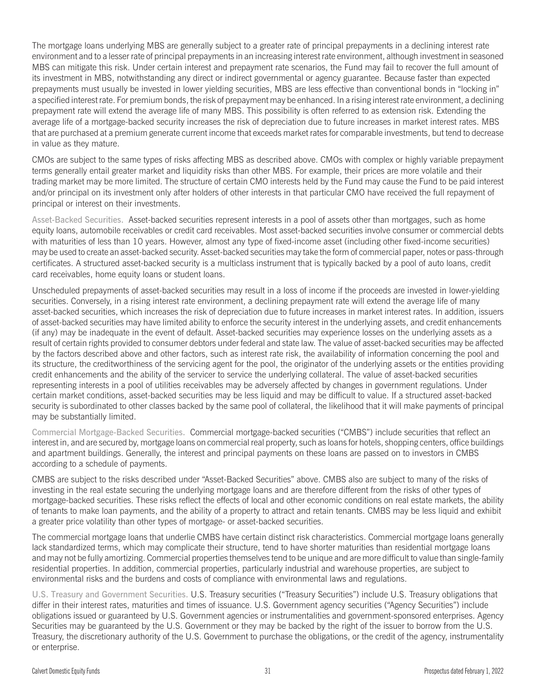The mortgage loans underlying MBS are generally subject to a greater rate of principal prepayments in a declining interest rate environment and to a lesser rate of principal prepayments in an increasing interest rate environment, although investment in seasoned MBS can mitigate this risk. Under certain interest and prepayment rate scenarios, the Fund may fail to recover the full amount of its investment in MBS, notwithstanding any direct or indirect governmental or agency guarantee. Because faster than expected prepayments must usually be invested in lower yielding securities, MBS are less effective than conventional bonds in "locking in" a specified interest rate. For premium bonds, the risk of prepayment may be enhanced. In a rising interest rate environment, a declining prepayment rate will extend the average life of many MBS. This possibility is often referred to as extension risk. Extending the average life of a mortgage-backed security increases the risk of depreciation due to future increases in market interest rates. MBS that are purchased at a premium generate current income that exceeds market rates for comparable investments, but tend to decrease in value as they mature.

CMOs are subject to the same types of risks affecting MBS as described above. CMOs with complex or highly variable prepayment terms generally entail greater market and liquidity risks than other MBS. For example, their prices are more volatile and their trading market may be more limited. The structure of certain CMO interests held by the Fund may cause the Fund to be paid interest and/or principal on its investment only after holders of other interests in that particular CMO have received the full repayment of principal or interest on their investments.

Asset-Backed Securities. Asset-backed securities represent interests in a pool of assets other than mortgages, such as home equity loans, automobile receivables or credit card receivables. Most asset-backed securities involve consumer or commercial debts with maturities of less than 10 years. However, almost any type of fixed-income asset (including other fixed-income securities) may be used to create an asset-backed security. Asset-backed securities may take the form of commercial paper, notes or pass-through certificates. A structured asset-backed security is a multiclass instrument that is typically backed by a pool of auto loans, credit card receivables, home equity loans or student loans.

Unscheduled prepayments of asset-backed securities may result in a loss of income if the proceeds are invested in lower-yielding securities. Conversely, in a rising interest rate environment, a declining prepayment rate will extend the average life of many asset-backed securities, which increases the risk of depreciation due to future increases in market interest rates. In addition, issuers of asset-backed securities may have limited ability to enforce the security interest in the underlying assets, and credit enhancements (if any) may be inadequate in the event of default. Asset-backed securities may experience losses on the underlying assets as a result of certain rights provided to consumer debtors under federal and state law. The value of asset-backed securities may be affected by the factors described above and other factors, such as interest rate risk, the availability of information concerning the pool and its structure, the creditworthiness of the servicing agent for the pool, the originator of the underlying assets or the entities providing credit enhancements and the ability of the servicer to service the underlying collateral. The value of asset-backed securities representing interests in a pool of utilities receivables may be adversely affected by changes in government regulations. Under certain market conditions, asset-backed securities may be less liquid and may be difficult to value. If a structured asset-backed security is subordinated to other classes backed by the same pool of collateral, the likelihood that it will make payments of principal may be substantially limited.

Commercial Mortgage-Backed Securities. Commercial mortgage-backed securities ("CMBS") include securities that reflect an interest in, and are secured by, mortgage loans on commercial real property, such as loans for hotels, shopping centers, office buildings and apartment buildings. Generally, the interest and principal payments on these loans are passed on to investors in CMBS according to a schedule of payments.

CMBS are subject to the risks described under "Asset-Backed Securities" above. CMBS also are subject to many of the risks of investing in the real estate securing the underlying mortgage loans and are therefore different from the risks of other types of mortgage-backed securities. These risks reflect the effects of local and other economic conditions on real estate markets, the ability of tenants to make loan payments, and the ability of a property to attract and retain tenants. CMBS may be less liquid and exhibit a greater price volatility than other types of mortgage- or asset-backed securities.

The commercial mortgage loans that underlie CMBS have certain distinct risk characteristics. Commercial mortgage loans generally lack standardized terms, which may complicate their structure, tend to have shorter maturities than residential mortgage loans and may not be fully amortizing. Commercial properties themselves tend to be unique and are more difficult to value than single-family residential properties. In addition, commercial properties, particularly industrial and warehouse properties, are subject to environmental risks and the burdens and costs of compliance with environmental laws and regulations.

U.S. Treasury and Government Securities. U.S. Treasury securities ("Treasury Securities") include U.S. Treasury obligations that differ in their interest rates, maturities and times of issuance. U.S. Government agency securities ("Agency Securities") include obligations issued or guaranteed by U.S. Government agencies or instrumentalities and government-sponsored enterprises. Agency Securities may be guaranteed by the U.S. Government or they may be backed by the right of the issuer to borrow from the U.S. Treasury, the discretionary authority of the U.S. Government to purchase the obligations, or the credit of the agency, instrumentality or enterprise.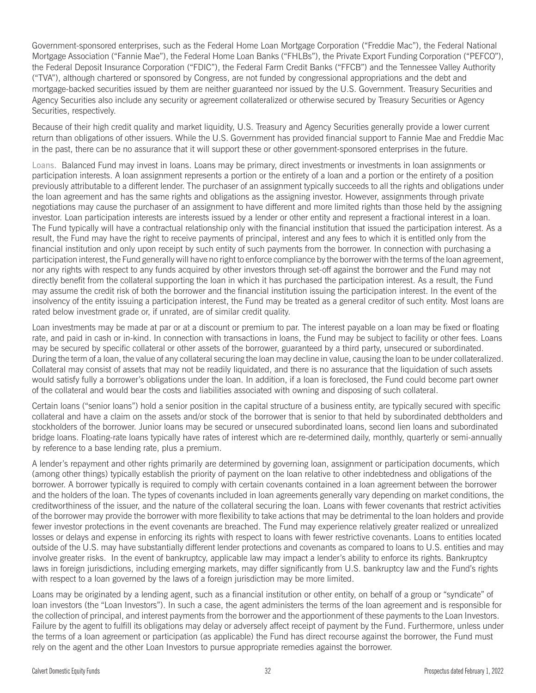Government-sponsored enterprises, such as the Federal Home Loan Mortgage Corporation ("Freddie Mac"), the Federal National Mortgage Association ("Fannie Mae"), the Federal Home Loan Banks ("FHLBs"), the Private Export Funding Corporation ("PEFCO"), the Federal Deposit Insurance Corporation ("FDIC"), the Federal Farm Credit Banks ("FFCB") and the Tennessee Valley Authority ("TVA"), although chartered or sponsored by Congress, are not funded by congressional appropriations and the debt and mortgage-backed securities issued by them are neither guaranteed nor issued by the U.S. Government. Treasury Securities and Agency Securities also include any security or agreement collateralized or otherwise secured by Treasury Securities or Agency Securities, respectively.

Because of their high credit quality and market liquidity, U.S. Treasury and Agency Securities generally provide a lower current return than obligations of other issuers. While the U.S. Government has provided financial support to Fannie Mae and Freddie Mac in the past, there can be no assurance that it will support these or other government-sponsored enterprises in the future.

Loans. Balanced Fund may invest in loans. Loans may be primary, direct investments or investments in loan assignments or participation interests. A loan assignment represents a portion or the entirety of a loan and a portion or the entirety of a position previously attributable to a different lender. The purchaser of an assignment typically succeeds to all the rights and obligations under the loan agreement and has the same rights and obligations as the assigning investor. However, assignments through private negotiations may cause the purchaser of an assignment to have different and more limited rights than those held by the assigning investor. Loan participation interests are interests issued by a lender or other entity and represent a fractional interest in a loan. The Fund typically will have a contractual relationship only with the financial institution that issued the participation interest. As a result, the Fund may have the right to receive payments of principal, interest and any fees to which it is entitled only from the financial institution and only upon receipt by such entity of such payments from the borrower. In connection with purchasing a participation interest, the Fund generally will have no right to enforce compliance by the borrower with the terms of the loan agreement, nor any rights with respect to any funds acquired by other investors through set-off against the borrower and the Fund may not directly benefit from the collateral supporting the loan in which it has purchased the participation interest. As a result, the Fund may assume the credit risk of both the borrower and the financial institution issuing the participation interest. In the event of the insolvency of the entity issuing a participation interest, the Fund may be treated as a general creditor of such entity. Most loans are rated below investment grade or, if unrated, are of similar credit quality.

Loan investments may be made at par or at a discount or premium to par. The interest payable on a loan may be fixed or floating rate, and paid in cash or in-kind. In connection with transactions in loans, the Fund may be subject to facility or other fees. Loans may be secured by specific collateral or other assets of the borrower, guaranteed by a third party, unsecured or subordinated. During the term of a loan, the value of any collateral securing the loan may decline in value, causing the loan to be under collateralized. Collateral may consist of assets that may not be readily liquidated, and there is no assurance that the liquidation of such assets would satisfy fully a borrower's obligations under the loan. In addition, if a loan is foreclosed, the Fund could become part owner of the collateral and would bear the costs and liabilities associated with owning and disposing of such collateral.

Certain loans ("senior loans") hold a senior position in the capital structure of a business entity, are typically secured with specific collateral and have a claim on the assets and/or stock of the borrower that is senior to that held by subordinated debtholders and stockholders of the borrower. Junior loans may be secured or unsecured subordinated loans, second lien loans and subordinated bridge loans. Floating-rate loans typically have rates of interest which are re-determined daily, monthly, quarterly or semi-annually by reference to a base lending rate, plus a premium.

A lender's repayment and other rights primarily are determined by governing loan, assignment or participation documents, which (among other things) typically establish the priority of payment on the loan relative to other indebtedness and obligations of the borrower. A borrower typically is required to comply with certain covenants contained in a loan agreement between the borrower and the holders of the loan. The types of covenants included in loan agreements generally vary depending on market conditions, the creditworthiness of the issuer, and the nature of the collateral securing the loan. Loans with fewer covenants that restrict activities of the borrower may provide the borrower with more flexibility to take actions that may be detrimental to the loan holders and provide fewer investor protections in the event covenants are breached. The Fund may experience relatively greater realized or unrealized losses or delays and expense in enforcing its rights with respect to loans with fewer restrictive covenants. Loans to entities located outside of the U.S. may have substantially different lender protections and covenants as compared to loans to U.S. entities and may involve greater risks. In the event of bankruptcy, applicable law may impact a lender's ability to enforce its rights. Bankruptcy laws in foreign jurisdictions, including emerging markets, may differ significantly from U.S. bankruptcy law and the Fund's rights with respect to a loan governed by the laws of a foreign jurisdiction may be more limited.

Loans may be originated by a lending agent, such as a financial institution or other entity, on behalf of a group or "syndicate" of loan investors (the "Loan Investors"). In such a case, the agent administers the terms of the loan agreement and is responsible for the collection of principal, and interest payments from the borrower and the apportionment of these payments to the Loan Investors. Failure by the agent to fulfill its obligations may delay or adversely affect receipt of payment by the Fund. Furthermore, unless under the terms of a loan agreement or participation (as applicable) the Fund has direct recourse against the borrower, the Fund must rely on the agent and the other Loan Investors to pursue appropriate remedies against the borrower.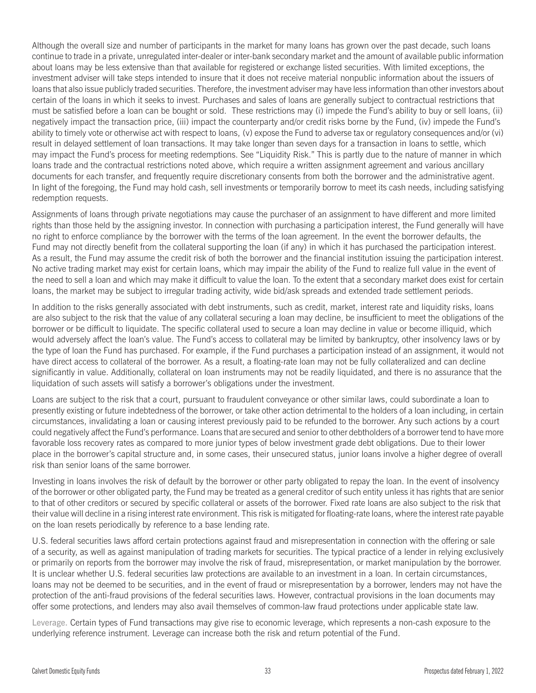Although the overall size and number of participants in the market for many loans has grown over the past decade, such loans continue to trade in a private, unregulated inter-dealer or inter-bank secondary market and the amount of available public information about loans may be less extensive than that available for registered or exchange listed securities. With limited exceptions, the investment adviser will take steps intended to insure that it does not receive material nonpublic information about the issuers of loans that also issue publicly traded securities. Therefore, the investment adviser may have less information than other investors about certain of the loans in which it seeks to invest. Purchases and sales of loans are generally subject to contractual restrictions that must be satisfied before a loan can be bought or sold. These restrictions may (i) impede the Fund's ability to buy or sell loans, (ii) negatively impact the transaction price, (iii) impact the counterparty and/or credit risks borne by the Fund, (iv) impede the Fund's ability to timely vote or otherwise act with respect to loans, (v) expose the Fund to adverse tax or regulatory consequences and/or (vi) result in delayed settlement of loan transactions. It may take longer than seven days for a transaction in loans to settle, which may impact the Fund's process for meeting redemptions. See "Liquidity Risk." This is partly due to the nature of manner in which loans trade and the contractual restrictions noted above, which require a written assignment agreement and various ancillary documents for each transfer, and frequently require discretionary consents from both the borrower and the administrative agent. In light of the foregoing, the Fund may hold cash, sell investments or temporarily borrow to meet its cash needs, including satisfying redemption requests.

Assignments of loans through private negotiations may cause the purchaser of an assignment to have different and more limited rights than those held by the assigning investor. In connection with purchasing a participation interest, the Fund generally will have no right to enforce compliance by the borrower with the terms of the loan agreement. In the event the borrower defaults, the Fund may not directly benefit from the collateral supporting the loan (if any) in which it has purchased the participation interest. As a result, the Fund may assume the credit risk of both the borrower and the financial institution issuing the participation interest. No active trading market may exist for certain loans, which may impair the ability of the Fund to realize full value in the event of the need to sell a loan and which may make it difficult to value the loan. To the extent that a secondary market does exist for certain loans, the market may be subject to irregular trading activity, wide bid/ask spreads and extended trade settlement periods.

In addition to the risks generally associated with debt instruments, such as credit, market, interest rate and liquidity risks, loans are also subject to the risk that the value of any collateral securing a loan may decline, be insufficient to meet the obligations of the borrower or be difficult to liquidate. The specific collateral used to secure a loan may decline in value or become illiquid, which would adversely affect the loan's value. The Fund's access to collateral may be limited by bankruptcy, other insolvency laws or by the type of loan the Fund has purchased. For example, if the Fund purchases a participation instead of an assignment, it would not have direct access to collateral of the borrower. As a result, a floating-rate loan may not be fully collateralized and can decline significantly in value. Additionally, collateral on loan instruments may not be readily liquidated, and there is no assurance that the liquidation of such assets will satisfy a borrower's obligations under the investment.

Loans are subject to the risk that a court, pursuant to fraudulent conveyance or other similar laws, could subordinate a loan to presently existing or future indebtedness of the borrower, or take other action detrimental to the holders of a loan including, in certain circumstances, invalidating a loan or causing interest previously paid to be refunded to the borrower. Any such actions by a court could negatively affect the Fund's performance. Loans that are secured and senior to other debtholders of a borrower tend to have more favorable loss recovery rates as compared to more junior types of below investment grade debt obligations. Due to their lower place in the borrower's capital structure and, in some cases, their unsecured status, junior loans involve a higher degree of overall risk than senior loans of the same borrower.

Investing in loans involves the risk of default by the borrower or other party obligated to repay the loan. In the event of insolvency of the borrower or other obligated party, the Fund may be treated as a general creditor of such entity unless it has rights that are senior to that of other creditors or secured by specific collateral or assets of the borrower. Fixed rate loans are also subject to the risk that their value will decline in a rising interest rate environment. This risk is mitigated for floating-rate loans, where the interest rate payable on the loan resets periodically by reference to a base lending rate.

U.S. federal securities laws afford certain protections against fraud and misrepresentation in connection with the offering or sale of a security, as well as against manipulation of trading markets for securities. The typical practice of a lender in relying exclusively or primarily on reports from the borrower may involve the risk of fraud, misrepresentation, or market manipulation by the borrower. It is unclear whether U.S. federal securities law protections are available to an investment in a loan. In certain circumstances, loans may not be deemed to be securities, and in the event of fraud or misrepresentation by a borrower, lenders may not have the protection of the anti-fraud provisions of the federal securities laws. However, contractual provisions in the loan documents may offer some protections, and lenders may also avail themselves of common-law fraud protections under applicable state law.

Leverage. Certain types of Fund transactions may give rise to economic leverage, which represents a non-cash exposure to the underlying reference instrument. Leverage can increase both the risk and return potential of the Fund.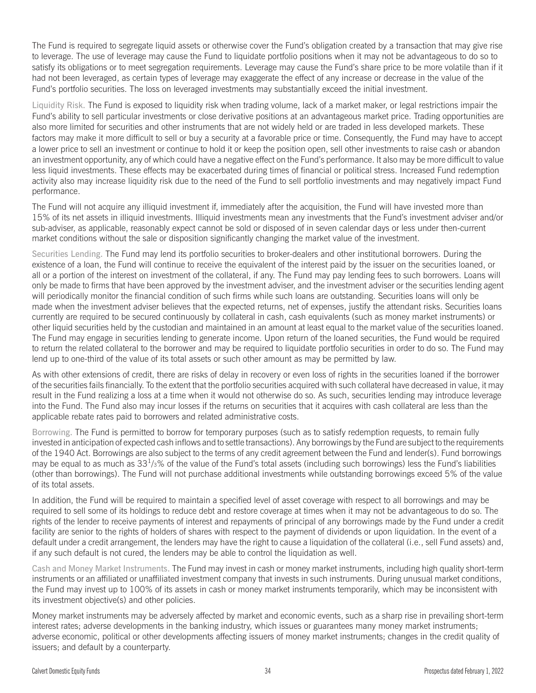The Fund is required to segregate liquid assets or otherwise cover the Fund's obligation created by a transaction that may give rise to leverage. The use of leverage may cause the Fund to liquidate portfolio positions when it may not be advantageous to do so to satisfy its obligations or to meet segregation requirements. Leverage may cause the Fund's share price to be more volatile than if it had not been leveraged, as certain types of leverage may exaggerate the effect of any increase or decrease in the value of the Fund's portfolio securities. The loss on leveraged investments may substantially exceed the initial investment.

Liquidity Risk. The Fund is exposed to liquidity risk when trading volume, lack of a market maker, or legal restrictions impair the Fund's ability to sell particular investments or close derivative positions at an advantageous market price. Trading opportunities are also more limited for securities and other instruments that are not widely held or are traded in less developed markets. These factors may make it more difficult to sell or buy a security at a favorable price or time. Consequently, the Fund may have to accept a lower price to sell an investment or continue to hold it or keep the position open, sell other investments to raise cash or abandon an investment opportunity, any of which could have a negative effect on the Fund's performance. It also may be more difficult to value less liquid investments. These effects may be exacerbated during times of financial or political stress. Increased Fund redemption activity also may increase liquidity risk due to the need of the Fund to sell portfolio investments and may negatively impact Fund performance.

The Fund will not acquire any illiquid investment if, immediately after the acquisition, the Fund will have invested more than 15% of its net assets in illiquid investments. Illiquid investments mean any investments that the Fund's investment adviser and/or sub-adviser, as applicable, reasonably expect cannot be sold or disposed of in seven calendar days or less under then-current market conditions without the sale or disposition significantly changing the market value of the investment.

Securities Lending. The Fund may lend its portfolio securities to broker-dealers and other institutional borrowers. During the existence of a loan, the Fund will continue to receive the equivalent of the interest paid by the issuer on the securities loaned, or all or a portion of the interest on investment of the collateral, if any. The Fund may pay lending fees to such borrowers. Loans will only be made to firms that have been approved by the investment adviser, and the investment adviser or the securities lending agent will periodically monitor the financial condition of such firms while such loans are outstanding. Securities loans will only be made when the investment adviser believes that the expected returns, net of expenses, justify the attendant risks. Securities loans currently are required to be secured continuously by collateral in cash, cash equivalents (such as money market instruments) or other liquid securities held by the custodian and maintained in an amount at least equal to the market value of the securities loaned. The Fund may engage in securities lending to generate income. Upon return of the loaned securities, the Fund would be required to return the related collateral to the borrower and may be required to liquidate portfolio securities in order to do so. The Fund may lend up to one-third of the value of its total assets or such other amount as may be permitted by law.

As with other extensions of credit, there are risks of delay in recovery or even loss of rights in the securities loaned if the borrower of the securities fails financially. To the extent that the portfolio securities acquired with such collateral have decreased in value, it may result in the Fund realizing a loss at a time when it would not otherwise do so. As such, securities lending may introduce leverage into the Fund. The Fund also may incur losses if the returns on securities that it acquires with cash collateral are less than the applicable rebate rates paid to borrowers and related administrative costs.

Borrowing. The Fund is permitted to borrow for temporary purposes (such as to satisfy redemption requests, to remain fully invested in anticipation of expected cash inflows and to settle transactions). Any borrowings by the Fund are subject to the requirements of the 1940 Act. Borrowings are also subject to the terms of any credit agreement between the Fund and lender(s). Fund borrowings may be equal to as much as  $33<sup>1</sup>/3\%$  of the value of the Fund's total assets (including such borrowings) less the Fund's liabilities (other than borrowings). The Fund will not purchase additional investments while outstanding borrowings exceed 5% of the value of its total assets.

In addition, the Fund will be required to maintain a specified level of asset coverage with respect to all borrowings and may be required to sell some of its holdings to reduce debt and restore coverage at times when it may not be advantageous to do so. The rights of the lender to receive payments of interest and repayments of principal of any borrowings made by the Fund under a credit facility are senior to the rights of holders of shares with respect to the payment of dividends or upon liquidation. In the event of a default under a credit arrangement, the lenders may have the right to cause a liquidation of the collateral (i.e., sell Fund assets) and, if any such default is not cured, the lenders may be able to control the liquidation as well.

Cash and Money Market Instruments. The Fund may invest in cash or money market instruments, including high quality short-term instruments or an affiliated or unaffiliated investment company that invests in such instruments. During unusual market conditions, the Fund may invest up to 100% of its assets in cash or money market instruments temporarily, which may be inconsistent with its investment objective(s) and other policies.

Money market instruments may be adversely affected by market and economic events, such as a sharp rise in prevailing short-term interest rates; adverse developments in the banking industry, which issues or guarantees many money market instruments; adverse economic, political or other developments affecting issuers of money market instruments; changes in the credit quality of issuers; and default by a counterparty.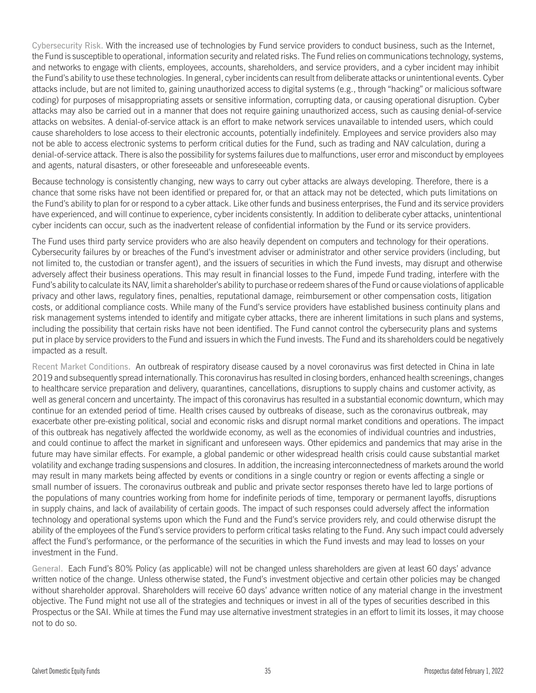Cybersecurity Risk. With the increased use of technologies by Fund service providers to conduct business, such as the Internet, the Fund is susceptible to operational, information security and related risks. The Fund relies on communications technology, systems, and networks to engage with clients, employees, accounts, shareholders, and service providers, and a cyber incident may inhibit the Fund's ability to use these technologies. In general, cyber incidents can result from deliberate attacks or unintentional events. Cyber attacks include, but are not limited to, gaining unauthorized access to digital systems (e.g., through "hacking" or malicious software coding) for purposes of misappropriating assets or sensitive information, corrupting data, or causing operational disruption. Cyber attacks may also be carried out in a manner that does not require gaining unauthorized access, such as causing denial-of-service attacks on websites. A denial-of-service attack is an effort to make network services unavailable to intended users, which could cause shareholders to lose access to their electronic accounts, potentially indefinitely. Employees and service providers also may not be able to access electronic systems to perform critical duties for the Fund, such as trading and NAV calculation, during a denial-of-service attack. There is also the possibility for systems failures due to malfunctions, user error and misconduct by employees and agents, natural disasters, or other foreseeable and unforeseeable events.

Because technology is consistently changing, new ways to carry out cyber attacks are always developing. Therefore, there is a chance that some risks have not been identified or prepared for, or that an attack may not be detected, which puts limitations on the Fund's ability to plan for or respond to a cyber attack. Like other funds and business enterprises, the Fund and its service providers have experienced, and will continue to experience, cyber incidents consistently. In addition to deliberate cyber attacks, unintentional cyber incidents can occur, such as the inadvertent release of confidential information by the Fund or its service providers.

The Fund uses third party service providers who are also heavily dependent on computers and technology for their operations. Cybersecurity failures by or breaches of the Fund's investment adviser or administrator and other service providers (including, but not limited to, the custodian or transfer agent), and the issuers of securities in which the Fund invests, may disrupt and otherwise adversely affect their business operations. This may result in financial losses to the Fund, impede Fund trading, interfere with the Fund's ability to calculate its NAV, limit a shareholder's ability to purchase or redeem shares of the Fund or cause violations of applicable privacy and other laws, regulatory fines, penalties, reputational damage, reimbursement or other compensation costs, litigation costs, or additional compliance costs. While many of the Fund's service providers have established business continuity plans and risk management systems intended to identify and mitigate cyber attacks, there are inherent limitations in such plans and systems, including the possibility that certain risks have not been identified. The Fund cannot control the cybersecurity plans and systems put in place by service providers to the Fund and issuers in which the Fund invests. The Fund and its shareholders could be negatively impacted as a result.

Recent Market Conditions. An outbreak of respiratory disease caused by a novel coronavirus was first detected in China in late 2019 and subsequently spread internationally. This coronavirus has resulted in closing borders, enhanced health screenings, changes to healthcare service preparation and delivery, quarantines, cancellations, disruptions to supply chains and customer activity, as well as general concern and uncertainty. The impact of this coronavirus has resulted in a substantial economic downturn, which may continue for an extended period of time. Health crises caused by outbreaks of disease, such as the coronavirus outbreak, may exacerbate other pre-existing political, social and economic risks and disrupt normal market conditions and operations. The impact of this outbreak has negatively affected the worldwide economy, as well as the economies of individual countries and industries, and could continue to affect the market in significant and unforeseen ways. Other epidemics and pandemics that may arise in the future may have similar effects. For example, a global pandemic or other widespread health crisis could cause substantial market volatility and exchange trading suspensions and closures. In addition, the increasing interconnectedness of markets around the world may result in many markets being affected by events or conditions in a single country or region or events affecting a single or small number of issuers. The coronavirus outbreak and public and private sector responses thereto have led to large portions of the populations of many countries working from home for indefinite periods of time, temporary or permanent layoffs, disruptions in supply chains, and lack of availability of certain goods. The impact of such responses could adversely affect the information technology and operational systems upon which the Fund and the Fund's service providers rely, and could otherwise disrupt the ability of the employees of the Fund's service providers to perform critical tasks relating to the Fund. Any such impact could adversely affect the Fund's performance, or the performance of the securities in which the Fund invests and may lead to losses on your investment in the Fund.

General. Each Fund's 80% Policy (as applicable) will not be changed unless shareholders are given at least 60 days' advance written notice of the change. Unless otherwise stated, the Fund's investment objective and certain other policies may be changed without shareholder approval. Shareholders will receive 60 days' advance written notice of any material change in the investment objective. The Fund might not use all of the strategies and techniques or invest in all of the types of securities described in this Prospectus or the SAI. While at times the Fund may use alternative investment strategies in an effort to limit its losses, it may choose not to do so.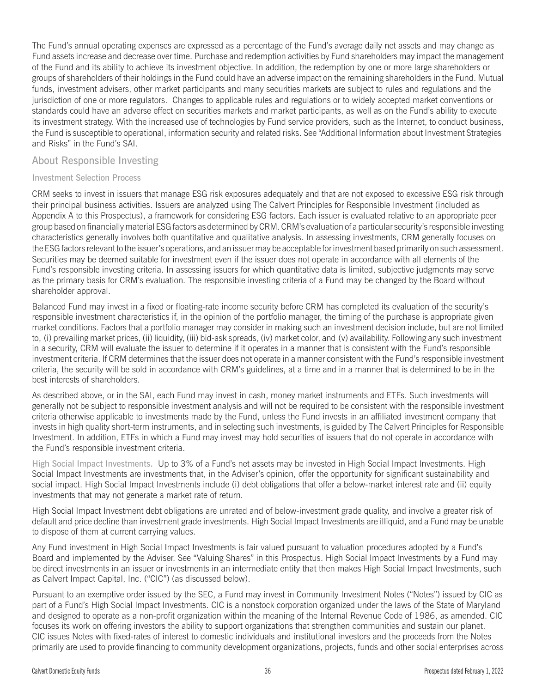The Fund's annual operating expenses are expressed as a percentage of the Fund's average daily net assets and may change as Fund assets increase and decrease over time. Purchase and redemption activities by Fund shareholders may impact the management of the Fund and its ability to achieve its investment objective. In addition, the redemption by one or more large shareholders or groups of shareholders of their holdings in the Fund could have an adverse impact on the remaining shareholders in the Fund. Mutual funds, investment advisers, other market participants and many securities markets are subject to rules and regulations and the jurisdiction of one or more regulators. Changes to applicable rules and regulations or to widely accepted market conventions or standards could have an adverse effect on securities markets and market participants, as well as on the Fund's ability to execute its investment strategy. With the increased use of technologies by Fund service providers, such as the Internet, to conduct business, the Fund is susceptible to operational, information security and related risks. See "Additional Information about Investment Strategies and Risks" in the Fund's SAI.

#### About Responsible Investing

#### Investment Selection Process

CRM seeks to invest in issuers that manage ESG risk exposures adequately and that are not exposed to excessive ESG risk through their principal business activities. Issuers are analyzed using The Calvert Principles for Responsible Investment (included as Appendix A to this Prospectus), a framework for considering ESG factors. Each issuer is evaluated relative to an appropriate peer group based on financially material ESG factors as determined by CRM. CRM's evaluation of a particular security's responsible investing characteristics generally involves both quantitative and qualitative analysis. In assessing investments, CRM generally focuses on the ESG factors relevant to the issuer's operations, and an issuer may be acceptable for investment based primarily on such assessment. Securities may be deemed suitable for investment even if the issuer does not operate in accordance with all elements of the Fund's responsible investing criteria. In assessing issuers for which quantitative data is limited, subjective judgments may serve as the primary basis for CRM's evaluation. The responsible investing criteria of a Fund may be changed by the Board without shareholder approval.

Balanced Fund may invest in a fixed or floating-rate income security before CRM has completed its evaluation of the security's responsible investment characteristics if, in the opinion of the portfolio manager, the timing of the purchase is appropriate given market conditions. Factors that a portfolio manager may consider in making such an investment decision include, but are not limited to, (i) prevailing market prices, (ii) liquidity, (iii) bid-ask spreads, (iv) market color, and (v) availability. Following any such investment in a security, CRM will evaluate the issuer to determine if it operates in a manner that is consistent with the Fund's responsible investment criteria. If CRM determines that the issuer does not operate in a manner consistent with the Fund's responsible investment criteria, the security will be sold in accordance with CRM's guidelines, at a time and in a manner that is determined to be in the best interests of shareholders.

As described above, or in the SAI, each Fund may invest in cash, money market instruments and ETFs. Such investments will generally not be subject to responsible investment analysis and will not be required to be consistent with the responsible investment criteria otherwise applicable to investments made by the Fund, unless the Fund invests in an affiliated investment company that invests in high quality short-term instruments, and in selecting such investments, is guided by The Calvert Principles for Responsible Investment. In addition, ETFs in which a Fund may invest may hold securities of issuers that do not operate in accordance with the Fund's responsible investment criteria.

High Social Impact Investments. Up to 3% of a Fund's net assets may be invested in High Social Impact Investments. High Social Impact Investments are investments that, in the Adviser's opinion, offer the opportunity for significant sustainability and social impact. High Social Impact Investments include (i) debt obligations that offer a below-market interest rate and (ii) equity investments that may not generate a market rate of return.

High Social Impact Investment debt obligations are unrated and of below-investment grade quality, and involve a greater risk of default and price decline than investment grade investments. High Social Impact Investments are illiquid, and a Fund may be unable to dispose of them at current carrying values.

Any Fund investment in High Social Impact Investments is fair valued pursuant to valuation procedures adopted by a Fund's Board and implemented by the Adviser. See "Valuing Shares" in this Prospectus. High Social Impact Investments by a Fund may be direct investments in an issuer or investments in an intermediate entity that then makes High Social Impact Investments, such as Calvert Impact Capital, Inc. ("CIC") (as discussed below).

Pursuant to an exemptive order issued by the SEC, a Fund may invest in Community Investment Notes ("Notes") issued by CIC as part of a Fund's High Social Impact Investments. CIC is a nonstock corporation organized under the laws of the State of Maryland and designed to operate as a non-profit organization within the meaning of the Internal Revenue Code of 1986, as amended. CIC focuses its work on offering investors the ability to support organizations that strengthen communities and sustain our planet. CIC issues Notes with fixed-rates of interest to domestic individuals and institutional investors and the proceeds from the Notes primarily are used to provide financing to community development organizations, projects, funds and other social enterprises across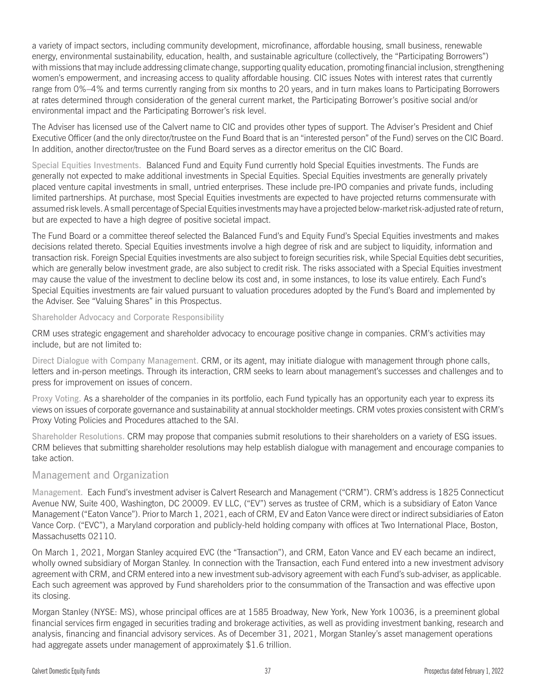a variety of impact sectors, including community development, microfinance, affordable housing, small business, renewable energy, environmental sustainability, education, health, and sustainable agriculture (collectively, the "Participating Borrowers") with missions that may include addressing climate change, supporting quality education, promoting financial inclusion, strengthening women's empowerment, and increasing access to quality affordable housing. CIC issues Notes with interest rates that currently range from 0%–4% and terms currently ranging from six months to 20 years, and in turn makes loans to Participating Borrowers at rates determined through consideration of the general current market, the Participating Borrower's positive social and/or environmental impact and the Participating Borrower's risk level.

The Adviser has licensed use of the Calvert name to CIC and provides other types of support. The Adviser's President and Chief Executive Officer (and the only director/trustee on the Fund Board that is an "interested person" of the Fund) serves on the CIC Board. In addition, another director/trustee on the Fund Board serves as a director emeritus on the CIC Board.

Special Equities Investments. Balanced Fund and Equity Fund currently hold Special Equities investments. The Funds are generally not expected to make additional investments in Special Equities. Special Equities investments are generally privately placed venture capital investments in small, untried enterprises. These include pre-IPO companies and private funds, including limited partnerships. At purchase, most Special Equities investments are expected to have projected returns commensurate with assumed risk levels. A small percentage of Special Equities investments may have a projected below-market risk-adjusted rate of return, but are expected to have a high degree of positive societal impact.

The Fund Board or a committee thereof selected the Balanced Fund's and Equity Fund's Special Equities investments and makes decisions related thereto. Special Equities investments involve a high degree of risk and are subject to liquidity, information and transaction risk. Foreign Special Equities investments are also subject to foreign securities risk, while Special Equities debt securities, which are generally below investment grade, are also subject to credit risk. The risks associated with a Special Equities investment may cause the value of the investment to decline below its cost and, in some instances, to lose its value entirely. Each Fund's Special Equities investments are fair valued pursuant to valuation procedures adopted by the Fund's Board and implemented by the Adviser. See "Valuing Shares" in this Prospectus.

### Shareholder Advocacy and Corporate Responsibility

CRM uses strategic engagement and shareholder advocacy to encourage positive change in companies. CRM's activities may include, but are not limited to:

Direct Dialogue with Company Management. CRM, or its agent, may initiate dialogue with management through phone calls, letters and in-person meetings. Through its interaction, CRM seeks to learn about management's successes and challenges and to press for improvement on issues of concern.

Proxy Voting. As a shareholder of the companies in its portfolio, each Fund typically has an opportunity each year to express its views on issues of corporate governance and sustainability at annual stockholder meetings. CRM votes proxies consistent with CRM's Proxy Voting Policies and Procedures attached to the SAI.

Shareholder Resolutions. CRM may propose that companies submit resolutions to their shareholders on a variety of ESG issues. CRM believes that submitting shareholder resolutions may help establish dialogue with management and encourage companies to take action.

# Management and Organization

Management. Each Fund's investment adviser is Calvert Research and Management ("CRM"). CRM's address is 1825 Connecticut Avenue NW, Suite 400, Washington, DC 20009. EV LLC, ("EV") serves as trustee of CRM, which is a subsidiary of Eaton Vance Management ("Eaton Vance"). Prior to March 1, 2021, each of CRM, EV and Eaton Vance were direct or indirect subsidiaries of Eaton Vance Corp. ("EVC"), a Maryland corporation and publicly-held holding company with offices at Two International Place, Boston, Massachusetts 02110.

On March 1, 2021, Morgan Stanley acquired EVC (the "Transaction"), and CRM, Eaton Vance and EV each became an indirect, wholly owned subsidiary of Morgan Stanley. In connection with the Transaction, each Fund entered into a new investment advisory agreement with CRM, and CRM entered into a new investment sub-advisory agreement with each Fund's sub-adviser, as applicable. Each such agreement was approved by Fund shareholders prior to the consummation of the Transaction and was effective upon its closing.

Morgan Stanley (NYSE: MS), whose principal offices are at 1585 Broadway, New York, New York 10036, is a preeminent global financial services firm engaged in securities trading and brokerage activities, as well as providing investment banking, research and analysis, financing and financial advisory services. As of December 31, 2021, Morgan Stanley's asset management operations had aggregate assets under management of approximately \$1.6 trillion.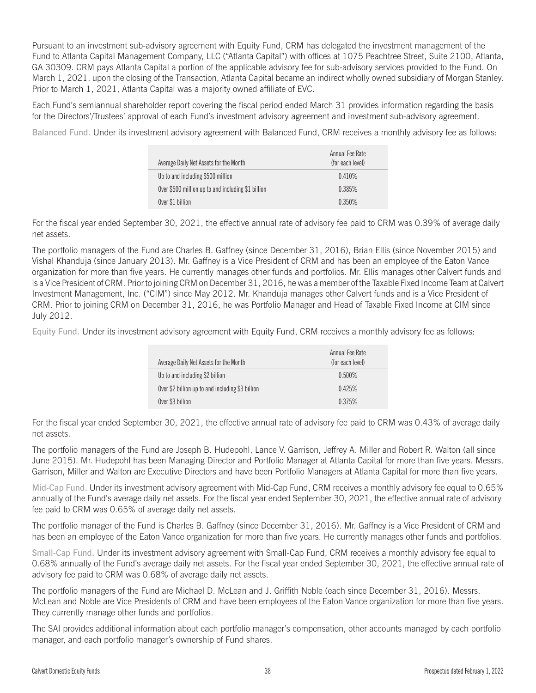Pursuant to an investment sub-advisory agreement with Equity Fund, CRM has delegated the investment management of the Fund to Atlanta Capital Management Company, LLC ("Atlanta Capital") with offices at 1075 Peachtree Street, Suite 2100, Atlanta, GA 30309. CRM pays Atlanta Capital a portion of the applicable advisory fee for sub-advisory services provided to the Fund. On March 1, 2021, upon the closing of the Transaction, Atlanta Capital became an indirect wholly owned subsidiary of Morgan Stanley. Prior to March 1, 2021, Atlanta Capital was a majority owned affiliate of EVC.

Each Fund's semiannual shareholder report covering the fiscal period ended March 31 provides information regarding the basis for the Directors'/Trustees' approval of each Fund's investment advisory agreement and investment sub-advisory agreement.

Balanced Fund. Under its investment advisory agreement with Balanced Fund, CRM receives a monthly advisory fee as follows:

| Average Daily Net Assets for the Month             | Annual Fee Rate<br>(for each level) |
|----------------------------------------------------|-------------------------------------|
| Up to and including \$500 million                  | 0.410%                              |
| Over \$500 million up to and including \$1 billion | 0.385%                              |
| Over \$1 billion                                   | 0.350%                              |

For the fiscal year ended September 30, 2021, the effective annual rate of advisory fee paid to CRM was 0.39% of average daily net assets.

The portfolio managers of the Fund are Charles B. Gaffney (since December 31, 2016), Brian Ellis (since November 2015) and Vishal Khanduja (since January 2013). Mr. Gaffney is a Vice President of CRM and has been an employee of the Eaton Vance organization for more than five years. He currently manages other funds and portfolios. Mr. Ellis manages other Calvert funds and is a Vice President of CRM. Prior to joining CRM on December 31, 2016, he was a member of the Taxable Fixed Income Team at Calvert Investment Management, Inc. ("CIM") since May 2012. Mr. Khanduja manages other Calvert funds and is a Vice President of CRM. Prior to joining CRM on December 31, 2016, he was Portfolio Manager and Head of Taxable Fixed Income at CIM since July 2012.

Equity Fund. Under its investment advisory agreement with Equity Fund, CRM receives a monthly advisory fee as follows:

| Annual Fee Rate<br>(for each level) |
|-------------------------------------|
| $0.500\%$                           |
| 0.425%                              |
| 0.375%                              |
|                                     |

For the fiscal year ended September 30, 2021, the effective annual rate of advisory fee paid to CRM was 0.43% of average daily net assets.

The portfolio managers of the Fund are Joseph B. Hudepohl, Lance V. Garrison, Jeffrey A. Miller and Robert R. Walton (all since June 2015). Mr. Hudepohl has been Managing Director and Portfolio Manager at Atlanta Capital for more than five years. Messrs. Garrison, Miller and Walton are Executive Directors and have been Portfolio Managers at Atlanta Capital for more than five years.

Mid-Cap Fund. Under its investment advisory agreement with Mid-Cap Fund, CRM receives a monthly advisory fee equal to 0.65% annually of the Fund's average daily net assets. For the fiscal year ended September 30, 2021, the effective annual rate of advisory fee paid to CRM was 0.65% of average daily net assets.

The portfolio manager of the Fund is Charles B. Gaffney (since December 31, 2016). Mr. Gaffney is a Vice President of CRM and has been an employee of the Eaton Vance organization for more than five years. He currently manages other funds and portfolios.

Small-Cap Fund. Under its investment advisory agreement with Small-Cap Fund, CRM receives a monthly advisory fee equal to 0.68% annually of the Fund's average daily net assets. For the fiscal year ended September 30, 2021, the effective annual rate of advisory fee paid to CRM was 0.68% of average daily net assets.

The portfolio managers of the Fund are Michael D. McLean and J. Griffith Noble (each since December 31, 2016). Messrs. McLean and Noble are Vice Presidents of CRM and have been employees of the Eaton Vance organization for more than five years. They currently manage other funds and portfolios.

The SAI provides additional information about each portfolio manager's compensation, other accounts managed by each portfolio manager, and each portfolio manager's ownership of Fund shares.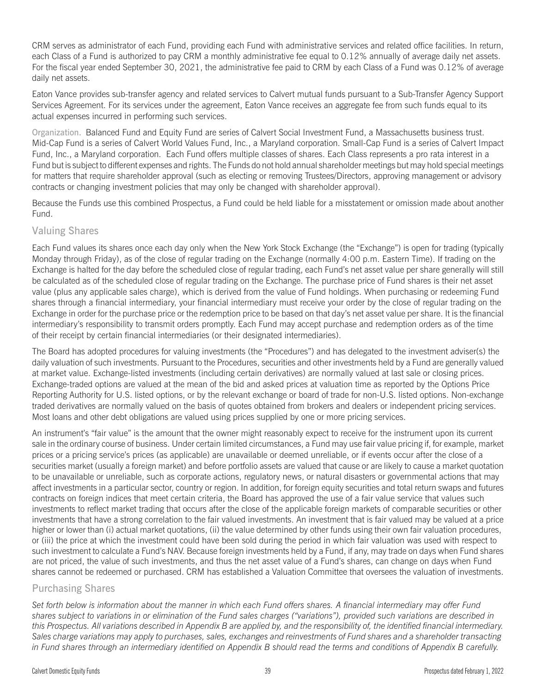CRM serves as administrator of each Fund, providing each Fund with administrative services and related office facilities. In return, each Class of a Fund is authorized to pay CRM a monthly administrative fee equal to 0.12% annually of average daily net assets. For the fiscal year ended September 30, 2021, the administrative fee paid to CRM by each Class of a Fund was 0.12% of average daily net assets.

Eaton Vance provides sub-transfer agency and related services to Calvert mutual funds pursuant to a Sub-Transfer Agency Support Services Agreement. For its services under the agreement, Eaton Vance receives an aggregate fee from such funds equal to its actual expenses incurred in performing such services.

Organization. Balanced Fund and Equity Fund are series of Calvert Social Investment Fund, a Massachusetts business trust. Mid-Cap Fund is a series of Calvert World Values Fund, Inc., a Maryland corporation. Small-Cap Fund is a series of Calvert Impact Fund, Inc., a Maryland corporation. Each Fund offers multiple classes of shares. Each Class represents a pro rata interest in a Fund but is subject to different expenses and rights. The Funds do not hold annual shareholder meetings but may hold special meetings for matters that require shareholder approval (such as electing or removing Trustees/Directors, approving management or advisory contracts or changing investment policies that may only be changed with shareholder approval).

Because the Funds use this combined Prospectus, a Fund could be held liable for a misstatement or omission made about another Fund.

# Valuing Shares

Each Fund values its shares once each day only when the New York Stock Exchange (the "Exchange") is open for trading (typically Monday through Friday), as of the close of regular trading on the Exchange (normally 4:00 p.m. Eastern Time). If trading on the Exchange is halted for the day before the scheduled close of regular trading, each Fund's net asset value per share generally will still be calculated as of the scheduled close of regular trading on the Exchange. The purchase price of Fund shares is their net asset value (plus any applicable sales charge), which is derived from the value of Fund holdings. When purchasing or redeeming Fund shares through a financial intermediary, your financial intermediary must receive your order by the close of regular trading on the Exchange in order for the purchase price or the redemption price to be based on that day's net asset value per share. It is the financial intermediary's responsibility to transmit orders promptly. Each Fund may accept purchase and redemption orders as of the time of their receipt by certain financial intermediaries (or their designated intermediaries).

The Board has adopted procedures for valuing investments (the "Procedures") and has delegated to the investment adviser(s) the daily valuation of such investments. Pursuant to the Procedures, securities and other investments held by a Fund are generally valued at market value. Exchange-listed investments (including certain derivatives) are normally valued at last sale or closing prices. Exchange-traded options are valued at the mean of the bid and asked prices at valuation time as reported by the Options Price Reporting Authority for U.S. listed options, or by the relevant exchange or board of trade for non-U.S. listed options. Non-exchange traded derivatives are normally valued on the basis of quotes obtained from brokers and dealers or independent pricing services. Most loans and other debt obligations are valued using prices supplied by one or more pricing services.

An instrument's "fair value" is the amount that the owner might reasonably expect to receive for the instrument upon its current sale in the ordinary course of business. Under certain limited circumstances, a Fund may use fair value pricing if, for example, market prices or a pricing service's prices (as applicable) are unavailable or deemed unreliable, or if events occur after the close of a securities market (usually a foreign market) and before portfolio assets are valued that cause or are likely to cause a market quotation to be unavailable or unreliable, such as corporate actions, regulatory news, or natural disasters or governmental actions that may affect investments in a particular sector, country or region. In addition, for foreign equity securities and total return swaps and futures contracts on foreign indices that meet certain criteria, the Board has approved the use of a fair value service that values such investments to reflect market trading that occurs after the close of the applicable foreign markets of comparable securities or other investments that have a strong correlation to the fair valued investments. An investment that is fair valued may be valued at a price higher or lower than (i) actual market quotations, (ii) the value determined by other funds using their own fair valuation procedures, or (iii) the price at which the investment could have been sold during the period in which fair valuation was used with respect to such investment to calculate a Fund's NAV. Because foreign investments held by a Fund, if any, may trade on days when Fund shares are not priced, the value of such investments, and thus the net asset value of a Fund's shares, can change on days when Fund shares cannot be redeemed or purchased. CRM has established a Valuation Committee that oversees the valuation of investments.

# Purchasing Shares

*Set forth below is information about the manner in which each Fund offers shares. A financial intermediary may offer Fund shares subject to variations in or elimination of the Fund sales charges ("variations"), provided such variations are described in this Prospectus. All variations described in Appendix B are applied by, and the responsibility of, the identified financial intermediary. Sales charge variations may apply to purchases, sales, exchanges and reinvestments of Fund shares and a shareholder transacting in Fund shares through an intermediary identified on Appendix B should read the terms and conditions of Appendix B carefully.*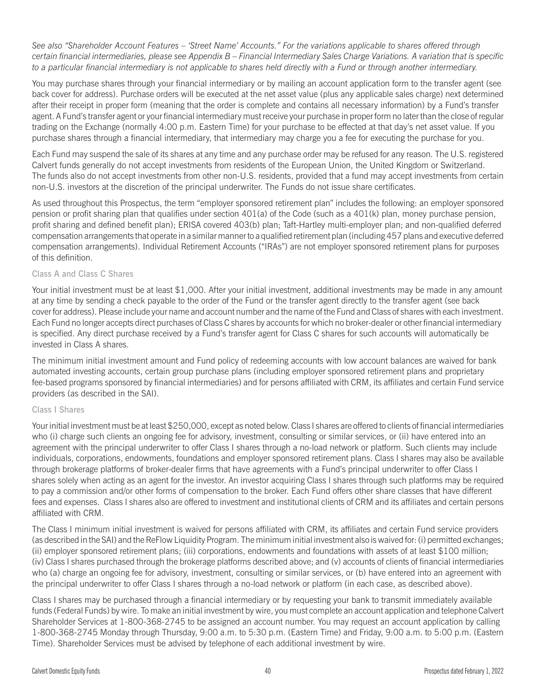*See also "Shareholder Account Features – 'Street Name' Accounts." For the variations applicable to shares offered through certain financial intermediaries, please see Appendix B – Financial Intermediary Sales Charge Variations. A variation that is specific to a particular financial intermediary is not applicable to shares held directly with a Fund or through another intermediary.*

You may purchase shares through your financial intermediary or by mailing an account application form to the transfer agent (see back cover for address). Purchase orders will be executed at the net asset value (plus any applicable sales charge) next determined after their receipt in proper form (meaning that the order is complete and contains all necessary information) by a Fund's transfer agent. A Fund's transfer agent or your financial intermediary must receive your purchase in proper form no later than the close of regular trading on the Exchange (normally 4:00 p.m. Eastern Time) for your purchase to be effected at that day's net asset value. If you purchase shares through a financial intermediary, that intermediary may charge you a fee for executing the purchase for you.

Each Fund may suspend the sale of its shares at any time and any purchase order may be refused for any reason. The U.S. registered Calvert funds generally do not accept investments from residents of the European Union, the United Kingdom or Switzerland. The funds also do not accept investments from other non-U.S. residents, provided that a fund may accept investments from certain non-U.S. investors at the discretion of the principal underwriter. The Funds do not issue share certificates.

As used throughout this Prospectus, the term "employer sponsored retirement plan" includes the following: an employer sponsored pension or profit sharing plan that qualifies under section 401(a) of the Code (such as a 401(k) plan, money purchase pension, profit sharing and defined benefit plan); ERISA covered 403(b) plan; Taft-Hartley multi-employer plan; and non-qualified deferred compensation arrangements that operate in a similar manner to a qualified retirement plan (including 457 plans and executive deferred compensation arrangements). Individual Retirement Accounts ("IRAs") are not employer sponsored retirement plans for purposes of this definition.

### Class A and Class C Shares

Your initial investment must be at least \$1,000. After your initial investment, additional investments may be made in any amount at any time by sending a check payable to the order of the Fund or the transfer agent directly to the transfer agent (see back cover for address). Please include your name and account number and the name of the Fund and Class of shares with each investment. Each Fund no longer accepts direct purchases of Class C shares by accounts for which no broker-dealer or other financial intermediary is specified. Any direct purchase received by a Fund's transfer agent for Class C shares for such accounts will automatically be invested in Class A shares.

The minimum initial investment amount and Fund policy of redeeming accounts with low account balances are waived for bank automated investing accounts, certain group purchase plans (including employer sponsored retirement plans and proprietary fee-based programs sponsored by financial intermediaries) and for persons affiliated with CRM, its affiliates and certain Fund service providers (as described in the SAI).

#### Class I Shares

Your initial investment must be at least \$250,000, except as noted below. Class I shares are offered to clients of financial intermediaries who (i) charge such clients an ongoing fee for advisory, investment, consulting or similar services, or (ii) have entered into an agreement with the principal underwriter to offer Class I shares through a no-load network or platform. Such clients may include individuals, corporations, endowments, foundations and employer sponsored retirement plans. Class I shares may also be available through brokerage platforms of broker-dealer firms that have agreements with a Fund's principal underwriter to offer Class I shares solely when acting as an agent for the investor. An investor acquiring Class I shares through such platforms may be required to pay a commission and/or other forms of compensation to the broker. Each Fund offers other share classes that have different fees and expenses. Class I shares also are offered to investment and institutional clients of CRM and its affiliates and certain persons affiliated with CRM.

The Class I minimum initial investment is waived for persons affiliated with CRM, its affiliates and certain Fund service providers (as described in the SAI) and the ReFlow Liquidity Program. The minimum initial investment also is waived for: (i) permitted exchanges; (ii) employer sponsored retirement plans; (iii) corporations, endowments and foundations with assets of at least \$100 million; (iv) Class I shares purchased through the brokerage platforms described above; and (v) accounts of clients of financial intermediaries who (a) charge an ongoing fee for advisory, investment, consulting or similar services, or (b) have entered into an agreement with the principal underwriter to offer Class I shares through a no-load network or platform (in each case, as described above).

Class I shares may be purchased through a financial intermediary or by requesting your bank to transmit immediately available funds (Federal Funds) by wire. To make an initial investment by wire, you must complete an account application and telephone Calvert Shareholder Services at 1-800-368-2745 to be assigned an account number. You may request an account application by calling 1-800-368-2745 Monday through Thursday, 9:00 a.m. to 5:30 p.m. (Eastern Time) and Friday, 9:00 a.m. to 5:00 p.m. (Eastern Time). Shareholder Services must be advised by telephone of each additional investment by wire.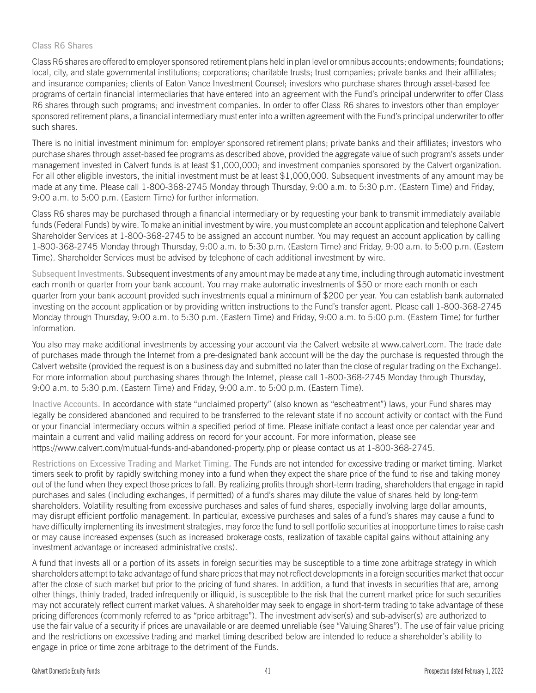### Class R6 Shares

Class R6 shares are offered to employer sponsored retirement plans held in plan level or omnibus accounts; endowments; foundations; local, city, and state governmental institutions; corporations; charitable trusts; trust companies; private banks and their affiliates; and insurance companies; clients of Eaton Vance Investment Counsel; investors who purchase shares through asset-based fee programs of certain financial intermediaries that have entered into an agreement with the Fund's principal underwriter to offer Class R6 shares through such programs; and investment companies. In order to offer Class R6 shares to investors other than employer sponsored retirement plans, a financial intermediary must enter into a written agreement with the Fund's principal underwriter to offer such shares.

There is no initial investment minimum for: employer sponsored retirement plans; private banks and their affiliates; investors who purchase shares through asset-based fee programs as described above, provided the aggregate value of such program's assets under management invested in Calvert funds is at least \$1,000,000; and investment companies sponsored by the Calvert organization. For all other eligible investors, the initial investment must be at least \$1,000,000. Subsequent investments of any amount may be made at any time. Please call 1-800-368-2745 Monday through Thursday, 9:00 a.m. to 5:30 p.m. (Eastern Time) and Friday, 9:00 a.m. to 5:00 p.m. (Eastern Time) for further information.

Class R6 shares may be purchased through a financial intermediary or by requesting your bank to transmit immediately available funds (Federal Funds) by wire. To make an initial investment by wire, you must complete an account application and telephone Calvert Shareholder Services at 1-800-368-2745 to be assigned an account number. You may request an account application by calling 1-800-368-2745 Monday through Thursday, 9:00 a.m. to 5:30 p.m. (Eastern Time) and Friday, 9:00 a.m. to 5:00 p.m. (Eastern Time). Shareholder Services must be advised by telephone of each additional investment by wire.

Subsequent Investments. Subsequent investments of any amount may be made at any time, including through automatic investment each month or quarter from your bank account. You may make automatic investments of \$50 or more each month or each quarter from your bank account provided such investments equal a minimum of \$200 per year. You can establish bank automated investing on the account application or by providing written instructions to the Fund's transfer agent. Please call 1-800-368-2745 Monday through Thursday, 9:00 a.m. to 5:30 p.m. (Eastern Time) and Friday, 9:00 a.m. to 5:00 p.m. (Eastern Time) for further information.

You also may make additional investments by accessing your account via the Calvert website at www.calvert.com. The trade date of purchases made through the Internet from a pre-designated bank account will be the day the purchase is requested through the Calvert website (provided the request is on a business day and submitted no later than the close of regular trading on the Exchange). For more information about purchasing shares through the Internet, please call 1-800-368-2745 Monday through Thursday, 9:00 a.m. to 5:30 p.m. (Eastern Time) and Friday, 9:00 a.m. to 5:00 p.m. (Eastern Time).

Inactive Accounts. In accordance with state "unclaimed property" (also known as "escheatment") laws, your Fund shares may legally be considered abandoned and required to be transferred to the relevant state if no account activity or contact with the Fund or your financial intermediary occurs within a specified period of time. Please initiate contact a least once per calendar year and maintain a current and valid mailing address on record for your account. For more information, please see https://www.calvert.com/mutual-funds-and-abandoned-property.php or please contact us at 1-800-368-2745.

Restrictions on Excessive Trading and Market Timing. The Funds are not intended for excessive trading or market timing. Market timers seek to profit by rapidly switching money into a fund when they expect the share price of the fund to rise and taking money out of the fund when they expect those prices to fall. By realizing profits through short-term trading, shareholders that engage in rapid purchases and sales (including exchanges, if permitted) of a fund's shares may dilute the value of shares held by long-term shareholders. Volatility resulting from excessive purchases and sales of fund shares, especially involving large dollar amounts, may disrupt efficient portfolio management. In particular, excessive purchases and sales of a fund's shares may cause a fund to have difficulty implementing its investment strategies, may force the fund to sell portfolio securities at inopportune times to raise cash or may cause increased expenses (such as increased brokerage costs, realization of taxable capital gains without attaining any investment advantage or increased administrative costs).

A fund that invests all or a portion of its assets in foreign securities may be susceptible to a time zone arbitrage strategy in which shareholders attempt to take advantage of fund share prices that may not reflect developments in a foreign securities market that occur after the close of such market but prior to the pricing of fund shares. In addition, a fund that invests in securities that are, among other things, thinly traded, traded infrequently or illiquid, is susceptible to the risk that the current market price for such securities may not accurately reflect current market values. A shareholder may seek to engage in short-term trading to take advantage of these pricing differences (commonly referred to as "price arbitrage"). The investment adviser(s) and sub-adviser(s) are authorized to use the fair value of a security if prices are unavailable or are deemed unreliable (see "Valuing Shares"). The use of fair value pricing and the restrictions on excessive trading and market timing described below are intended to reduce a shareholder's ability to engage in price or time zone arbitrage to the detriment of the Funds.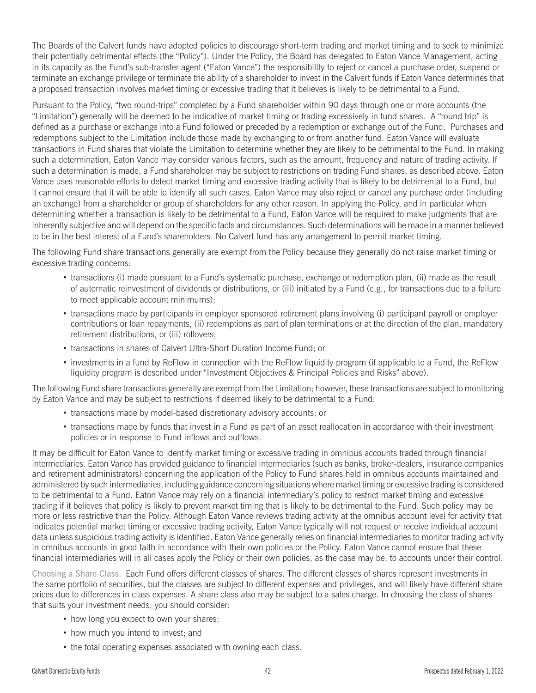The Boards of the Calvert funds have adopted policies to discourage short-term trading and market timing and to seek to minimize their potentially detrimental effects (the "Policy"). Under the Policy, the Board has delegated to Eaton Vance Management, acting in its capacity as the Fund's sub-transfer agent ("Eaton Vance") the responsibility to reject or cancel a purchase order, suspend or terminate an exchange privilege or terminate the ability of a shareholder to invest in the Calvert funds if Eaton Vance determines that a proposed transaction involves market timing or excessive trading that it believes is likely to be detrimental to a Fund.

Pursuant to the Policy, "two round-trips" completed by a Fund shareholder within 90 days through one or more accounts (the "Limitation") generally will be deemed to be indicative of market timing or trading excessively in fund shares. A "round trip" is defined as a purchase or exchange into a Fund followed or preceded by a redemption or exchange out of the Fund. Purchases and redemptions subject to the Limitation include those made by exchanging to or from another fund. Eaton Vance will evaluate transactions in Fund shares that violate the Limitation to determine whether they are likely to be detrimental to the Fund. In making such a determination, Eaton Vance may consider various factors, such as the amount, frequency and nature of trading activity. If such a determination is made, a Fund shareholder may be subject to restrictions on trading Fund shares, as described above. Eaton Vance uses reasonable efforts to detect market timing and excessive trading activity that is likely to be detrimental to a Fund, but it cannot ensure that it will be able to identify all such cases. Eaton Vance may also reject or cancel any purchase order (including an exchange) from a shareholder or group of shareholders for any other reason. In applying the Policy, and in particular when determining whether a transaction is likely to be detrimental to a Fund, Eaton Vance will be required to make judgments that are inherently subjective and will depend on the specific facts and circumstances. Such determinations will be made in a manner believed to be in the best interest of a Fund's shareholders. No Calvert fund has any arrangement to permit market timing.

The following Fund share transactions generally are exempt from the Policy because they generally do not raise market timing or excessive trading concerns:

- v transactions (i) made pursuant to a Fund's systematic purchase, exchange or redemption plan, (ii) made as the result of automatic reinvestment of dividends or distributions, or (iii) initiated by a Fund (e.g., for transactions due to a failure to meet applicable account minimums);
- transactions made by participants in employer sponsored retirement plans involving (i) participant payroll or employer contributions or loan repayments, (ii) redemptions as part of plan terminations or at the direction of the plan, mandatory retirement distributions, or (iii) rollovers;
- transactions in shares of Calvert Ultra-Short Duration Income Fund; or
- v investments in a fund by ReFlow in connection with the ReFlow liquidity program (if applicable to a Fund, the ReFlow liquidity program is described under "Investment Objectives & Principal Policies and Risks" above).

The following Fund share transactions generally are exempt from the Limitation; however, these transactions are subject to monitoring by Eaton Vance and may be subject to restrictions if deemed likely to be detrimental to a Fund:

- transactions made by model-based discretionary advisory accounts; or
- v transactions made by funds that invest in a Fund as part of an asset reallocation in accordance with their investment policies or in response to Fund inflows and outflows.

It may be difficult for Eaton Vance to identify market timing or excessive trading in omnibus accounts traded through financial intermediaries. Eaton Vance has provided guidance to financial intermediaries (such as banks, broker-dealers, insurance companies and retirement administrators) concerning the application of the Policy to Fund shares held in omnibus accounts maintained and administered by such intermediaries, including guidance concerning situations where market timing or excessive trading is considered to be detrimental to a Fund. Eaton Vance may rely on a financial intermediary's policy to restrict market timing and excessive trading if it believes that policy is likely to prevent market timing that is likely to be detrimental to the Fund. Such policy may be more or less restrictive than the Policy. Although Eaton Vance reviews trading activity at the omnibus account level for activity that indicates potential market timing or excessive trading activity, Eaton Vance typically will not request or receive individual account data unless suspicious trading activity is identified. Eaton Vance generally relies on financial intermediaries to monitor trading activity in omnibus accounts in good faith in accordance with their own policies or the Policy. Eaton Vance cannot ensure that these financial intermediaries will in all cases apply the Policy or their own policies, as the case may be, to accounts under their control.

Choosing a Share Class. Each Fund offers different classes of shares. The different classes of shares represent investments in the same portfolio of securities, but the classes are subject to different expenses and privileges, and will likely have different share prices due to differences in class expenses. A share class also may be subject to a sales charge. In choosing the class of shares that suits your investment needs, you should consider:

- how long you expect to own your shares;
- how much you intend to invest; and
- the total operating expenses associated with owning each class.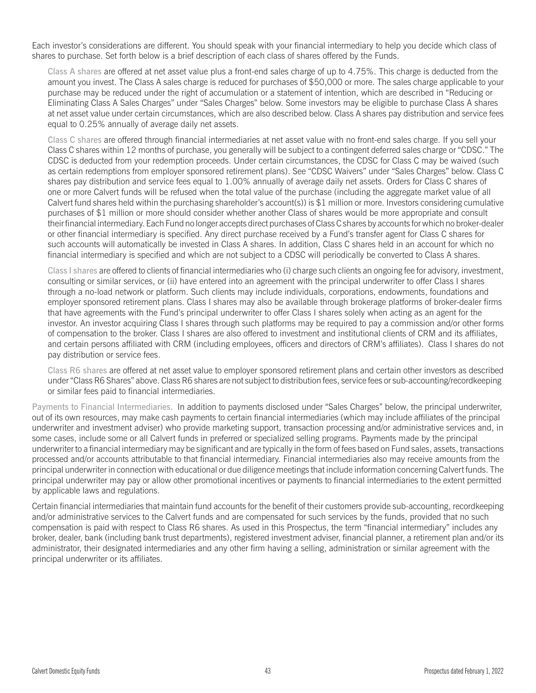Each investor's considerations are different. You should speak with your financial intermediary to help you decide which class of shares to purchase. Set forth below is a brief description of each class of shares offered by the Funds.

Class A shares are offered at net asset value plus a front-end sales charge of up to 4.75%. This charge is deducted from the amount you invest. The Class A sales charge is reduced for purchases of \$50,000 or more. The sales charge applicable to your purchase may be reduced under the right of accumulation or a statement of intention, which are described in "Reducing or Eliminating Class A Sales Charges" under "Sales Charges" below. Some investors may be eligible to purchase Class A shares at net asset value under certain circumstances, which are also described below. Class A shares pay distribution and service fees equal to 0.25% annually of average daily net assets.

Class C shares are offered through financial intermediaries at net asset value with no front-end sales charge. If you sell your Class C shares within 12 months of purchase, you generally will be subject to a contingent deferred sales charge or "CDSC." The CDSC is deducted from your redemption proceeds. Under certain circumstances, the CDSC for Class C may be waived (such as certain redemptions from employer sponsored retirement plans). See "CDSC Waivers" under "Sales Charges" below. Class C shares pay distribution and service fees equal to 1.00% annually of average daily net assets. Orders for Class C shares of one or more Calvert funds will be refused when the total value of the purchase (including the aggregate market value of all Calvert fund shares held within the purchasing shareholder's account(s)) is \$1 million or more. Investors considering cumulative purchases of \$1 million or more should consider whether another Class of shares would be more appropriate and consult their financial intermediary. Each Fund no longer accepts direct purchases of Class C shares by accounts for which no broker-dealer or other financial intermediary is specified. Any direct purchase received by a Fund's transfer agent for Class C shares for such accounts will automatically be invested in Class A shares. In addition, Class C shares held in an account for which no financial intermediary is specified and which are not subject to a CDSC will periodically be converted to Class A shares.

Class I shares are offered to clients of financial intermediaries who (i) charge such clients an ongoing fee for advisory, investment, consulting or similar services, or (ii) have entered into an agreement with the principal underwriter to offer Class I shares through a no-load network or platform. Such clients may include individuals, corporations, endowments, foundations and employer sponsored retirement plans. Class I shares may also be available through brokerage platforms of broker-dealer firms that have agreements with the Fund's principal underwriter to offer Class I shares solely when acting as an agent for the investor. An investor acquiring Class I shares through such platforms may be required to pay a commission and/or other forms of compensation to the broker. Class I shares are also offered to investment and institutional clients of CRM and its affiliates, and certain persons affiliated with CRM (including employees, officers and directors of CRM's affiliates). Class I shares do not pay distribution or service fees.

Class R6 shares are offered at net asset value to employer sponsored retirement plans and certain other investors as described under "Class R6 Shares" above. Class R6 shares are not subject to distribution fees, service fees or sub-accounting/recordkeeping or similar fees paid to financial intermediaries.

Payments to Financial Intermediaries. In addition to payments disclosed under "Sales Charges" below, the principal underwriter, out of its own resources, may make cash payments to certain financial intermediaries (which may include affiliates of the principal underwriter and investment adviser) who provide marketing support, transaction processing and/or administrative services and, in some cases, include some or all Calvert funds in preferred or specialized selling programs. Payments made by the principal underwriter to a financial intermediary may be significant and are typically in the form of fees based on Fund sales, assets, transactions processed and/or accounts attributable to that financial intermediary. Financial intermediaries also may receive amounts from the principal underwriter in connection with educational or due diligence meetings that include information concerning Calvert funds. The principal underwriter may pay or allow other promotional incentives or payments to financial intermediaries to the extent permitted by applicable laws and regulations.

Certain financial intermediaries that maintain fund accounts for the benefit of their customers provide sub-accounting, recordkeeping and/or administrative services to the Calvert funds and are compensated for such services by the funds, provided that no such compensation is paid with respect to Class R6 shares. As used in this Prospectus, the term "financial intermediary" includes any broker, dealer, bank (including bank trust departments), registered investment adviser, financial planner, a retirement plan and/or its administrator, their designated intermediaries and any other firm having a selling, administration or similar agreement with the principal underwriter or its affiliates.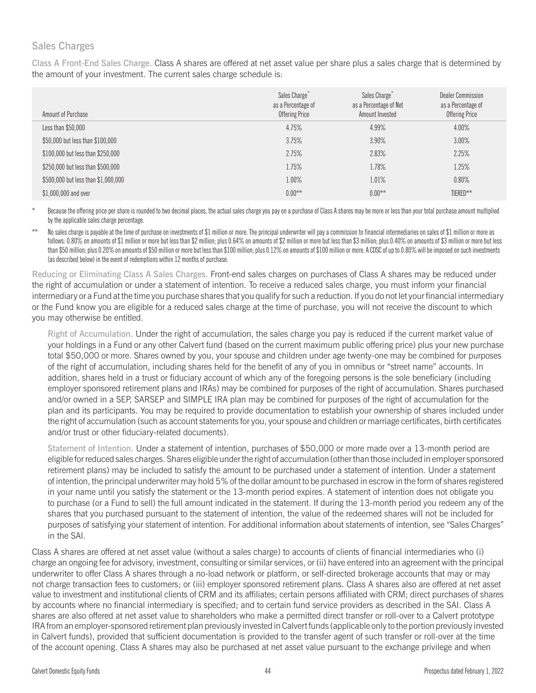# Sales Charges

Class A Front-End Sales Charge. Class A shares are offered at net asset value per share plus a sales charge that is determined by the amount of your investment. The current sales charge schedule is:

| Amount of Purchase                  | Sales Charge <sup>*</sup><br>as a Percentage of<br>Offering Price | Sales Charge <sup>®</sup><br>as a Percentage of Net<br>Amount Invested | Dealer Commission<br>as a Percentage of<br><b>Offering Price</b> |
|-------------------------------------|-------------------------------------------------------------------|------------------------------------------------------------------------|------------------------------------------------------------------|
| Less than $$50,000$                 | 4.75%                                                             | 4.99%                                                                  | 4.00%                                                            |
| \$50,000 but less than \$100,000    | 3.75%                                                             | 3.90%                                                                  | 3.00%                                                            |
| \$100,000 but less than \$250,000   | 2.75%                                                             | 2.83%                                                                  | 2.25%                                                            |
| \$250,000 but less than \$500,000   | 1.75%                                                             | 1.78%                                                                  | 1.25%                                                            |
| \$500,000 but less than \$1,000,000 | 1.00%                                                             | 1.01%                                                                  | 0.80%                                                            |
| \$1,000,000 and over                | $0.00***$                                                         | $0.00**$                                                               | TIERED**                                                         |

Because the offering price per share is rounded to two decimal places, the actual sales charge you pay on a purchase of Class A shares may be more or less than your total purchase amount multiplied by the applicable sales charge percentage.

No sales charge is payable at the time of purchase on investments of \$1 million or more. The principal underwriter will pay a commission to financial intermediaries on sales of \$1 million or more as follows: 0.80% on amounts of \$1 million or more but less than \$2 million; plus 0.64% on amounts of \$2 million or more but less than \$3 million; plus 0.40% on amounts of \$3 million or more but less than \$50 million; plus 0.20% on amounts of \$50 million or more but less than \$100 million; plus 0.12% on amounts of \$100 million or more. A CDSC of up to 0.80% will be imposed on such investments (as described below) in the event of redemptions within 12 months of purchase.

Reducing or Eliminating Class A Sales Charges. Front-end sales charges on purchases of Class A shares may be reduced under the right of accumulation or under a statement of intention. To receive a reduced sales charge, you must inform your financial intermediary or a Fund at the time you purchase shares that you qualify for such a reduction. If you do not let your financial intermediary or the Fund know you are eligible for a reduced sales charge at the time of purchase, you will not receive the discount to which you may otherwise be entitled.

Right of Accumulation. Under the right of accumulation, the sales charge you pay is reduced if the current market value of your holdings in a Fund or any other Calvert fund (based on the current maximum public offering price) plus your new purchase total \$50,000 or more. Shares owned by you, your spouse and children under age twenty-one may be combined for purposes of the right of accumulation, including shares held for the benefit of any of you in omnibus or "street name" accounts. In addition, shares held in a trust or fiduciary account of which any of the foregoing persons is the sole beneficiary (including employer sponsored retirement plans and IRAs) may be combined for purposes of the right of accumulation. Shares purchased and/or owned in a SEP, SARSEP and SIMPLE IRA plan may be combined for purposes of the right of accumulation for the plan and its participants. You may be required to provide documentation to establish your ownership of shares included under the right of accumulation (such as account statements for you, your spouse and children or marriage certificates, birth certificates and/or trust or other fiduciary-related documents).

Statement of Intention. Under a statement of intention, purchases of \$50,000 or more made over a 13-month period are eligible for reduced sales charges. Shares eligible under the right of accumulation (other than those included in employer sponsored retirement plans) may be included to satisfy the amount to be purchased under a statement of intention. Under a statement of intention, the principal underwriter may hold 5% of the dollar amount to be purchased in escrow in the form of shares registered in your name until you satisfy the statement or the 13-month period expires. A statement of intention does not obligate you to purchase (or a Fund to sell) the full amount indicated in the statement. If during the 13-month period you redeem any of the shares that you purchased pursuant to the statement of intention, the value of the redeemed shares will not be included for purposes of satisfying your statement of intention. For additional information about statements of intention, see "Sales Charges" in the SAI.

Class A shares are offered at net asset value (without a sales charge) to accounts of clients of financial intermediaries who (i) charge an ongoing fee for advisory, investment, consulting or similar services, or (ii) have entered into an agreement with the principal underwriter to offer Class A shares through a no-load network or platform, or self-directed brokerage accounts that may or may not charge transaction fees to customers; or (iii) employer sponsored retirement plans. Class A shares also are offered at net asset value to investment and institutional clients of CRM and its affiliates; certain persons affiliated with CRM; direct purchases of shares by accounts where no financial intermediary is specified; and to certain fund service providers as described in the SAI. Class A shares are also offered at net asset value to shareholders who make a permitted direct transfer or roll-over to a Calvert prototype IRA from an employer-sponsored retirement plan previously invested in Calvert funds (applicable only to the portion previously invested in Calvert funds), provided that sufficient documentation is provided to the transfer agent of such transfer or roll-over at the time of the account opening. Class A shares may also be purchased at net asset value pursuant to the exchange privilege and when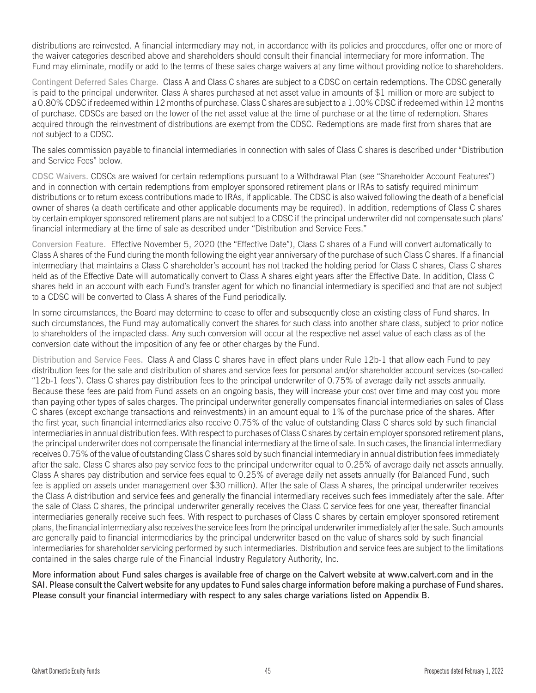distributions are reinvested. A financial intermediary may not, in accordance with its policies and procedures, offer one or more of the waiver categories described above and shareholders should consult their financial intermediary for more information. The Fund may eliminate, modify or add to the terms of these sales charge waivers at any time without providing notice to shareholders.

Contingent Deferred Sales Charge. Class A and Class C shares are subject to a CDSC on certain redemptions. The CDSC generally is paid to the principal underwriter. Class A shares purchased at net asset value in amounts of \$1 million or more are subject to a 0.80% CDSC if redeemed within 12 months of purchase. Class C shares are subject to a 1.00% CDSC if redeemed within 12 months of purchase. CDSCs are based on the lower of the net asset value at the time of purchase or at the time of redemption. Shares acquired through the reinvestment of distributions are exempt from the CDSC. Redemptions are made first from shares that are not subject to a CDSC.

The sales commission payable to financial intermediaries in connection with sales of Class C shares is described under "Distribution and Service Fees" below.

CDSC Waivers. CDSCs are waived for certain redemptions pursuant to a Withdrawal Plan (see "Shareholder Account Features") and in connection with certain redemptions from employer sponsored retirement plans or IRAs to satisfy required minimum distributions or to return excess contributions made to IRAs, if applicable. The CDSC is also waived following the death of a beneficial owner of shares (a death certificate and other applicable documents may be required). In addition, redemptions of Class C shares by certain employer sponsored retirement plans are not subject to a CDSC if the principal underwriter did not compensate such plans' financial intermediary at the time of sale as described under "Distribution and Service Fees."

Conversion Feature. Effective November 5, 2020 (the "Effective Date"), Class C shares of a Fund will convert automatically to Class A shares of the Fund during the month following the eight year anniversary of the purchase of such Class C shares. If a financial intermediary that maintains a Class C shareholder's account has not tracked the holding period for Class C shares, Class C shares held as of the Effective Date will automatically convert to Class A shares eight years after the Effective Date. In addition, Class C shares held in an account with each Fund's transfer agent for which no financial intermediary is specified and that are not subject to a CDSC will be converted to Class A shares of the Fund periodically.

In some circumstances, the Board may determine to cease to offer and subsequently close an existing class of Fund shares. In such circumstances, the Fund may automatically convert the shares for such class into another share class, subject to prior notice to shareholders of the impacted class. Any such conversion will occur at the respective net asset value of each class as of the conversion date without the imposition of any fee or other charges by the Fund.

Distribution and Service Fees. Class A and Class C shares have in effect plans under Rule 12b-1 that allow each Fund to pay distribution fees for the sale and distribution of shares and service fees for personal and/or shareholder account services (so-called "12b-1 fees"). Class C shares pay distribution fees to the principal underwriter of 0.75% of average daily net assets annually. Because these fees are paid from Fund assets on an ongoing basis, they will increase your cost over time and may cost you more than paying other types of sales charges. The principal underwriter generally compensates financial intermediaries on sales of Class C shares (except exchange transactions and reinvestments) in an amount equal to 1% of the purchase price of the shares. After the first year, such financial intermediaries also receive 0.75% of the value of outstanding Class C shares sold by such financial intermediaries in annual distribution fees. With respect to purchases of Class C shares by certain employer sponsored retirement plans, the principal underwriter does not compensate the financial intermediary at the time of sale. In such cases, the financial intermediary receives 0.75% of the value of outstanding Class C shares sold by such financial intermediary in annual distribution fees immediately after the sale. Class C shares also pay service fees to the principal underwriter equal to 0.25% of average daily net assets annually. Class A shares pay distribution and service fees equal to 0.25% of average daily net assets annually (for Balanced Fund, such fee is applied on assets under management over \$30 million). After the sale of Class A shares, the principal underwriter receives the Class A distribution and service fees and generally the financial intermediary receives such fees immediately after the sale. After the sale of Class C shares, the principal underwriter generally receives the Class C service fees for one year, thereafter financial intermediaries generally receive such fees. With respect to purchases of Class C shares by certain employer sponsored retirement plans, the financial intermediary also receives the service fees from the principal underwriter immediately after the sale. Such amounts are generally paid to financial intermediaries by the principal underwriter based on the value of shares sold by such financial intermediaries for shareholder servicing performed by such intermediaries. Distribution and service fees are subject to the limitations contained in the sales charge rule of the Financial Industry Regulatory Authority, Inc.

More information about Fund sales charges is available free of charge on the Calvert website at www.calvert.com and in the SAI. Please consult the Calvert website for any updates to Fund sales charge information before making a purchase of Fund shares. Please consult your financial intermediary with respect to any sales charge variations listed on Appendix B.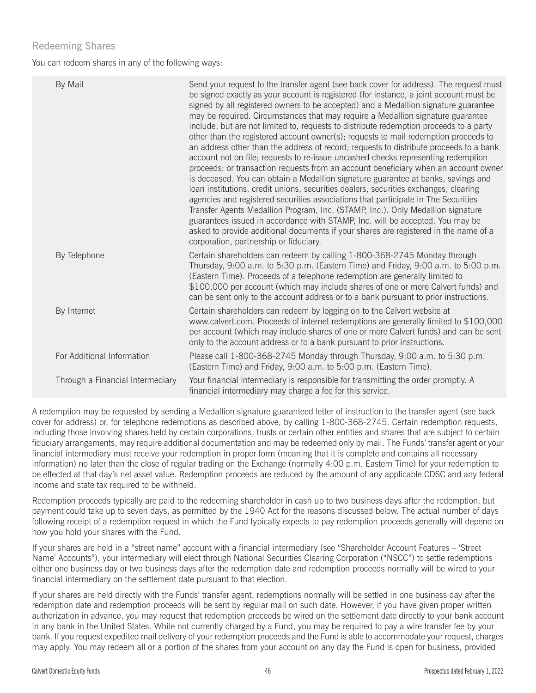# Redeeming Shares

You can redeem shares in any of the following ways:

| By Mail                          | Send your request to the transfer agent (see back cover for address). The request must<br>be signed exactly as your account is registered (for instance, a joint account must be<br>signed by all registered owners to be accepted) and a Medallion signature guarantee<br>may be required. Circumstances that may require a Medallion signature guarantee<br>include, but are not limited to, requests to distribute redemption proceeds to a party<br>other than the registered account owner(s); requests to mail redemption proceeds to<br>an address other than the address of record; requests to distribute proceeds to a bank<br>account not on file; requests to re-issue uncashed checks representing redemption<br>proceeds; or transaction requests from an account beneficiary when an account owner<br>is deceased. You can obtain a Medallion signature guarantee at banks, savings and<br>loan institutions, credit unions, securities dealers, securities exchanges, clearing<br>agencies and registered securities associations that participate in The Securities<br>Transfer Agents Medallion Program, Inc. (STAMP, Inc.). Only Medallion signature<br>guarantees issued in accordance with STAMP, Inc. will be accepted. You may be<br>asked to provide additional documents if your shares are registered in the name of a<br>corporation, partnership or fiduciary. |
|----------------------------------|--------------------------------------------------------------------------------------------------------------------------------------------------------------------------------------------------------------------------------------------------------------------------------------------------------------------------------------------------------------------------------------------------------------------------------------------------------------------------------------------------------------------------------------------------------------------------------------------------------------------------------------------------------------------------------------------------------------------------------------------------------------------------------------------------------------------------------------------------------------------------------------------------------------------------------------------------------------------------------------------------------------------------------------------------------------------------------------------------------------------------------------------------------------------------------------------------------------------------------------------------------------------------------------------------------------------------------------------------------------------------------------------|
| By Telephone                     | Certain shareholders can redeem by calling 1-800-368-2745 Monday through<br>Thursday, 9:00 a.m. to 5:30 p.m. (Eastern Time) and Friday, 9:00 a.m. to 5:00 p.m.<br>(Eastern Time). Proceeds of a telephone redemption are generally limited to<br>\$100,000 per account (which may include shares of one or more Calvert funds) and<br>can be sent only to the account address or to a bank pursuant to prior instructions.                                                                                                                                                                                                                                                                                                                                                                                                                                                                                                                                                                                                                                                                                                                                                                                                                                                                                                                                                                 |
| By Internet                      | Certain shareholders can redeem by logging on to the Calvert website at<br>www.calvert.com. Proceeds of internet redemptions are generally limited to \$100,000<br>per account (which may include shares of one or more Calvert funds) and can be sent<br>only to the account address or to a bank pursuant to prior instructions.                                                                                                                                                                                                                                                                                                                                                                                                                                                                                                                                                                                                                                                                                                                                                                                                                                                                                                                                                                                                                                                         |
| For Additional Information       | Please call 1-800-368-2745 Monday through Thursday, 9:00 a.m. to 5:30 p.m.<br>(Eastern Time) and Friday, 9:00 a.m. to 5:00 p.m. (Eastern Time).                                                                                                                                                                                                                                                                                                                                                                                                                                                                                                                                                                                                                                                                                                                                                                                                                                                                                                                                                                                                                                                                                                                                                                                                                                            |
| Through a Financial Intermediary | Your financial intermediary is responsible for transmitting the order promptly. A<br>financial intermediary may charge a fee for this service.                                                                                                                                                                                                                                                                                                                                                                                                                                                                                                                                                                                                                                                                                                                                                                                                                                                                                                                                                                                                                                                                                                                                                                                                                                             |

A redemption may be requested by sending a Medallion signature guaranteed letter of instruction to the transfer agent (see back cover for address) or, for telephone redemptions as described above, by calling 1-800-368-2745. Certain redemption requests, including those involving shares held by certain corporations, trusts or certain other entities and shares that are subject to certain fiduciary arrangements, may require additional documentation and may be redeemed only by mail. The Funds' transfer agent or your financial intermediary must receive your redemption in proper form (meaning that it is complete and contains all necessary information) no later than the close of regular trading on the Exchange (normally 4:00 p.m. Eastern Time) for your redemption to be effected at that day's net asset value. Redemption proceeds are reduced by the amount of any applicable CDSC and any federal income and state tax required to be withheld.

Redemption proceeds typically are paid to the redeeming shareholder in cash up to two business days after the redemption, but payment could take up to seven days, as permitted by the 1940 Act for the reasons discussed below. The actual number of days following receipt of a redemption request in which the Fund typically expects to pay redemption proceeds generally will depend on how you hold your shares with the Fund.

If your shares are held in a "street name" account with a financial intermediary (see "Shareholder Account Features – 'Street Name' Accounts"), your intermediary will elect through National Securities Clearing Corporation ("NSCC") to settle redemptions either one business day or two business days after the redemption date and redemption proceeds normally will be wired to your financial intermediary on the settlement date pursuant to that election.

If your shares are held directly with the Funds' transfer agent, redemptions normally will be settled in one business day after the redemption date and redemption proceeds will be sent by regular mail on such date. However, if you have given proper written authorization in advance, you may request that redemption proceeds be wired on the settlement date directly to your bank account in any bank in the United States. While not currently charged by a Fund, you may be required to pay a wire transfer fee by your bank. If you request expedited mail delivery of your redemption proceeds and the Fund is able to accommodate your request, charges may apply. You may redeem all or a portion of the shares from your account on any day the Fund is open for business, provided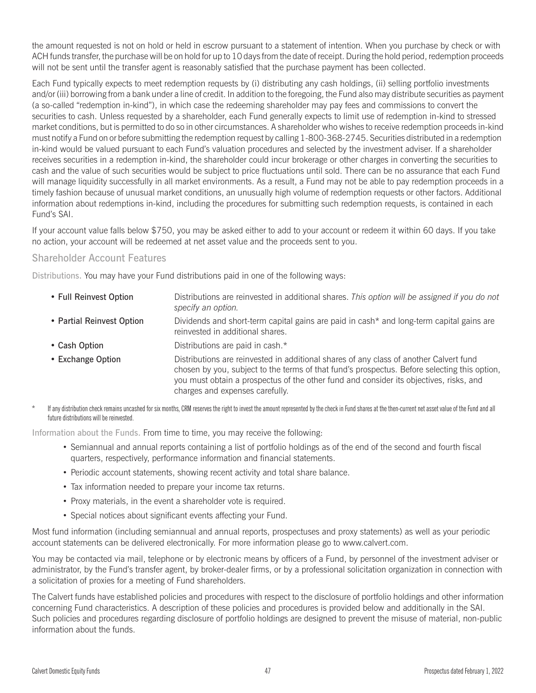the amount requested is not on hold or held in escrow pursuant to a statement of intention. When you purchase by check or with ACH funds transfer, the purchase will be on hold for up to 10 days from the date of receipt. During the hold period, redemption proceeds will not be sent until the transfer agent is reasonably satisfied that the purchase payment has been collected.

Each Fund typically expects to meet redemption requests by (i) distributing any cash holdings, (ii) selling portfolio investments and/or (iii) borrowing from a bank under a line of credit. In addition to the foregoing, the Fund also may distribute securities as payment (a so-called "redemption in-kind"), in which case the redeeming shareholder may pay fees and commissions to convert the securities to cash. Unless requested by a shareholder, each Fund generally expects to limit use of redemption in-kind to stressed market conditions, but is permitted to do so in other circumstances. A shareholder who wishes to receive redemption proceeds in-kind must notify a Fund on or before submitting the redemption request by calling 1-800-368-2745. Securities distributed in a redemption in-kind would be valued pursuant to each Fund's valuation procedures and selected by the investment adviser. If a shareholder receives securities in a redemption in-kind, the shareholder could incur brokerage or other charges in converting the securities to cash and the value of such securities would be subject to price fluctuations until sold. There can be no assurance that each Fund will manage liquidity successfully in all market environments. As a result, a Fund may not be able to pay redemption proceeds in a timely fashion because of unusual market conditions, an unusually high volume of redemption requests or other factors. Additional information about redemptions in-kind, including the procedures for submitting such redemption requests, is contained in each Fund's SAI.

If your account value falls below \$750, you may be asked either to add to your account or redeem it within 60 days. If you take no action, your account will be redeemed at net asset value and the proceeds sent to you.

# Shareholder Account Features

Distributions. You may have your Fund distributions paid in one of the following ways:

- Full Reinvest Option Distributions are reinvested in additional shares. *This option will be assigned if you do not specify an option.*
- Partial Reinvest Option Dividends and short-term capital gains are paid in cash\* and long-term capital gains are reinvested in additional shares.
- Cash Option Distributions are paid in cash.\*
- Exchange Option Distributions are reinvested in additional shares of any class of another Calvert fund chosen by you, subject to the terms of that fund's prospectus. Before selecting this option, you must obtain a prospectus of the other fund and consider its objectives, risks, and charges and expenses carefully.
- If any distribution check remains uncashed for six months, CRM reserves the right to invest the amount represented by the check in Fund shares at the then-current net asset value of the Fund and all future distributions will be reinvested.

Information about the Funds. From time to time, you may receive the following:

- v Semiannual and annual reports containing a list of portfolio holdings as of the end of the second and fourth fiscal quarters, respectively, performance information and financial statements.
- Periodic account statements, showing recent activity and total share balance.
- Tax information needed to prepare your income tax returns.
- Proxy materials, in the event a shareholder vote is required.
- Special notices about significant events affecting your Fund.

Most fund information (including semiannual and annual reports, prospectuses and proxy statements) as well as your periodic account statements can be delivered electronically. For more information please go to www.calvert.com.

You may be contacted via mail, telephone or by electronic means by officers of a Fund, by personnel of the investment adviser or administrator, by the Fund's transfer agent, by broker-dealer firms, or by a professional solicitation organization in connection with a solicitation of proxies for a meeting of Fund shareholders.

The Calvert funds have established policies and procedures with respect to the disclosure of portfolio holdings and other information concerning Fund characteristics. A description of these policies and procedures is provided below and additionally in the SAI. Such policies and procedures regarding disclosure of portfolio holdings are designed to prevent the misuse of material, non-public information about the funds.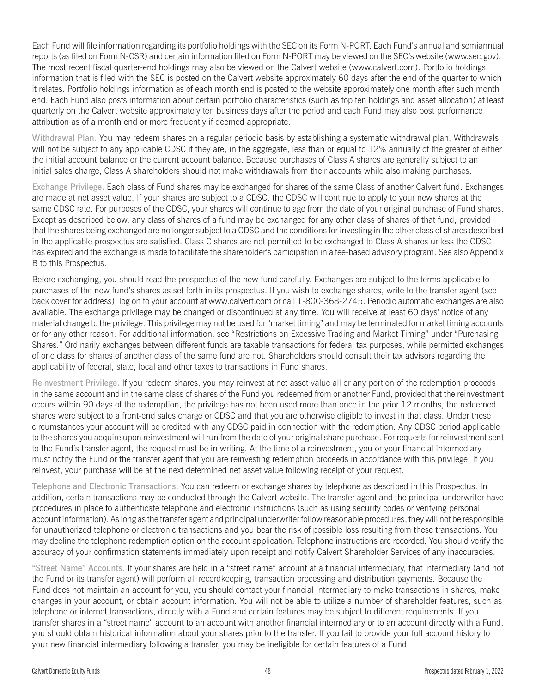Each Fund will file information regarding its portfolio holdings with the SEC on its Form N-PORT. Each Fund's annual and semiannual reports (as filed on Form N-CSR) and certain information filed on Form N-PORT may be viewed on the SEC's website [\(www.sec.gov\)](www.sec.gov). The most recent fiscal quarter-end holdings may also be viewed on the Calvert website (www.calvert.com). Portfolio holdings information that is filed with the SEC is posted on the Calvert website approximately 60 days after the end of the quarter to which it relates. Portfolio holdings information as of each month end is posted to the website approximately one month after such month end. Each Fund also posts information about certain portfolio characteristics (such as top ten holdings and asset allocation) at least quarterly on the Calvert website approximately ten business days after the period and each Fund may also post performance attribution as of a month end or more frequently if deemed appropriate.

Withdrawal Plan. You may redeem shares on a regular periodic basis by establishing a systematic withdrawal plan. Withdrawals will not be subject to any applicable CDSC if they are, in the aggregate, less than or equal to 12% annually of the greater of either the initial account balance or the current account balance. Because purchases of Class A shares are generally subject to an initial sales charge, Class A shareholders should not make withdrawals from their accounts while also making purchases.

Exchange Privilege. Each class of Fund shares may be exchanged for shares of the same Class of another Calvert fund. Exchanges are made at net asset value. If your shares are subject to a CDSC, the CDSC will continue to apply to your new shares at the same CDSC rate. For purposes of the CDSC, your shares will continue to age from the date of your original purchase of Fund shares. Except as described below, any class of shares of a fund may be exchanged for any other class of shares of that fund, provided that the shares being exchanged are no longer subject to a CDSC and the conditions for investing in the other class of shares described in the applicable prospectus are satisfied. Class C shares are not permitted to be exchanged to Class A shares unless the CDSC has expired and the exchange is made to facilitate the shareholder's participation in a fee-based advisory program. See also Appendix B to this Prospectus.

Before exchanging, you should read the prospectus of the new fund carefully. Exchanges are subject to the terms applicable to purchases of the new fund's shares as set forth in its prospectus. If you wish to exchange shares, write to the transfer agent (see back cover for address), log on to your account at www.calvert.com or call 1-800-368-2745. Periodic automatic exchanges are also available. The exchange privilege may be changed or discontinued at any time. You will receive at least 60 days' notice of any material change to the privilege. This privilege may not be used for "market timing" and may be terminated for market timing accounts or for any other reason. For additional information, see "Restrictions on Excessive Trading and Market Timing" under "Purchasing Shares." Ordinarily exchanges between different funds are taxable transactions for federal tax purposes, while permitted exchanges of one class for shares of another class of the same fund are not. Shareholders should consult their tax advisors regarding the applicability of federal, state, local and other taxes to transactions in Fund shares.

Reinvestment Privilege. If you redeem shares, you may reinvest at net asset value all or any portion of the redemption proceeds in the same account and in the same class of shares of the Fund you redeemed from or another Fund, provided that the reinvestment occurs within 90 days of the redemption, the privilege has not been used more than once in the prior 12 months, the redeemed shares were subject to a front-end sales charge or CDSC and that you are otherwise eligible to invest in that class. Under these circumstances your account will be credited with any CDSC paid in connection with the redemption. Any CDSC period applicable to the shares you acquire upon reinvestment will run from the date of your original share purchase. For requests for reinvestment sent to the Fund's transfer agent, the request must be in writing. At the time of a reinvestment, you or your financial intermediary must notify the Fund or the transfer agent that you are reinvesting redemption proceeds in accordance with this privilege. If you reinvest, your purchase will be at the next determined net asset value following receipt of your request.

Telephone and Electronic Transactions. You can redeem or exchange shares by telephone as described in this Prospectus. In addition, certain transactions may be conducted through the Calvert website. The transfer agent and the principal underwriter have procedures in place to authenticate telephone and electronic instructions (such as using security codes or verifying personal account information). As long as the transfer agent and principal underwriter follow reasonable procedures, they will not be responsible for unauthorized telephone or electronic transactions and you bear the risk of possible loss resulting from these transactions. You may decline the telephone redemption option on the account application. Telephone instructions are recorded. You should verify the accuracy of your confirmation statements immediately upon receipt and notify Calvert Shareholder Services of any inaccuracies.

"Street Name" Accounts. If your shares are held in a "street name" account at a financial intermediary, that intermediary (and not the Fund or its transfer agent) will perform all recordkeeping, transaction processing and distribution payments. Because the Fund does not maintain an account for you, you should contact your financial intermediary to make transactions in shares, make changes in your account, or obtain account information. You will not be able to utilize a number of shareholder features, such as telephone or internet transactions, directly with a Fund and certain features may be subject to different requirements. If you transfer shares in a "street name" account to an account with another financial intermediary or to an account directly with a Fund, you should obtain historical information about your shares prior to the transfer. If you fail to provide your full account history to your new financial intermediary following a transfer, you may be ineligible for certain features of a Fund.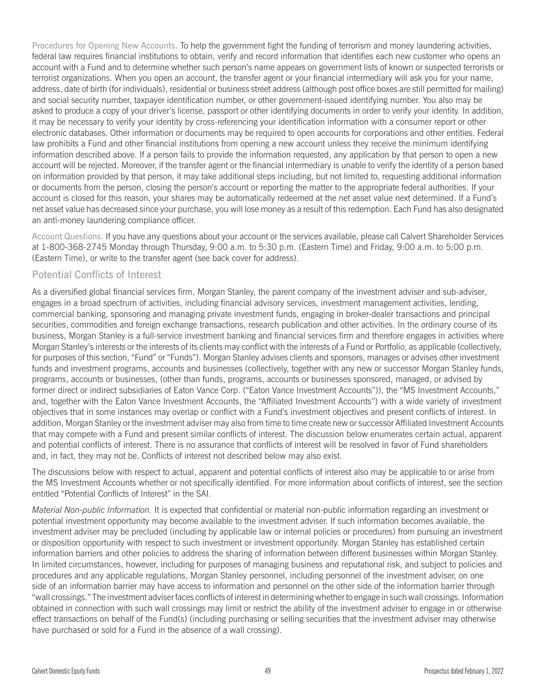Procedures for Opening New Accounts. To help the government fight the funding of terrorism and money laundering activities, federal law requires financial institutions to obtain, verify and record information that identifies each new customer who opens an account with a Fund and to determine whether such person's name appears on government lists of known or suspected terrorists or terrorist organizations. When you open an account, the transfer agent or your financial intermediary will ask you for your name, address, date of birth (for individuals), residential or business street address (although post office boxes are still permitted for mailing) and social security number, taxpayer identification number, or other government-issued identifying number. You also may be asked to produce a copy of your driver's license, passport or other identifying documents in order to verify your identity. In addition, it may be necessary to verify your identity by cross-referencing your identification information with a consumer report or other electronic databases. Other information or documents may be required to open accounts for corporations and other entities. Federal law prohibits a Fund and other financial institutions from opening a new account unless they receive the minimum identifying information described above. If a person fails to provide the information requested, any application by that person to open a new account will be rejected. Moreover, if the transfer agent or the financial intermediary is unable to verify the identity of a person based on information provided by that person, it may take additional steps including, but not limited to, requesting additional information or documents from the person, closing the person's account or reporting the matter to the appropriate federal authorities. If your account is closed for this reason, your shares may be automatically redeemed at the net asset value next determined. If a Fund's net asset value has decreased since your purchase, you will lose money as a result of this redemption. Each Fund has also designated an anti-money laundering compliance officer.

Account Questions. If you have any questions about your account or the services available, please call Calvert Shareholder Services at 1-800-368-2745 Monday through Thursday, 9:00 a.m. to 5:30 p.m. (Eastern Time) and Friday, 9:00 a.m. to 5:00 p.m. (Eastern Time), or write to the transfer agent (see back cover for address).

# Potential Conflicts of Interest

As a diversified global financial services firm, Morgan Stanley, the parent company of the investment adviser and sub-adviser, engages in a broad spectrum of activities, including financial advisory services, investment management activities, lending, commercial banking, sponsoring and managing private investment funds, engaging in broker-dealer transactions and principal securities, commodities and foreign exchange transactions, research publication and other activities. In the ordinary course of its business, Morgan Stanley is a full-service investment banking and financial services firm and therefore engages in activities where Morgan Stanley's interests or the interests of its clients may conflict with the interests of a Fund or Portfolio, as applicable (collectively, for purposes of this section, "Fund" or "Funds"). Morgan Stanley advises clients and sponsors, manages or advises other investment funds and investment programs, accounts and businesses (collectively, together with any new or successor Morgan Stanley funds, programs, accounts or businesses, (other than funds, programs, accounts or businesses sponsored, managed, or advised by former direct or indirect subsidiaries of Eaton Vance Corp. ("Eaton Vance Investment Accounts")), the "MS Investment Accounts," and, together with the Eaton Vance Investment Accounts, the ''Affiliated Investment Accounts'') with a wide variety of investment objectives that in some instances may overlap or conflict with a Fund's investment objectives and present conflicts of interest. In addition, Morgan Stanley or the investment adviser may also from time to time create new or successor Affiliated Investment Accounts that may compete with a Fund and present similar conflicts of interest. The discussion below enumerates certain actual, apparent and potential conflicts of interest. There is no assurance that conflicts of interest will be resolved in favor of Fund shareholders and, in fact, they may not be. Conflicts of interest not described below may also exist.

The discussions below with respect to actual, apparent and potential conflicts of interest also may be applicable to or arise from the MS Investment Accounts whether or not specifically identified. For more information about conflicts of interest, see the section entitled "Potential Conflicts of Interest" in the SAI.

*Material Non-public Information.* It is expected that confidential or material non-public information regarding an investment or potential investment opportunity may become available to the investment adviser. If such information becomes available, the investment adviser may be precluded (including by applicable law or internal policies or procedures) from pursuing an investment or disposition opportunity with respect to such investment or investment opportunity. Morgan Stanley has established certain information barriers and other policies to address the sharing of information between different businesses within Morgan Stanley. In limited circumstances, however, including for purposes of managing business and reputational risk, and subject to policies and procedures and any applicable regulations, Morgan Stanley personnel, including personnel of the investment adviser, on one side of an information barrier may have access to information and personnel on the other side of the information barrier through "wall crossings." The investment adviser faces conflicts of interest in determining whether to engage in such wall crossings. Information obtained in connection with such wall crossings may limit or restrict the ability of the investment adviser to engage in or otherwise effect transactions on behalf of the Fund(s) (including purchasing or selling securities that the investment adviser may otherwise have purchased or sold for a Fund in the absence of a wall crossing).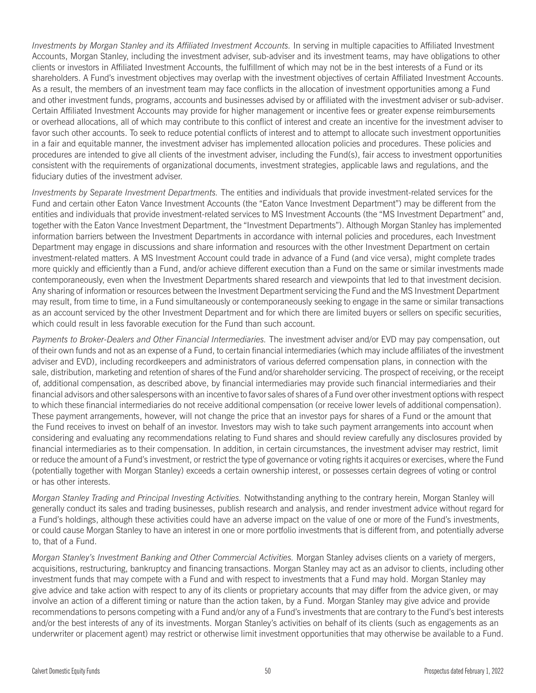*Investments by Morgan Stanley and its Affiliated Investment Accounts.* In serving in multiple capacities to Affiliated Investment Accounts, Morgan Stanley, including the investment adviser, sub-adviser and its investment teams, may have obligations to other clients or investors in Affiliated Investment Accounts, the fulfillment of which may not be in the best interests of a Fund or its shareholders. A Fund's investment objectives may overlap with the investment objectives of certain Affiliated Investment Accounts. As a result, the members of an investment team may face conflicts in the allocation of investment opportunities among a Fund and other investment funds, programs, accounts and businesses advised by or affiliated with the investment adviser or sub-adviser. Certain Affiliated Investment Accounts may provide for higher management or incentive fees or greater expense reimbursements or overhead allocations, all of which may contribute to this conflict of interest and create an incentive for the investment adviser to favor such other accounts. To seek to reduce potential conflicts of interest and to attempt to allocate such investment opportunities in a fair and equitable manner, the investment adviser has implemented allocation policies and procedures. These policies and procedures are intended to give all clients of the investment adviser, including the Fund(s), fair access to investment opportunities consistent with the requirements of organizational documents, investment strategies, applicable laws and regulations, and the fiduciary duties of the investment adviser.

*Investments by Separate Investment Departments.* The entities and individuals that provide investment-related services for the Fund and certain other Eaton Vance Investment Accounts (the "Eaton Vance Investment Department") may be different from the entities and individuals that provide investment-related services to MS Investment Accounts (the "MS Investment Department" and, together with the Eaton Vance Investment Department, the "Investment Departments"). Although Morgan Stanley has implemented information barriers between the Investment Departments in accordance with internal policies and procedures, each Investment Department may engage in discussions and share information and resources with the other Investment Department on certain investment-related matters. A MS Investment Account could trade in advance of a Fund (and vice versa), might complete trades more quickly and efficiently than a Fund, and/or achieve different execution than a Fund on the same or similar investments made contemporaneously, even when the Investment Departments shared research and viewpoints that led to that investment decision. Any sharing of information or resources between the Investment Department servicing the Fund and the MS Investment Department may result, from time to time, in a Fund simultaneously or contemporaneously seeking to engage in the same or similar transactions as an account serviced by the other Investment Department and for which there are limited buyers or sellers on specific securities, which could result in less favorable execution for the Fund than such account.

*Payments to Broker-Dealers and Other Financial Intermediaries.* The investment adviser and/or EVD may pay compensation, out of their own funds and not as an expense of a Fund, to certain financial intermediaries (which may include affiliates of the investment adviser and EVD), including recordkeepers and administrators of various deferred compensation plans, in connection with the sale, distribution, marketing and retention of shares of the Fund and/or shareholder servicing. The prospect of receiving, or the receipt of, additional compensation, as described above, by financial intermediaries may provide such financial intermediaries and their financial advisors and other salespersons with an incentive to favor sales of shares of a Fund over other investment options with respect to which these financial intermediaries do not receive additional compensation (or receive lower levels of additional compensation). These payment arrangements, however, will not change the price that an investor pays for shares of a Fund or the amount that the Fund receives to invest on behalf of an investor. Investors may wish to take such payment arrangements into account when considering and evaluating any recommendations relating to Fund shares and should review carefully any disclosures provided by financial intermediaries as to their compensation. In addition, in certain circumstances, the investment adviser may restrict, limit or reduce the amount of a Fund's investment, or restrict the type of governance or voting rights it acquires or exercises, where the Fund (potentially together with Morgan Stanley) exceeds a certain ownership interest, or possesses certain degrees of voting or control or has other interests.

*Morgan Stanley Trading and Principal Investing Activities.* Notwithstanding anything to the contrary herein, Morgan Stanley will generally conduct its sales and trading businesses, publish research and analysis, and render investment advice without regard for a Fund's holdings, although these activities could have an adverse impact on the value of one or more of the Fund's investments, or could cause Morgan Stanley to have an interest in one or more portfolio investments that is different from, and potentially adverse to, that of a Fund.

*Morgan Stanley's Investment Banking and Other Commercial Activities.* Morgan Stanley advises clients on a variety of mergers, acquisitions, restructuring, bankruptcy and financing transactions. Morgan Stanley may act as an advisor to clients, including other investment funds that may compete with a Fund and with respect to investments that a Fund may hold. Morgan Stanley may give advice and take action with respect to any of its clients or proprietary accounts that may differ from the advice given, or may involve an action of a different timing or nature than the action taken, by a Fund. Morgan Stanley may give advice and provide recommendations to persons competing with a Fund and/or any of a Fund's investments that are contrary to the Fund's best interests and/or the best interests of any of its investments. Morgan Stanley's activities on behalf of its clients (such as engagements as an underwriter or placement agent) may restrict or otherwise limit investment opportunities that may otherwise be available to a Fund.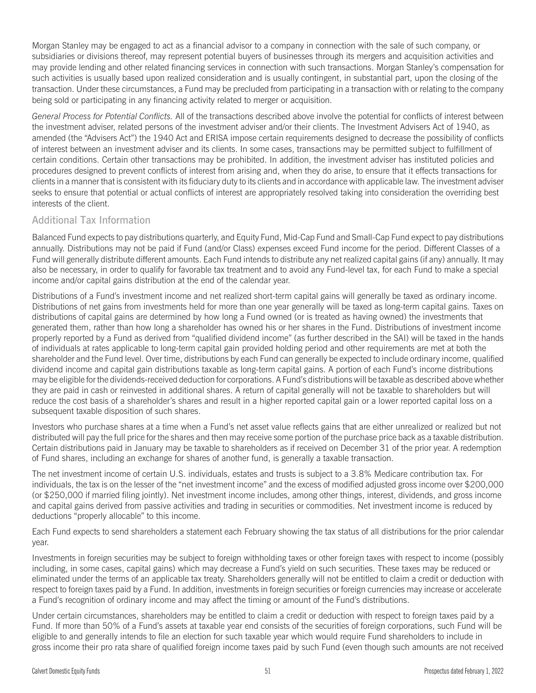Morgan Stanley may be engaged to act as a financial advisor to a company in connection with the sale of such company, or subsidiaries or divisions thereof, may represent potential buyers of businesses through its mergers and acquisition activities and may provide lending and other related financing services in connection with such transactions. Morgan Stanley's compensation for such activities is usually based upon realized consideration and is usually contingent, in substantial part, upon the closing of the transaction. Under these circumstances, a Fund may be precluded from participating in a transaction with or relating to the company being sold or participating in any financing activity related to merger or acquisition.

*General Process for Potential Conflicts.* All of the transactions described above involve the potential for conflicts of interest between the investment adviser, related persons of the investment adviser and/or their clients. The Investment Advisers Act of 1940, as amended (the "Advisers Act") the 1940 Act and ERISA impose certain requirements designed to decrease the possibility of conflicts of interest between an investment adviser and its clients. In some cases, transactions may be permitted subject to fulfillment of certain conditions. Certain other transactions may be prohibited. In addition, the investment adviser has instituted policies and procedures designed to prevent conflicts of interest from arising and, when they do arise, to ensure that it effects transactions for clients in a manner that is consistent with its fiduciary duty to its clients and in accordance with applicable law. The investment adviser seeks to ensure that potential or actual conflicts of interest are appropriately resolved taking into consideration the overriding best interests of the client.

# Additional Tax Information

Balanced Fund expects to pay distributions quarterly, and Equity Fund, Mid-Cap Fund and Small-Cap Fund expect to pay distributions annually. Distributions may not be paid if Fund (and/or Class) expenses exceed Fund income for the period. Different Classes of a Fund will generally distribute different amounts. Each Fund intends to distribute any net realized capital gains (if any) annually. It may also be necessary, in order to qualify for favorable tax treatment and to avoid any Fund-level tax, for each Fund to make a special income and/or capital gains distribution at the end of the calendar year.

Distributions of a Fund's investment income and net realized short-term capital gains will generally be taxed as ordinary income. Distributions of net gains from investments held for more than one year generally will be taxed as long-term capital gains. Taxes on distributions of capital gains are determined by how long a Fund owned (or is treated as having owned) the investments that generated them, rather than how long a shareholder has owned his or her shares in the Fund. Distributions of investment income properly reported by a Fund as derived from "qualified dividend income" (as further described in the SAI) will be taxed in the hands of individuals at rates applicable to long-term capital gain provided holding period and other requirements are met at both the shareholder and the Fund level. Over time, distributions by each Fund can generally be expected to include ordinary income, qualified dividend income and capital gain distributions taxable as long-term capital gains. A portion of each Fund's income distributions may be eligible for the dividends-received deduction for corporations. A Fund's distributions will be taxable as described above whether they are paid in cash or reinvested in additional shares. A return of capital generally will not be taxable to shareholders but will reduce the cost basis of a shareholder's shares and result in a higher reported capital gain or a lower reported capital loss on a subsequent taxable disposition of such shares.

Investors who purchase shares at a time when a Fund's net asset value reflects gains that are either unrealized or realized but not distributed will pay the full price for the shares and then may receive some portion of the purchase price back as a taxable distribution. Certain distributions paid in January may be taxable to shareholders as if received on December 31 of the prior year. A redemption of Fund shares, including an exchange for shares of another fund, is generally a taxable transaction.

The net investment income of certain U.S. individuals, estates and trusts is subject to a 3.8% Medicare contribution tax. For individuals, the tax is on the lesser of the "net investment income" and the excess of modified adjusted gross income over \$200,000 (or \$250,000 if married filing jointly). Net investment income includes, among other things, interest, dividends, and gross income and capital gains derived from passive activities and trading in securities or commodities. Net investment income is reduced by deductions "properly allocable" to this income.

Each Fund expects to send shareholders a statement each February showing the tax status of all distributions for the prior calendar year.

Investments in foreign securities may be subject to foreign withholding taxes or other foreign taxes with respect to income (possibly including, in some cases, capital gains) which may decrease a Fund's yield on such securities. These taxes may be reduced or eliminated under the terms of an applicable tax treaty. Shareholders generally will not be entitled to claim a credit or deduction with respect to foreign taxes paid by a Fund. In addition, investments in foreign securities or foreign currencies may increase or accelerate a Fund's recognition of ordinary income and may affect the timing or amount of the Fund's distributions.

Under certain circumstances, shareholders may be entitled to claim a credit or deduction with respect to foreign taxes paid by a Fund. If more than 50% of a Fund's assets at taxable year end consists of the securities of foreign corporations, such Fund will be eligible to and generally intends to file an election for such taxable year which would require Fund shareholders to include in gross income their pro rata share of qualified foreign income taxes paid by such Fund (even though such amounts are not received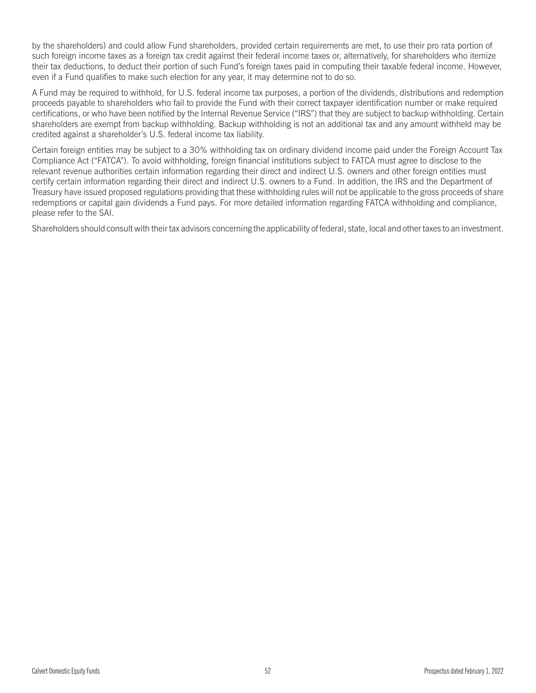by the shareholders) and could allow Fund shareholders, provided certain requirements are met, to use their pro rata portion of such foreign income taxes as a foreign tax credit against their federal income taxes or, alternatively, for shareholders who itemize their tax deductions, to deduct their portion of such Fund's foreign taxes paid in computing their taxable federal income. However, even if a Fund qualifies to make such election for any year, it may determine not to do so.

A Fund may be required to withhold, for U.S. federal income tax purposes, a portion of the dividends, distributions and redemption proceeds payable to shareholders who fail to provide the Fund with their correct taxpayer identification number or make required certifications, or who have been notified by the Internal Revenue Service ("IRS") that they are subject to backup withholding. Certain shareholders are exempt from backup withholding. Backup withholding is not an additional tax and any amount withheld may be credited against a shareholder's U.S. federal income tax liability.

Certain foreign entities may be subject to a 30% withholding tax on ordinary dividend income paid under the Foreign Account Tax Compliance Act ("FATCA"). To avoid withholding, foreign financial institutions subject to FATCA must agree to disclose to the relevant revenue authorities certain information regarding their direct and indirect U.S. owners and other foreign entities must certify certain information regarding their direct and indirect U.S. owners to a Fund. In addition, the IRS and the Department of Treasury have issued proposed regulations providing that these withholding rules will not be applicable to the gross proceeds of share redemptions or capital gain dividends a Fund pays. For more detailed information regarding FATCA withholding and compliance, please refer to the SAI.

Shareholders should consult with their tax advisors concerning the applicability of federal, state, local and other taxes to an investment.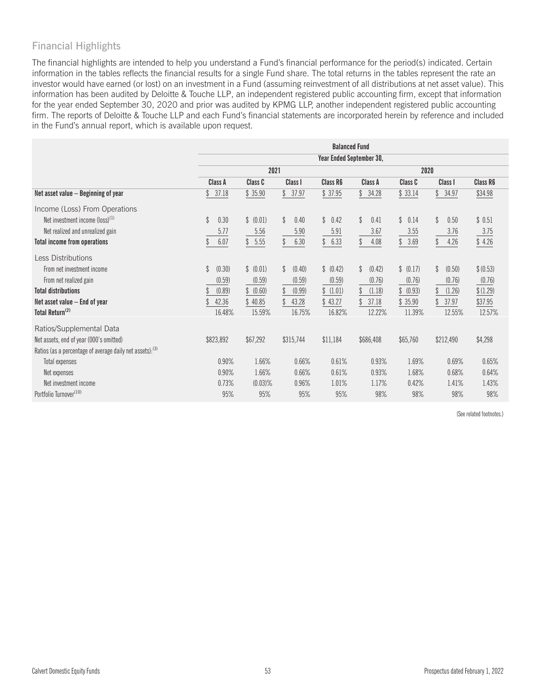# Financial Highlights

The financial highlights are intended to help you understand a Fund's financial performance for the period(s) indicated. Certain information in the tables reflects the financial results for a single Fund share. The total returns in the tables represent the rate an investor would have earned (or lost) on an investment in a Fund (assuming reinvestment of all distributions at net asset value). This information has been audited by Deloitte & Touche LLP, an independent registered public accounting firm, except that information for the year ended September 30, 2020 and prior was audited by KPMG LLP, another independent registered public accounting firm. The reports of Deloitte & Touche LLP and each Fund's financial statements are incorporated herein by reference and included in the Fund's annual report, which is available upon request.

|                                                           | <b>Balanced Fund</b> |             |                         |                          |              |              |              |           |  |  |
|-----------------------------------------------------------|----------------------|-------------|-------------------------|--------------------------|--------------|--------------|--------------|-----------|--|--|
|                                                           |                      |             |                         | Year Ended September 30, |              |              |              |           |  |  |
|                                                           |                      | 2021        |                         |                          |              |              |              |           |  |  |
|                                                           | Class A              | Class C     | Class I                 | Class R6                 | Class A      | Class C      | Class I      | Class R6  |  |  |
| Net asset value - Beginning of year                       | 37.18<br>\$          | \$35.90     | 37.97<br>\$             | \$37.95                  | \$<br>34.28  | \$33.14      | \$<br>34.97  | \$34.98   |  |  |
| Income (Loss) From Operations                             |                      |             |                         |                          |              |              |              |           |  |  |
| Net investment income (loss) <sup>(1)</sup>               | \$<br>0.30           | \$ (0.01)   | $\mathcal{Z}$<br>0.40   | \$<br>0.42               | \$<br>0.41   | \$<br>0.14   | \$<br>0.50   | \$0.51    |  |  |
| Net realized and unrealized gain                          | 5.77                 | 5.56        | 5.90                    | 5.91                     | 3.67         | 3.55         | 3.76         | 3.75      |  |  |
| Total income from operations                              | 6.07                 | 5.55<br>\$  | \$<br>6.30              | 6.33<br>\$               | \$<br>4.08   | $3.69$<br>\$ | 4.26<br>\$   | \$4.26    |  |  |
| <b>Less Distributions</b>                                 |                      |             |                         |                          |              |              |              |           |  |  |
| From net investment income                                | \$<br>(0.30)         | \$ (0.01)   | $\mathcal{Z}$<br>(0.40) | \$ (0.42)                | \$<br>(0.42) | \$ (0.17)    | \$<br>(0.50) | \$ (0.53) |  |  |
| From net realized gain                                    | (0.59)               | (0.59)      | (0.59)                  | (0.59)                   | (0.76)       | (0.76)       | (0.76)       | (0.76)    |  |  |
| <b>Total distributions</b>                                | (0.89)               | (0.60)<br>S | (0.99)                  | (1.01)<br>\$             | (1.18)       | (0.93)<br>\$ | (1.26)       | \$(1.29)  |  |  |
| Net asset value $-$ End of year                           | 42.36                | 40.85       | 43.28                   | 43.27                    | 37.18        | 35.90        | 37.97        | \$37.95   |  |  |
| Total Return <sup>(2)</sup>                               | 16.48%               | 15.59%      | 16.75%                  | 16.82%                   | 12.22%       | 11.39%       | 12.55%       | 12.57%    |  |  |
| Ratios/Supplemental Data                                  |                      |             |                         |                          |              |              |              |           |  |  |
| Net assets, end of year (000's omitted)                   | \$823,892            | \$67,292    | \$315,744               | \$11,184                 | \$686,408    | \$65,760     | \$212,490    | \$4,298   |  |  |
| Ratios (as a percentage of average daily net assets): (3) |                      |             |                         |                          |              |              |              |           |  |  |
| Total expenses                                            | 0.90%                | 1.66%       | 0.66%                   | 0.61%                    | 0.93%        | 1.69%        | 0.69%        | 0.65%     |  |  |
| Net expenses                                              | 0.90%                | 1.66%       | 0.66%                   | 0.61%                    | 0.93%        | 1.68%        | 0.68%        | 0.64%     |  |  |
| Net investment income                                     | 0.73%                | $(0.03)$ %  | 0.96%                   | 1.01%                    | 1.17%        | 0.42%        | 1.41%        | 1.43%     |  |  |
| Portfolio Turnover <sup>(10)</sup>                        | 95%                  | 95%         | 95%                     | 95%                      | 98%          | 98%          | 98%          | 98%       |  |  |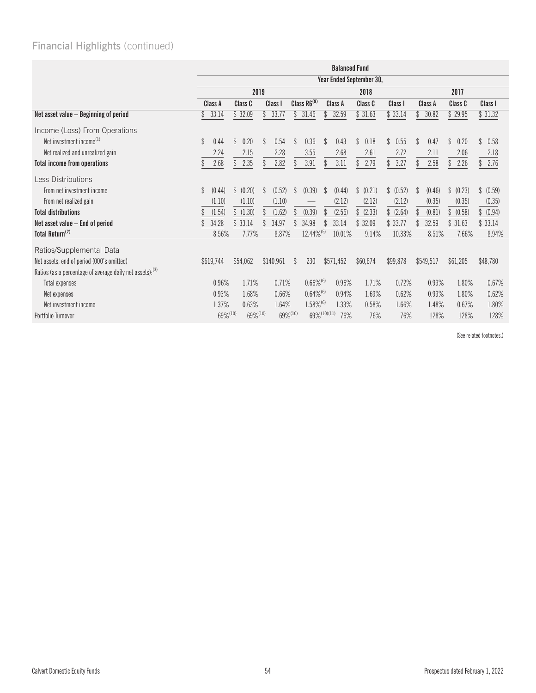|                                                           | <b>Balanced Fund</b>     |             |                         |                         |                         |                        |            |                       |                        |            |
|-----------------------------------------------------------|--------------------------|-------------|-------------------------|-------------------------|-------------------------|------------------------|------------|-----------------------|------------------------|------------|
|                                                           | Year Ended September 30, |             |                         |                         |                         |                        |            |                       |                        |            |
|                                                           |                          | 2019        |                         |                         | 2018                    |                        |            | 2017                  |                        |            |
|                                                           | Class A                  | Class C     | Class I                 | Class R6 <sup>(9)</sup> | Class A                 | Class C                | Class I    | Class A               | Class C                | Class I    |
| Net asset value - Beginning of period                     | 33.14                    | \$32.09     | 33.77<br>\$             | \$<br>31.46             | 32.59<br>\$             | \$31.63                | \$33.14    | 30.82                 | \$29.95                | \$31.32    |
| Income (Loss) From Operations                             |                          |             |                         |                         |                         |                        |            |                       |                        |            |
| Net investment income <sup>(1)</sup>                      | $\mathbb{S}$<br>0.44     | \$<br>0.20  | \$<br>0.54              | \$<br>0.36              | \$<br>0.43              | $\mathbb{S}$<br>0.18   | \$<br>0.55 | <sup>\$</sup><br>0.47 | $\mathcal{L}$<br>0.20  | \$<br>0.58 |
| Net realized and unrealized gain                          | 2.24                     | 2.15        | 2.28                    | 3.55                    | 2.68                    | 2.61                   | 2.72       | 2.11                  | 2.06                   | 2.18       |
| <b>Total income from operations</b>                       | 2.68                     | \$<br>2.35  | 2.82                    | 3.91<br>\$              | 3.11                    | 2.79<br>\$             | 3.27<br>\$ | 2.58                  | 2.26<br>\$             | 2.76<br>\$ |
| Less Distributions                                        |                          |             |                         |                         |                         |                        |            |                       |                        |            |
| From net investment income                                | (0.44)<br>$\mathbb{S}$   | \$ (0.20)   | (0.52)<br>$\mathcal{L}$ | (0.39)<br>\$            | (0.44)<br><sup>\$</sup> | \$<br>(0.21)           | \$ (0.52)  | (0.46)<br>S           | (0.23)<br>$\mathbb{S}$ | \$ (0.59)  |
| From net realized gain                                    | (1.10)                   | (1.10)      | (1.10)                  |                         | (2.12)                  | (2.12)                 | (2.12)     | (0.35)                | (0.35)                 | (0.35)     |
| <b>Total distributions</b>                                | (1.54)                   | \$(1.30)    | (1.62)                  | (0.39)                  | (2.56)                  | (2.33)<br>$\mathbb{S}$ | (2.64)     | (0.81)                | (0.58)                 | \$ (0.94)  |
| Net asset value $-$ End of period                         | 34.28                    | 33.14<br>\$ | 34.97                   | 34.98<br>\$             | 33.14                   | 32.09                  | 33.77      | 32.59                 | 31.63                  | \$33.14    |
| Total Return <sup>(2)</sup>                               | 8.56%                    | 7.77%       | 8.87%                   | 12.44%(5)               | 10.01%                  | 9.14%                  | 10.33%     | 8.51%                 | 7.66%                  | 8.94%      |
| Ratios/Supplemental Data                                  |                          |             |                         |                         |                         |                        |            |                       |                        |            |
| Net assets, end of period (000's omitted)                 | \$619,744                | \$54,062    | \$140,961               | 230<br>\$               | \$571,452               | \$60,674               | \$99,878   | \$549,517             | \$61,205               | \$48,780   |
| Ratios (as a percentage of average daily net assets): (3) |                          |             |                         |                         |                         |                        |            |                       |                        |            |
| <b>Total expenses</b>                                     | 0.96%                    | 1.71%       | 0.71%                   | $0.66\%^{(6)}$          | 0.96%                   | 1.71%                  | 0.72%      | 0.99%                 | 1.80%                  | 0.67%      |
| Net expenses                                              | 0.93%                    | 1.68%       | 0.66%                   | $0.64\%$ <sup>(6)</sup> | 0.94%                   | 1.69%                  | 0.62%      | 0.99%                 | 1.80%                  | 0.62%      |
| Net investment income                                     | 1.37%                    | 0.63%       | 1.64%                   | $1.58\%$ <sup>(6)</sup> | 1.33%                   | 0.58%                  | 1.66%      | 1.48%                 | 0.67%                  | 1.80%      |
| Portfolio Turnover                                        | 69%(10)                  | 69%(10)     |                         | 69%(10)                 | 69% (10) (11)<br>76%    | 76%                    | 76%        | 128%                  | 128%                   | 128%       |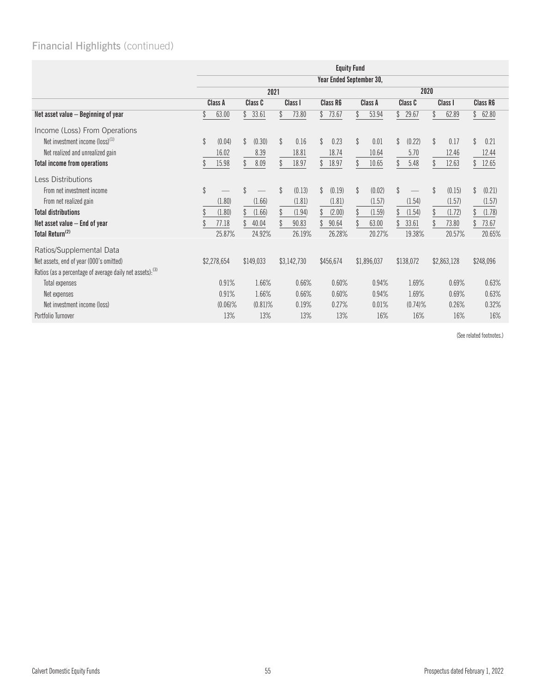|                                                           | <b>Equity Fund</b> |              |                         |                          |                      |                         |                         |                       |  |
|-----------------------------------------------------------|--------------------|--------------|-------------------------|--------------------------|----------------------|-------------------------|-------------------------|-----------------------|--|
|                                                           |                    |              |                         | Year Ended September 30, |                      |                         |                         |                       |  |
|                                                           | 2021               |              |                         |                          | 2020                 |                         |                         |                       |  |
|                                                           | Class A            | Class C      | Class <sub>I</sub>      | <b>Class R6</b>          | Class A              | Class C                 | Class I                 | <b>Class R6</b>       |  |
| Net asset value - Beginning of year                       | 63.00              | \$<br>33.61  | \$<br>73.80             | 73.67<br>\$              | \$<br>53.94          | \$<br>29.67             | \$<br>62.89             | \$<br>62.80           |  |
| Income (Loss) From Operations                             |                    |              |                         |                          |                      |                         |                         |                       |  |
| Net investment income $(logs)^{(1)}$                      | \$<br>(0.04)       | \$<br>(0.30) | \$<br>0.16              | $\mathcal{S}$<br>0.23    | $\mathbb{S}$<br>0.01 | $\mathcal{L}$<br>(0.22) | \$<br>0.17              | $\mathcal{S}$<br>0.21 |  |
| Net realized and unrealized gain                          | 16.02              | 8.39         | 18.81                   | 18.74                    | 10.64                | 5.70                    | 12.46                   | 12.44                 |  |
| Total income from operations                              | 15.98              | \$<br>8.09   | \$<br>18.97             | \$<br>18.97              | \$<br>10.65          | $\mathcal{L}$<br>5.48   | 12.63<br>\$             | 12.65<br>S            |  |
| <b>Less Distributions</b>                                 |                    |              |                         |                          |                      |                         |                         |                       |  |
| From net investment income                                | $\mathcal{L}$      | \$           | $\mathcal{L}$<br>(0.13) | \$<br>(0.19)             | \$<br>(0.02)         | \$                      | $\mathcal{S}$<br>(0.15) | \$<br>(0.21)          |  |
| From net realized gain                                    | (1.80)             | (1.66)       | (1.81)                  | (1.81)                   | (1.57)               | (1.54)                  | (1.57)                  | (1.57)                |  |
| <b>Total distributions</b>                                | (1.80)             | (1.66)       | \$<br>(1.94)            | \$<br>(2.00)             | \$<br>(1.59)         | (1.54)                  | \$<br>(1.72)            | (1.78)                |  |
| Net asset value – End of year                             | 77.18              | 40.04        | 90.83                   | 90.64                    | 63.00                | 33.61                   | 73.80                   | 73.67                 |  |
| Total Return <sup>(2)</sup>                               | 25.87%             | 24.92%       | 26.19%                  | 26.28%                   | 20.27%               | 19.38%                  | 20.57%                  | 20.65%                |  |
| Ratios/Supplemental Data                                  |                    |              |                         |                          |                      |                         |                         |                       |  |
| Net assets, end of year (000's omitted)                   | \$2,278,654        | \$149,033    | \$3,142,730             | \$456,674                | \$1,896,037          | \$138,072               | \$2,863,128             | \$248,096             |  |
| Ratios (as a percentage of average daily net assets): (3) |                    |              |                         |                          |                      |                         |                         |                       |  |
| Total expenses                                            | 0.91%              | 1.66%        | 0.66%                   | 0.60%                    | 0.94%                | 1.69%                   | 0.69%                   | 0.63%                 |  |
| Net expenses                                              | 0.91%              | 1.66%        | 0.66%                   | 0.60%                    | 0.94%                | 1.69%                   | 0.69%                   | 0.63%                 |  |
| Net investment income (loss)                              | $(0.06)\%$         | $(0.81)\%$   | 0.19%                   | 0.27%                    | 0.01%                | $(0.74)$ %              | 0.26%                   | 0.32%                 |  |
| Portfolio Turnover                                        | 13%                | 13%          | 13%                     | 13%                      | 16%                  | 16%                     | 16%                     | 16%                   |  |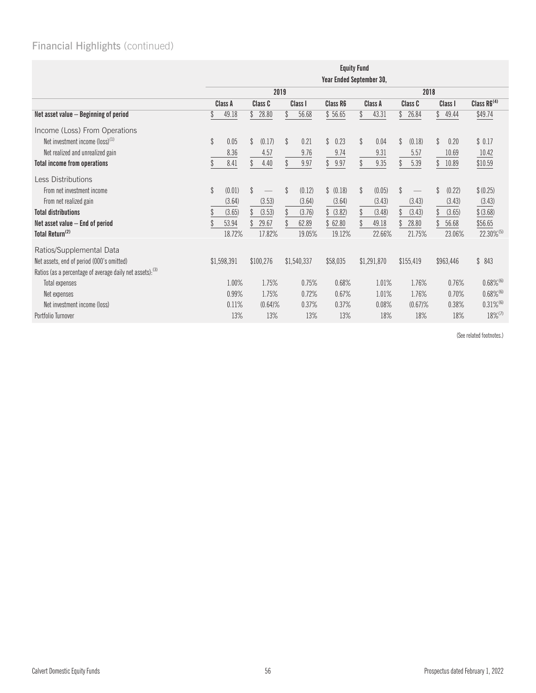|                                                                      | <b>Equity Fund</b>       |                         |              |                      |                        |                         |                      |                         |  |  |
|----------------------------------------------------------------------|--------------------------|-------------------------|--------------|----------------------|------------------------|-------------------------|----------------------|-------------------------|--|--|
|                                                                      | Year Ended September 30, |                         |              |                      |                        |                         |                      |                         |  |  |
|                                                                      |                          | 2019                    |              | 2018                 |                        |                         |                      |                         |  |  |
|                                                                      | Class A                  | Class C                 | Class I      | Class R6             | Class A                | Class C                 | Class I              | Class R6 <sup>(4)</sup> |  |  |
| Net asset value - Beginning of period                                | 49.18                    | \$<br>28.80             | 56.68        | \$56.65              | 43.31                  | \$<br>26.84             | \$<br>49.44          | \$49.74                 |  |  |
| Income (Loss) From Operations                                        |                          |                         |              |                      |                        |                         |                      |                         |  |  |
| Net investment income $(logs)^{(1)}$                                 | \$<br>0.05               | $\mathcal{Z}$<br>(0.17) | \$<br>0.21   | $\mathbb{S}$<br>0.23 | $\mathbb{S}$<br>0.04   | $\mathcal{L}$<br>(0.18) | $\mathbb{S}$<br>0.20 | \$0.17                  |  |  |
| Net realized and unrealized gain                                     | 8.36                     | 4.57                    | 9.76         | 9.74                 | 9.31                   | 5.57                    | 10.69                | 10.42                   |  |  |
| <b>Total income from operations</b>                                  | 8.41                     | \$<br>4.40              | \$<br>9.97   | 9.97<br>\$           | 9.35<br>\$             | 5.39                    | 10.89                | \$10.59                 |  |  |
| <b>Less Distributions</b>                                            |                          |                         |              |                      |                        |                         |                      |                         |  |  |
| From net investment income                                           | \$<br>(0.01)             | \$                      | \$<br>(0.12) | \$ (0.18)            | $\mathbb{S}$<br>(0.05) | \$                      | \$<br>(0.22)         | \$ (0.25)               |  |  |
| From net realized gain                                               | (3.64)                   | (3.53)                  | (3.64)       | (3.64)               | (3.43)                 | (3.43)                  | (3.43)               | (3.43)                  |  |  |
| <b>Total distributions</b>                                           | (3.65)                   | (3.53)                  | \$<br>(3.76) | \$ (3.82)            | (3.48)<br>\$           | \$<br>(3.43)            | (3.65)               | \$ (3.68)               |  |  |
| Net asset value $-$ End of period                                    | 53.94                    | 29.67                   | 62.89        | \$62.80              | 49.18                  | 28.80                   | 56.68                | \$56.65                 |  |  |
| Total Return <sup>(2)</sup>                                          | 18.72%                   | 17.82%                  | 19.05%       | 19.12%               | 22.66%                 | 21.75%                  | 23.06%               | 22.30%(5)               |  |  |
| Ratios/Supplemental Data                                             |                          |                         |              |                      |                        |                         |                      |                         |  |  |
| Net assets, end of period (000's omitted)                            | \$1,598,391              | \$100,276               | \$1,540,337  | \$58,035             | \$1,291,870            | \$155,419               | \$963,446            | \$843                   |  |  |
| Ratios (as a percentage of average daily net assets): <sup>(3)</sup> |                          |                         |              |                      |                        |                         |                      |                         |  |  |
| Total expenses                                                       | 1.00%                    | 1.75%                   | 0.75%        | 0.68%                | 1.01%                  | 1.76%                   | 0.76%                | $0.68\%^{(6)}$          |  |  |
| Net expenses                                                         | 0.99%                    | 1.75%                   | 0.72%        | 0.67%                | 1.01%                  | 1.76%                   | 0.70%                | $0.68\%$ <sup>(6)</sup> |  |  |
| Net investment income (loss)                                         | 0.11%                    | $(0.64)$ %              | 0.37%        | 0.37%                | 0.08%                  | $(0.67)\%$              | 0.38%                | $0.31\%$ <sup>(6)</sup> |  |  |
| Portfolio Turnover                                                   | 13%                      | 13%                     | 13%          | 13%                  | 18%                    | 18%                     | 18%                  | $18\%$ <sup>(7)</sup>   |  |  |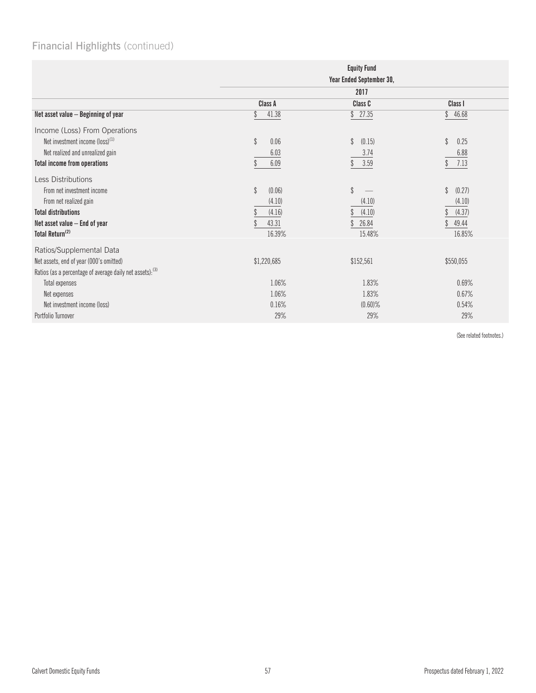|                                                           |                         | <b>Equity Fund</b><br>Year Ended September 30, |                       |
|-----------------------------------------------------------|-------------------------|------------------------------------------------|-----------------------|
|                                                           |                         | 2017                                           |                       |
|                                                           | Class A                 | Class C                                        | Class I               |
| Net asset value - Beginning of year                       | 41.38                   | \$27.35                                        | $\mathbb{S}$<br>46.68 |
| Income (Loss) From Operations                             |                         |                                                |                       |
| Net investment income (loss) <sup>(1)</sup>               | \$<br>0.06              | \$<br>(0.15)                                   | \$<br>0.25            |
| Net realized and unrealized gain                          | 6.03                    | 3.74                                           | 6.88                  |
| <b>Total income from operations</b>                       | 6.09                    | 3.59                                           | 7.13                  |
| <b>Less Distributions</b>                                 |                         |                                                |                       |
| From net investment income                                | $\mathcal{L}$<br>(0.06) | \$                                             | \$<br>(0.27)          |
| From net realized gain                                    | (4.10)                  | (4.10)                                         | (4.10)                |
| <b>Total distributions</b>                                | (4.16)                  | (4.10)                                         | (4.37)                |
| Net asset value - End of year                             | 43.31                   | 26.84                                          | 49.44                 |
| Total Return <sup>(2)</sup>                               | 16.39%                  | 15.48%                                         | 16.85%                |
| Ratios/Supplemental Data                                  |                         |                                                |                       |
| Net assets, end of year (000's omitted)                   | \$1,220,685             | \$152,561                                      | \$550,055             |
| Ratios (as a percentage of average daily net assets): (3) |                         |                                                |                       |
| Total expenses                                            | 1.06%                   | 1.83%                                          | 0.69%                 |
| Net expenses                                              | 1.06%                   | 1.83%                                          | 0.67%                 |
| Net investment income (loss)                              | 0.16%                   | $(0.60)\%$                                     | 0.54%                 |
| Portfolio Turnover                                        | 29%                     | 29%                                            | 29%                   |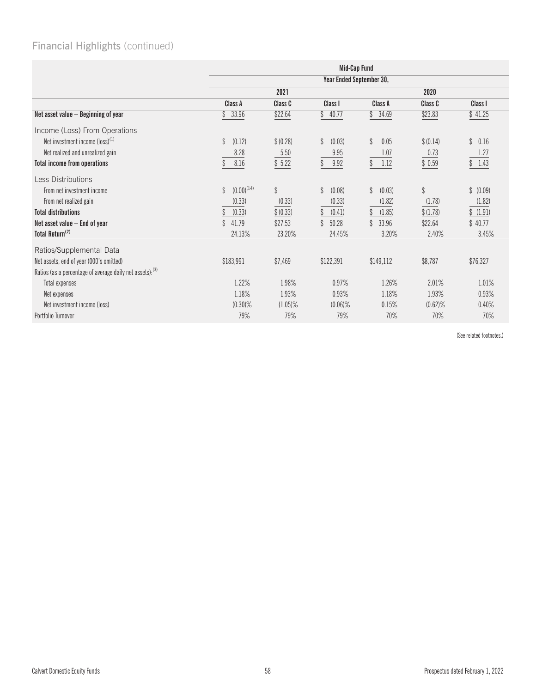|                                                           |                                  |                    | Mid-Cap Fund             |                       |               |                        |  |  |
|-----------------------------------------------------------|----------------------------------|--------------------|--------------------------|-----------------------|---------------|------------------------|--|--|
|                                                           |                                  |                    | Year Ended September 30, |                       |               |                        |  |  |
|                                                           |                                  | 2021               |                          |                       | 2020          |                        |  |  |
|                                                           | Class A                          | Class C            | Class I                  | Class A               | Class C       | Class I                |  |  |
| Net asset value - Beginning of year                       | 33.96<br>\$                      | \$22.64            | \$<br>40.77              | \$<br>34.69           | \$23.83       | \$41.25                |  |  |
| Income (Loss) From Operations                             |                                  |                    |                          |                       |               |                        |  |  |
| Net investment income (loss) <sup>(1)</sup>               | $\mathcal{S}$<br>(0.12)          | \$ (0.28)          | \$<br>(0.03)             | $\mathcal{L}$<br>0.05 | \$ (0.14)     | $\mathbb{S}$<br>0.16   |  |  |
| Net realized and unrealized gain                          | 8.28                             | 5.50               | 9.95                     | 1.07                  | 0.73          | 1.27                   |  |  |
| <b>Total income from operations</b>                       | 8.16                             | \$5.22             | $\mathcal{L}$<br>9.92    | 1.12                  | \$0.59        | 1.43<br>$\mathbb{S}^-$ |  |  |
| <b>Less Distributions</b>                                 |                                  |                    |                          |                       |               |                        |  |  |
| From net investment income                                | $(0.00)^{(14)}$<br>$\mathcal{S}$ | $\mathbf{\hat{S}}$ | \$<br>(0.08)             | \$<br>(0.03)          | $\mathcal{L}$ | \$ (0.09)              |  |  |
| From net realized gain                                    | (0.33)                           | (0.33)             | (0.33)                   | (1.82)                | (1.78)        | (1.82)                 |  |  |
| <b>Total distributions</b>                                | (0.33)                           | \$ (0.33)          | (0.41)                   | (1.85)                | \$(1.78)      | \$(1.91)               |  |  |
| Net asset value $-$ End of year                           | 41.79                            | \$27.53            | 50.28                    | 33.96                 | \$22.64       | \$40.77                |  |  |
| Total Return <sup>(2)</sup>                               | 24.13%                           | 23.20%             | 24.45%                   | 3.20%                 | 2.40%         | 3.45%                  |  |  |
| Ratios/Supplemental Data                                  |                                  |                    |                          |                       |               |                        |  |  |
| Net assets, end of year (000's omitted)                   | \$183,991                        | \$7,469            | \$122,391                | \$149,112             | \$8,787       | \$76,327               |  |  |
| Ratios (as a percentage of average daily net assets): (3) |                                  |                    |                          |                       |               |                        |  |  |
| Total expenses                                            | 1.22%                            | 1.98%              | 0.97%                    | 1.26%                 | 2.01%         | 1.01%                  |  |  |
| Net expenses                                              | 1.18%                            | 1.93%              | 0.93%                    | 1.18%                 | 1.93%         | 0.93%                  |  |  |
| Net investment income (loss)                              | $(0.30)\%$                       | $(1.05)\%$         | $(0.06)\%$               | 0.15%                 | $(0.62)$ %    | 0.40%                  |  |  |
| Portfolio Turnover                                        | 79%                              | 79%                | 79%                      | 70%                   | 70%           | 70%                    |  |  |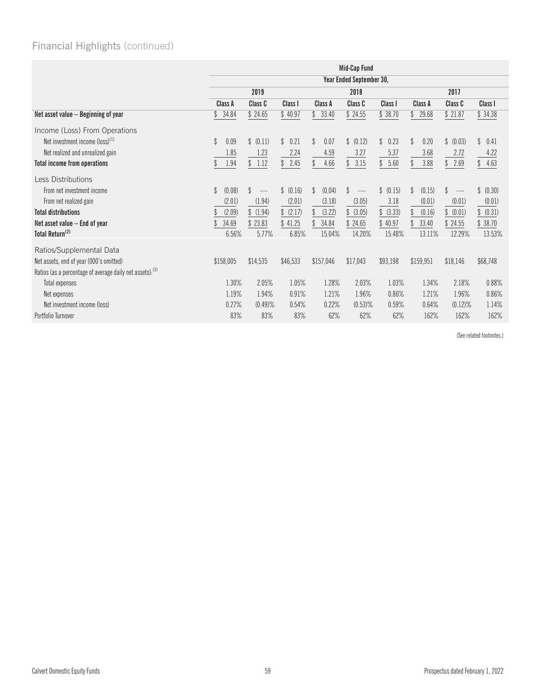|                                                           | Mid-Cap Fund             |                         |              |              |                                       |                      |                       |                        |                        |
|-----------------------------------------------------------|--------------------------|-------------------------|--------------|--------------|---------------------------------------|----------------------|-----------------------|------------------------|------------------------|
|                                                           | Year Ended September 30, |                         |              |              |                                       |                      |                       |                        |                        |
|                                                           |                          | 2019                    |              | 2018         |                                       |                      | 2017                  |                        |                        |
|                                                           | Class A                  | Class C                 | Class I      | Class A      | Class C                               | Class I              | Class A               | Class C                | Class I                |
| Net asset value - Beginning of year                       | 34.84                    | \$24.65                 | \$40.97      | 33.40<br>\$  | \$24.55                               | \$38.70              | 29.68<br>\$           | \$21.87                | \$34.38                |
| Income (Loss) From Operations                             |                          |                         |              |              |                                       |                      |                       |                        |                        |
| Net investment income $(logs)^{(1)}$                      | 0.09<br>$\mathbb{S}$     | \$ (0.11)               | \$<br>0.21   | \$<br>0.07   | \$ (0.12)                             | 0.23<br>$\mathbb{S}$ | $\mathcal{L}$<br>0.20 | $\mathbb{S}$<br>(0.03) | $\mathbb{S}$<br>0.41   |
| Net realized and unrealized gain                          | 1.85                     | 1.23                    | 2.24         | 4.59         | 3.27                                  | 5.37                 | 3.68                  | 2.72                   | 4.22                   |
| <b>Total income from operations</b>                       | 1.94                     | \$1.12                  | 2.45<br>\$   | 4.66<br>\$   | 3.15<br>\$                            | 5.60<br>\$           | 3.88                  | 2.69<br>\$             | \$<br>4.63             |
| Less Distributions                                        |                          |                         |              |              |                                       |                      |                       |                        |                        |
| From net investment income                                | (0.08)<br>$\mathbb{S}$   | \$<br>$\hspace{0.05cm}$ | \$<br>(0.16) | (0.04)<br>\$ | \$<br>$\hspace{0.1mm}-\hspace{0.1mm}$ | \$ (0.15)            | (0.15)<br>\$          | \$                     | $\mathbb{S}$<br>(0.30) |
| From net realized gain                                    | (2.01)                   | (1.94)                  | (2.01)       | (3.18)       | (3.05)                                | 3.18                 | (0.01)                | (0.01)                 | (0.01)                 |
| <b>Total distributions</b>                                | (2.09)                   | \$(1.94)                | (2.17)<br>\$ | (3.22)<br>\$ | (3.05)                                | \$ (3.33)            | (0.16)                | (0.01)<br>\$           | \$ (0.31)              |
| Net asset value $-$ End of year                           | 34.69                    | \$23.83                 | \$41.25      | 34.84        | \$24.65                               | \$40.97              | 33.40                 | \$24.55                | \$38.70                |
| Total Return <sup>(2)</sup>                               | 6.56%                    | 5.77%                   | 6.85%        | 15.04%       | 14.20%                                | 15.48%               | 13.11%                | 12.29%                 | 13.53%                 |
| Ratios/Supplemental Data                                  |                          |                         |              |              |                                       |                      |                       |                        |                        |
| Net assets, end of year (000's omitted)                   | \$158,005                | \$14,535                | \$46,533     | \$157,046    | \$17,043                              | \$93,198             | \$159,951             | \$18,146               | \$68,748               |
| Ratios (as a percentage of average daily net assets): (3) |                          |                         |              |              |                                       |                      |                       |                        |                        |
| Total expenses                                            | 1.30%                    | 2.05%                   | 1.05%        | 1.28%        | 2.03%                                 | 1.03%                | 1.34%                 | 2.18%                  | 0.88%                  |
| Net expenses                                              | 1.19%                    | 1.94%                   | 0.91%        | 1.21%        | 1.96%                                 | 0.86%                | 1.21%                 | 1.96%                  | 0.86%                  |
| Net investment income (loss)                              | 0.27%                    | $(0.49)$ %              | 0.54%        | 0.22%        | $(0.53)$ %                            | 0.59%                | 0.64%                 | $(0.12)$ %             | 1.14%                  |
| Portfolio Turnover                                        | 83%                      | 83%                     | 83%          | 62%          | 62%                                   | 62%                  | 162%                  | 162%                   | 162%                   |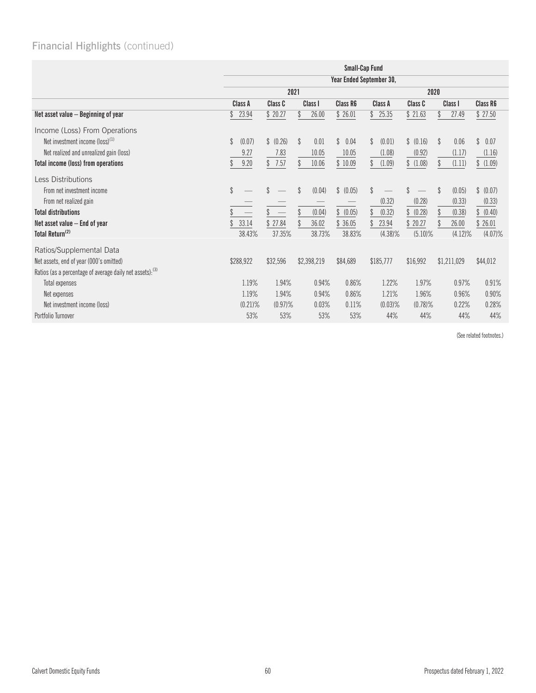|                                                           | <b>Small-Cap Fund</b>    |            |              |                      |              |            |                         |                      |
|-----------------------------------------------------------|--------------------------|------------|--------------|----------------------|--------------|------------|-------------------------|----------------------|
|                                                           | Year Ended September 30, |            |              |                      |              |            |                         |                      |
|                                                           |                          | 2021       |              |                      | 2020         |            |                         |                      |
|                                                           | Class A                  | Class C    | Class I      | Class R6             | Class A      | Class C    | Class I                 | <b>Class R6</b>      |
| Net asset value - Beginning of year                       | 23.94<br>\$              | \$20.27    | 26.00<br>\$  | \$26.01              | \$<br>25.35  | \$21.63    | 27.49<br>\$             | \$27.50              |
| Income (Loss) From Operations                             |                          |            |              |                      |              |            |                         |                      |
| Net investment income $(logs)^{(1)}$                      | \$<br>(0.07)             | \$ (0.26)  | \$<br>0.01   | $\mathbb{S}$<br>0.04 | \$<br>(0.01) | \$ (0.16)  | \$<br>0.06              | $\mathbb{S}$<br>0.07 |
| Net realized and unrealized gain (loss)                   | 9.27                     | 7.83       | 10.05        | 10.05                | (1.08)       | (0.92)     | (1.17)                  | (1.16)               |
| <b>Total income (loss) from operations</b>                | 9.20<br>\$               | 7.57<br>\$ | \$<br>10.06  | \$10.09              | \$<br>(1.09) | \$(1.08)   | \$<br>(1.11)            | \$(1.09)             |
| <b>Less Distributions</b>                                 |                          |            |              |                      |              |            |                         |                      |
| From net investment income                                | \$                       |            | \$<br>(0.04) | \$ (0.05)            | \$           |            | $\mathcal{S}$<br>(0.05) | \$ (0.07)            |
| From net realized gain                                    |                          |            |              |                      | (0.32)       | (0.28)     | (0.33)                  | (0.33)               |
| <b>Total distributions</b>                                |                          |            | \$<br>(0.04) | \$ (0.05)            | \$<br>(0.32) | \$ (0.28)  | \$<br>(0.38)            | \$ (0.40)            |
| Net asset value – End of year                             | 33.14                    | 27.84      | 36.02        | 36.05                | 23.94        | \$20.27    | 26.00                   | \$26.01              |
| Total Return <sup>(2)</sup>                               | 38.43%                   | 37.35%     | 38.73%       | 38.83%               | $(4.38)\%$   | $(5.10)\%$ | $(4.12)\%$              | $(4.07)\%$           |
| Ratios/Supplemental Data                                  |                          |            |              |                      |              |            |                         |                      |
| Net assets, end of year (000's omitted)                   | \$288,922                | \$32,596   | \$2,398,219  | \$84,689             | \$185,777    | \$16,992   | \$1,211,029             | \$44,012             |
| Ratios (as a percentage of average daily net assets): (3) |                          |            |              |                      |              |            |                         |                      |
| Total expenses                                            | 1.19%                    | 1.94%      | 0.94%        | 0.86%                | 1.22%        | 1.97%      | 0.97%                   | 0.91%                |
| Net expenses                                              | 1.19%                    | 1.94%      | 0.94%        | 0.86%                | 1.21%        | 1.96%      | 0.96%                   | 0.90%                |
| Net investment income (loss)                              | $(0.21)\%$               | $(0.97)\%$ | 0.03%        | 0.11%                | $(0.03)$ %   | $(0.78)$ % | 0.22%                   | 0.28%                |
| Portfolio Turnover                                        | 53%                      | 53%        | 53%          | 53%                  | 44%          | 44%        | 44%                     | 44%                  |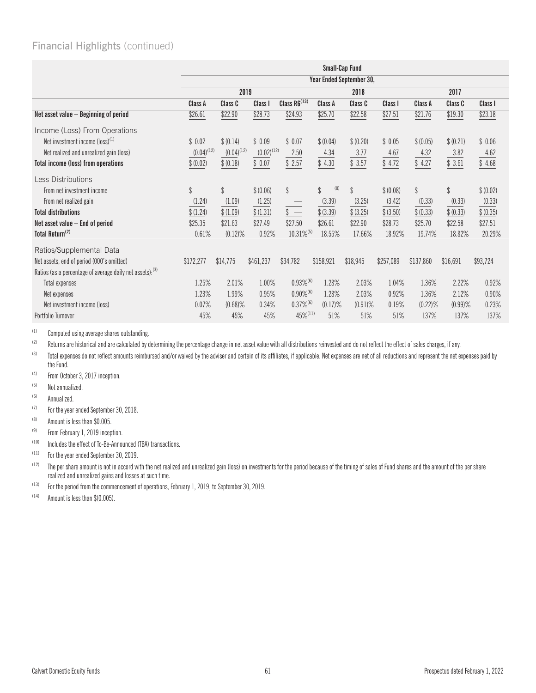|                                                           | <b>Small-Cap Fund</b>    |                                                 |                 |                          |                         |            |           |                                |               |           |
|-----------------------------------------------------------|--------------------------|-------------------------------------------------|-----------------|--------------------------|-------------------------|------------|-----------|--------------------------------|---------------|-----------|
|                                                           | Year Ended September 30, |                                                 |                 |                          |                         |            |           |                                |               |           |
|                                                           | 2019                     |                                                 |                 |                          | 2018                    |            |           | 2017                           |               |           |
|                                                           | Class A                  | Class C                                         | Class I         | Class R6 <sup>(13)</sup> | Class A                 | Class C    | Class I   | Class A                        | Class C       | Class I   |
| Net asset value - Beginning of period                     | \$26.61                  | \$22.90                                         | \$28.73         | \$24.93                  | \$25.70                 | \$22.58    | \$27.51   | \$21.76                        | \$19.30       | \$23.18   |
| Income (Loss) From Operations                             |                          |                                                 |                 |                          |                         |            |           |                                |               |           |
| Net investment income (loss) <sup>(1)</sup>               | \$0.02                   | \$ (0.14)                                       | \$0.09          | \$0.07                   | \$ (0.04)               | \$ (0.20)  | \$0.05    | \$ (0.05)                      | \$ (0.21)     | \$0.06    |
| Net realized and unrealized gain (loss)                   | $(0.04)^{(12)}$          | $(0.04)^{(12)}$                                 | $(0.02)^{(12)}$ | 2.50                     | 4.34                    | 3.77       | 4.67      | 4.32                           | 3.82          | 4.62      |
| Total income (loss) from operations                       | \$ (0.02)                | \$ (0.18)                                       | \$0.07          | \$2.57                   | \$4.30                  | \$3.57     | \$4.72    | \$4.27                         | \$3.61        | \$4.68    |
| Less Distributions                                        |                          |                                                 |                 |                          |                         |            |           |                                |               |           |
| From net investment income                                | $\mathbb{S}$             | $\mathbb{S}$<br>$\hspace{0.1mm}-\hspace{0.1mm}$ | \$ (0.06)       | \$                       | $\frac{1}{2}$ (8)<br>\$ | \$         | \$ (0.08) | \$<br>$\overline{\phantom{a}}$ | $\mathcal{S}$ | \$ (0.02) |
| From net realized gain                                    | (1.24)                   | (1.09)                                          | (1.25)          |                          | (3.39)                  | (3.25)     | (3.42)    | (0.33)                         | (0.33)        | (0.33)    |
| <b>Total distributions</b>                                | \$(1.24)                 | \$(1.09)                                        | \$(1.31)        | $\sqrt[3]{}$             | \$ (3.39)               | \$ (3.25)  | \$ (3.50) | \$ (0.33)                      | \$ (0.33)     | \$ (0.35) |
| Net asset value - End of period                           | \$25.35                  | \$21.63                                         | \$27.49         | \$27.50                  | \$26.61                 | \$22.90    | \$28.73   | \$25.70                        | \$22.58       | \$27.51   |
| Total Return <sup>(2)</sup>                               | 0.61%                    | $(0.12)$ %                                      | 0.92%           | 10.31%(5)                | 18.55%                  | 17.66%     | 18.92%    | 19.74%                         | 18.82%        | 20.29%    |
| Ratios/Supplemental Data                                  |                          |                                                 |                 |                          |                         |            |           |                                |               |           |
| Net assets, end of period (000's omitted)                 | \$172,277                | \$14,775                                        | \$461,237       | \$34,782                 | \$158,921               | \$18,945   | \$257,089 | \$137,860                      | \$16,691      | \$93,724  |
| Ratios (as a percentage of average daily net assets): (3) |                          |                                                 |                 |                          |                         |            |           |                                |               |           |
| <b>Total expenses</b>                                     | 1.25%                    | 2.01%                                           | 1.00%           | $0.93\%^{(6)}$           | 1.28%                   | 2.03%      | 1.04%     | 1.36%                          | 2.22%         | 0.92%     |
| Net expenses                                              | 1.23%                    | 1.99%                                           | 0.95%           | $0.90\%$ <sup>(6)</sup>  | 1.28%                   | 2.03%      | 0.92%     | 1.36%                          | 2.12%         | 0.90%     |
| Net investment income (loss)                              | 0.07%                    | $(0.68)\%$                                      | 0.34%           | $0.37\%$ <sup>(6)</sup>  | $(0.17)\%$              | $(0.91)\%$ | 0.19%     | $(0.22)\%$                     | $(0.99)$ %    | 0.23%     |
| Portfolio Turnover                                        | 45%                      | 45%                                             | 45%             | 45%(11)                  | 51%                     | 51%        | 51%       | 137%                           | 137%          | 137%      |

(1) Computed using average shares outstanding.<br>(2) Returns are historical and are calculated by

Returns are historical and are calculated by determining the percentage change in net asset value with all distributions reinvested and do not reflect the effect of sales charges, if any.

(3) Total expenses do not reflect amounts reimbursed and/or waived by the adviser and certain of its affiliates, if applicable. Net expenses are net of all reductions and represent the net expenses paid by the Fund.

(4) From October 3, 2017 inception.

(5) Not annualized.

(6) Annualized.

(7) For the year ended September 30, 2018.

(8) Amount is less than \$0.005.

(9) From February 1, 2019 inception.

 $(10)$  Includes the effect of To-Be-Announced (TBA) transactions.

(11) For the year ended September 30, 2019.

<sup>(12)</sup> The per share amount is not in accord with the net realized and unrealized gain (loss) on investments for the period because of the timing of sales of Fund shares and the amount of the per share realized and unrealized gains and losses at such time.

(13) For the period from the commencement of operations, February 1, 2019, to September 30, 2019.

 $(14)$  Amount is less than \$(0.005).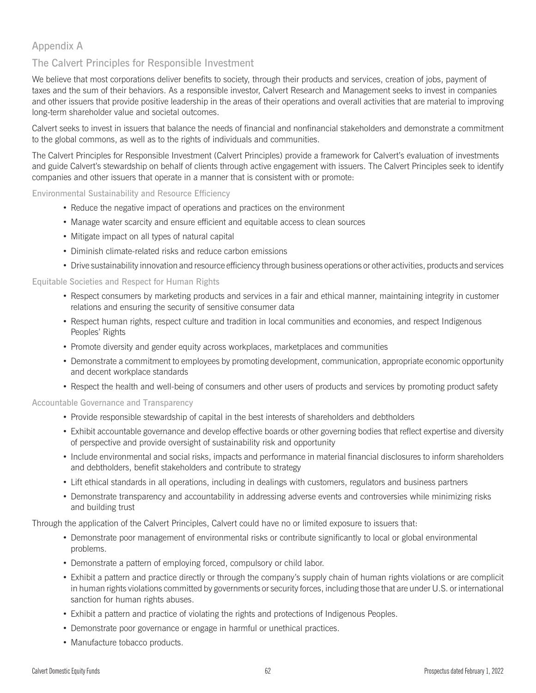# Appendix A

# The Calvert Principles for Responsible Investment

We believe that most corporations deliver benefits to society, through their products and services, creation of jobs, payment of taxes and the sum of their behaviors. As a responsible investor, Calvert Research and Management seeks to invest in companies and other issuers that provide positive leadership in the areas of their operations and overall activities that are material to improving long-term shareholder value and societal outcomes.

Calvert seeks to invest in issuers that balance the needs of financial and nonfinancial stakeholders and demonstrate a commitment to the global commons, as well as to the rights of individuals and communities.

The Calvert Principles for Responsible Investment (Calvert Principles) provide a framework for Calvert's evaluation of investments and guide Calvert's stewardship on behalf of clients through active engagement with issuers. The Calvert Principles seek to identify companies and other issuers that operate in a manner that is consistent with or promote:

Environmental Sustainability and Resource Efficiency

- Reduce the negative impact of operations and practices on the environment
- Manage water scarcity and ensure efficient and equitable access to clean sources
- Mitigate impact on all types of natural capital
- Diminish climate-related risks and reduce carbon emissions
- v Drive sustainability innovation and resource efficiency through business operations or other activities, products and services

### Equitable Societies and Respect for Human Rights

- Respect consumers by marketing products and services in a fair and ethical manner, maintaining integrity in customer relations and ensuring the security of sensitive consumer data
- Respect human rights, respect culture and tradition in local communities and economies, and respect Indigenous Peoples' Rights
- Promote diversity and gender equity across workplaces, marketplaces and communities
- v Demonstrate a commitment to employees by promoting development, communication, appropriate economic opportunity and decent workplace standards
- Respect the health and well-being of consumers and other users of products and services by promoting product safety

#### Accountable Governance and Transparency

- Provide responsible stewardship of capital in the best interests of shareholders and debtholders
- Exhibit accountable governance and develop effective boards or other governing bodies that reflect expertise and diversity of perspective and provide oversight of sustainability risk and opportunity
- v Include environmental and social risks, impacts and performance in material financial disclosures to inform shareholders and debtholders, benefit stakeholders and contribute to strategy
- Lift ethical standards in all operations, including in dealings with customers, regulators and business partners
- Demonstrate transparency and accountability in addressing adverse events and controversies while minimizing risks and building trust

Through the application of the Calvert Principles, Calvert could have no or limited exposure to issuers that:

- Demonstrate poor management of environmental risks or contribute significantly to local or global environmental problems.
- Demonstrate a pattern of employing forced, compulsory or child labor.
- Exhibit a pattern and practice directly or through the company's supply chain of human rights violations or are complicit in human rights violations committed by governments or security forces, including those that are under U.S. or international sanction for human rights abuses.
- Exhibit a pattern and practice of violating the rights and protections of Indigenous Peoples.
- Demonstrate poor governance or engage in harmful or unethical practices.
- Manufacture tobacco products.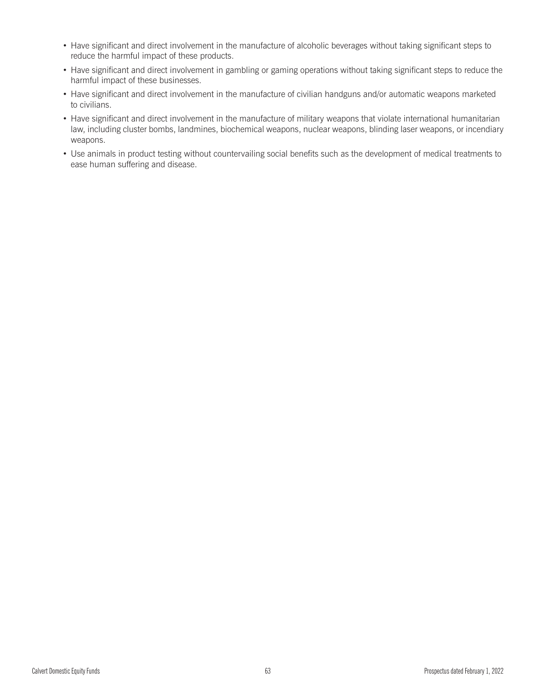- Have significant and direct involvement in the manufacture of alcoholic beverages without taking significant steps to reduce the harmful impact of these products.
- Have significant and direct involvement in gambling or gaming operations without taking significant steps to reduce the harmful impact of these businesses.
- Have significant and direct involvement in the manufacture of civilian handguns and/or automatic weapons marketed to civilians.
- Have significant and direct involvement in the manufacture of military weapons that violate international humanitarian law, including cluster bombs, landmines, biochemical weapons, nuclear weapons, blinding laser weapons, or incendiary weapons.
- Use animals in product testing without countervailing social benefits such as the development of medical treatments to ease human suffering and disease.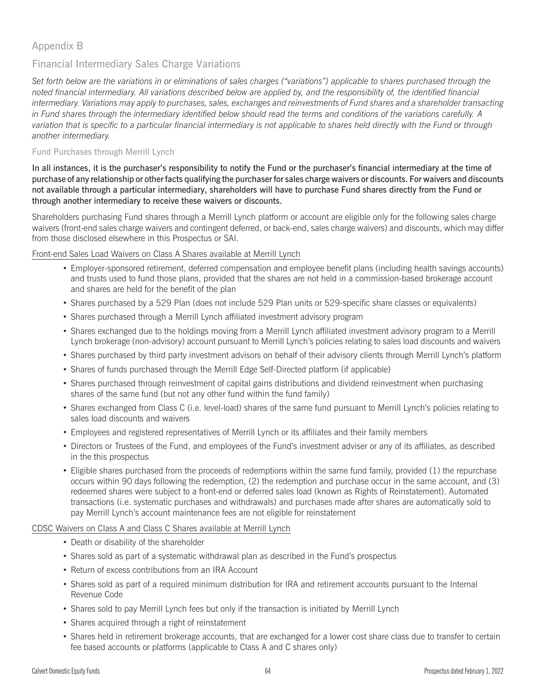# Appendix B

# Financial Intermediary Sales Charge Variations

*Set forth below are the variations in or eliminations of sales charges ("variations") applicable to shares purchased through the noted financial intermediary. All variations described below are applied by, and the responsibility of, the identified financial intermediary. Variations may apply to purchases, sales, exchanges and reinvestments of Fund shares and a shareholder transacting in Fund shares through the intermediary identified below should read the terms and conditions of the variations carefully. A variation that is specific to a particular financial intermediary is not applicable to shares held directly with the Fund or through another intermediary.*

# Fund Purchases through Merrill Lynch

In all instances, it is the purchaser's responsibility to notify the Fund or the purchaser's financial intermediary at the time of purchase of any relationship or other facts qualifying the purchaser for sales charge waivers or discounts. For waivers and discounts not available through a particular intermediary, shareholders will have to purchase Fund shares directly from the Fund or through another intermediary to receive these waivers or discounts.

Shareholders purchasing Fund shares through a Merrill Lynch platform or account are eligible only for the following sales charge waivers (front-end sales charge waivers and contingent deferred, or back-end, sales charge waivers) and discounts, which may differ from those disclosed elsewhere in this Prospectus or SAI.

# Front-end Sales Load Waivers on Class A Shares available at Merrill Lynch

- v Employer-sponsored retirement, deferred compensation and employee benefit plans (including health savings accounts) and trusts used to fund those plans, provided that the shares are not held in a commission-based brokerage account and shares are held for the benefit of the plan
- Shares purchased by a 529 Plan (does not include 529 Plan units or 529-specific share classes or equivalents)
- Shares purchased through a Merrill Lynch affiliated investment advisory program
- Shares exchanged due to the holdings moving from a Merrill Lynch affiliated investment advisory program to a Merrill Lynch brokerage (non-advisory) account pursuant to Merrill Lynch's policies relating to sales load discounts and waivers
- Shares purchased by third party investment advisors on behalf of their advisory clients through Merrill Lynch's platform
- Shares of funds purchased through the Merrill Edge Self-Directed platform (if applicable)
- Shares purchased through reinvestment of capital gains distributions and dividend reinvestment when purchasing shares of the same fund (but not any other fund within the fund family)
- Shares exchanged from Class C (i.e. level-load) shares of the same fund pursuant to Merrill Lynch's policies relating to sales load discounts and waivers
- v Employees and registered representatives of Merrill Lynch or its affiliates and their family members
- Directors or Trustees of the Fund, and employees of the Fund's investment adviser or any of its affiliates, as described in the this prospectus
- Eligible shares purchased from the proceeds of redemptions within the same fund family, provided (1) the repurchase occurs within 90 days following the redemption, (2) the redemption and purchase occur in the same account, and (3) redeemed shares were subject to a front-end or deferred sales load (known as Rights of Reinstatement). Automated transactions (i.e. systematic purchases and withdrawals) and purchases made after shares are automatically sold to pay Merrill Lynch's account maintenance fees are not eligible for reinstatement

# CDSC Waivers on Class A and Class C Shares available at Merrill Lynch

- Death or disability of the shareholder
- Shares sold as part of a systematic withdrawal plan as described in the Fund's prospectus
- Return of excess contributions from an IRA Account
- v Shares sold as part of a required minimum distribution for IRA and retirement accounts pursuant to the Internal Revenue Code
- Shares sold to pay Merrill Lynch fees but only if the transaction is initiated by Merrill Lynch
- Shares acquired through a right of reinstatement
- Shares held in retirement brokerage accounts, that are exchanged for a lower cost share class due to transfer to certain fee based accounts or platforms (applicable to Class A and C shares only)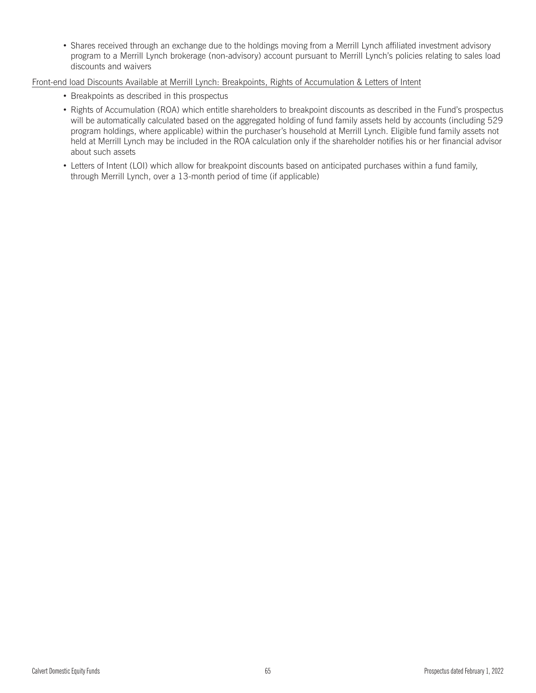• Shares received through an exchange due to the holdings moving from a Merrill Lynch affiliated investment advisory program to a Merrill Lynch brokerage (non-advisory) account pursuant to Merrill Lynch's policies relating to sales load discounts and waivers

## Front-end load Discounts Available at Merrill Lynch: Breakpoints, Rights of Accumulation & Letters of Intent

- Breakpoints as described in this prospectus
- Rights of Accumulation (ROA) which entitle shareholders to breakpoint discounts as described in the Fund's prospectus will be automatically calculated based on the aggregated holding of fund family assets held by accounts (including 529 program holdings, where applicable) within the purchaser's household at Merrill Lynch. Eligible fund family assets not held at Merrill Lynch may be included in the ROA calculation only if the shareholder notifies his or her financial advisor about such assets
- Letters of Intent (LOI) which allow for breakpoint discounts based on anticipated purchases within a fund family, through Merrill Lynch, over a 13-month period of time (if applicable)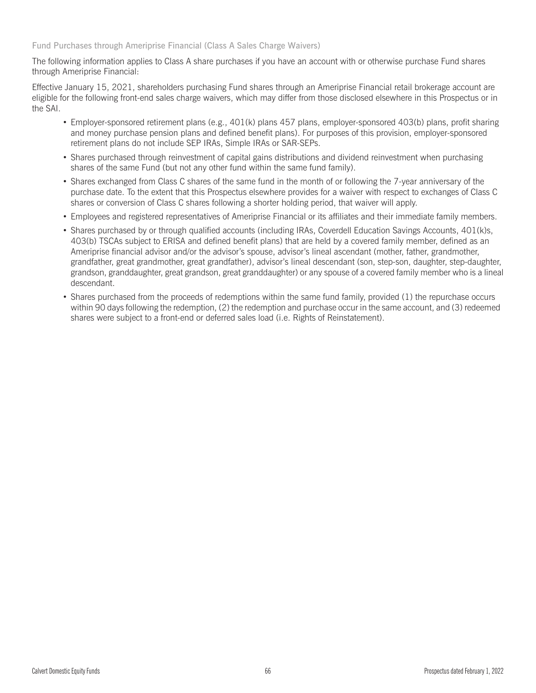Fund Purchases through Ameriprise Financial (Class A Sales Charge Waivers)

The following information applies to Class A share purchases if you have an account with or otherwise purchase Fund shares through Ameriprise Financial:

Effective January 15, 2021, shareholders purchasing Fund shares through an Ameriprise Financial retail brokerage account are eligible for the following front-end sales charge waivers, which may differ from those disclosed elsewhere in this Prospectus or in the SAI.

- Employer-sponsored retirement plans (e.g., 401(k) plans 457 plans, employer-sponsored 403(b) plans, profit sharing and money purchase pension plans and defined benefit plans). For purposes of this provision, employer-sponsored retirement plans do not include SEP IRAs, Simple IRAs or SAR-SEPs.
- Shares purchased through reinvestment of capital gains distributions and dividend reinvestment when purchasing shares of the same Fund (but not any other fund within the same fund family).
- Shares exchanged from Class C shares of the same fund in the month of or following the 7-year anniversary of the purchase date. To the extent that this Prospectus elsewhere provides for a waiver with respect to exchanges of Class C shares or conversion of Class C shares following a shorter holding period, that waiver will apply.
- v Employees and registered representatives of Ameriprise Financial or its affiliates and their immediate family members.
- Shares purchased by or through qualified accounts (including IRAs, Coverdell Education Savings Accounts, 401(k)s, 403(b) TSCAs subject to ERISA and defined benefit plans) that are held by a covered family member, defined as an Ameriprise financial advisor and/or the advisor's spouse, advisor's lineal ascendant (mother, father, grandmother, grandfather, great grandmother, great grandfather), advisor's lineal descendant (son, step-son, daughter, step-daughter, grandson, granddaughter, great grandson, great granddaughter) or any spouse of a covered family member who is a lineal descendant.
- Shares purchased from the proceeds of redemptions within the same fund family, provided (1) the repurchase occurs within 90 days following the redemption, (2) the redemption and purchase occur in the same account, and (3) redeemed shares were subject to a front-end or deferred sales load (i.e. Rights of Reinstatement).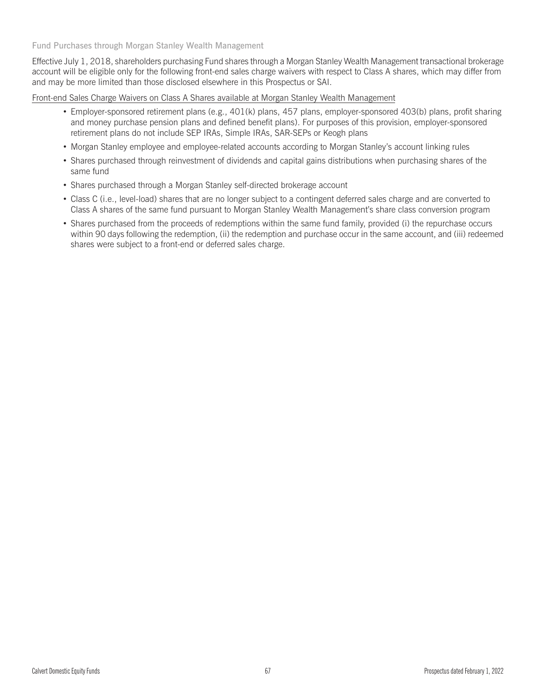Fund Purchases through Morgan Stanley Wealth Management

Effective July 1, 2018, shareholders purchasing Fund shares through a Morgan Stanley Wealth Management transactional brokerage account will be eligible only for the following front-end sales charge waivers with respect to Class A shares, which may differ from and may be more limited than those disclosed elsewhere in this Prospectus or SAI.

Front-end Sales Charge Waivers on Class A Shares available at Morgan Stanley Wealth Management

- Employer-sponsored retirement plans (e.g., 401(k) plans, 457 plans, employer-sponsored 403(b) plans, profit sharing and money purchase pension plans and defined benefit plans). For purposes of this provision, employer-sponsored retirement plans do not include SEP IRAs, Simple IRAs, SAR-SEPs or Keogh plans
- Morgan Stanley employee and employee-related accounts according to Morgan Stanley's account linking rules
- Shares purchased through reinvestment of dividends and capital gains distributions when purchasing shares of the same fund
- Shares purchased through a Morgan Stanley self-directed brokerage account
- v Class C (i.e., level-load) shares that are no longer subject to a contingent deferred sales charge and are converted to Class A shares of the same fund pursuant to Morgan Stanley Wealth Management's share class conversion program
- Shares purchased from the proceeds of redemptions within the same fund family, provided (i) the repurchase occurs within 90 days following the redemption, (ii) the redemption and purchase occur in the same account, and (iii) redeemed shares were subject to a front-end or deferred sales charge.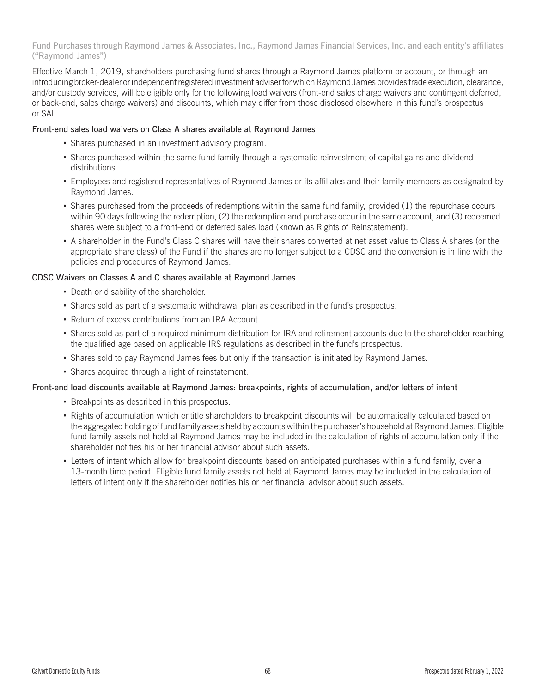Fund Purchases through Raymond James & Associates, Inc., Raymond James Financial Services, Inc. and each entity's affiliates ("Raymond James")

Effective March 1, 2019, shareholders purchasing fund shares through a Raymond James platform or account, or through an introducing broker-dealer or independent registered investment adviser for which Raymond James provides trade execution, clearance, and/or custody services, will be eligible only for the following load waivers (front-end sales charge waivers and contingent deferred, or back-end, sales charge waivers) and discounts, which may differ from those disclosed elsewhere in this fund's prospectus or SAI.

## Front-end sales load waivers on Class A shares available at Raymond James

- Shares purchased in an investment advisory program.
- Shares purchased within the same fund family through a systematic reinvestment of capital gains and dividend distributions.
- v Employees and registered representatives of Raymond James or its affiliates and their family members as designated by Raymond James.
- Shares purchased from the proceeds of redemptions within the same fund family, provided (1) the repurchase occurs within 90 days following the redemption, (2) the redemption and purchase occur in the same account, and (3) redeemed shares were subject to a front-end or deferred sales load (known as Rights of Reinstatement).
- v A shareholder in the Fund's Class C shares will have their shares converted at net asset value to Class A shares (or the appropriate share class) of the Fund if the shares are no longer subject to a CDSC and the conversion is in line with the policies and procedures of Raymond James.

### CDSC Waivers on Classes A and C shares available at Raymond James

- Death or disability of the shareholder.
- Shares sold as part of a systematic withdrawal plan as described in the fund's prospectus.
- Return of excess contributions from an IRA Account.
- Shares sold as part of a required minimum distribution for IRA and retirement accounts due to the shareholder reaching the qualified age based on applicable IRS regulations as described in the fund's prospectus.
- Shares sold to pay Raymond James fees but only if the transaction is initiated by Raymond James.
- Shares acquired through a right of reinstatement.

# Front-end load discounts available at Raymond James: breakpoints, rights of accumulation, and/or letters of intent

- Breakpoints as described in this prospectus.
- v Rights of accumulation which entitle shareholders to breakpoint discounts will be automatically calculated based on the aggregated holding of fund family assets held by accounts within the purchaser's household at Raymond James. Eligible fund family assets not held at Raymond James may be included in the calculation of rights of accumulation only if the shareholder notifies his or her financial advisor about such assets.
- Letters of intent which allow for breakpoint discounts based on anticipated purchases within a fund family, over a 13-month time period. Eligible fund family assets not held at Raymond James may be included in the calculation of letters of intent only if the shareholder notifies his or her financial advisor about such assets.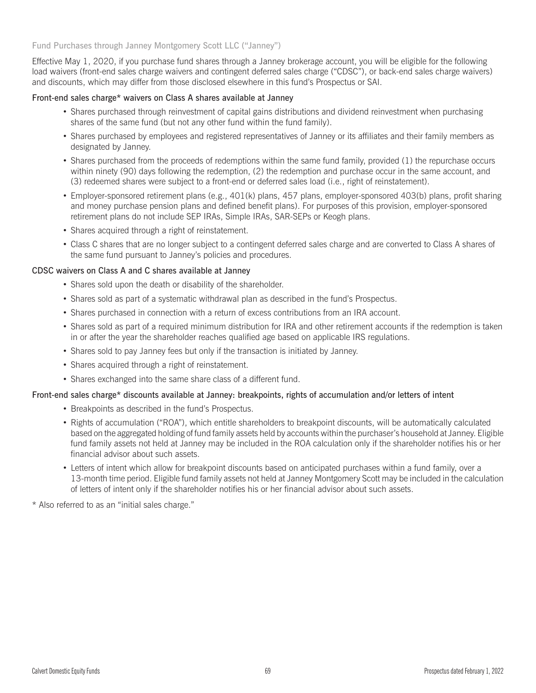## Fund Purchases through Janney Montgomery Scott LLC ("Janney")

Effective May 1, 2020, if you purchase fund shares through a Janney brokerage account, you will be eligible for the following load waivers (front-end sales charge waivers and contingent deferred sales charge ("CDSC"), or back-end sales charge waivers) and discounts, which may differ from those disclosed elsewhere in this fund's Prospectus or SAI.

### Front-end sales charge\* waivers on Class A shares available at Janney

- Shares purchased through reinvestment of capital gains distributions and dividend reinvestment when purchasing shares of the same fund (but not any other fund within the fund family).
- Shares purchased by employees and registered representatives of Janney or its affiliates and their family members as designated by Janney.
- Shares purchased from the proceeds of redemptions within the same fund family, provided (1) the repurchase occurs within ninety (90) days following the redemption, (2) the redemption and purchase occur in the same account, and (3) redeemed shares were subject to a front-end or deferred sales load (i.e., right of reinstatement).
- v Employer-sponsored retirement plans (e.g., 401(k) plans, 457 plans, employer-sponsored 403(b) plans, profit sharing and money purchase pension plans and defined benefit plans). For purposes of this provision, employer-sponsored retirement plans do not include SEP IRAs, Simple IRAs, SAR-SEPs or Keogh plans.
- Shares acquired through a right of reinstatement.
- v Class C shares that are no longer subject to a contingent deferred sales charge and are converted to Class A shares of the same fund pursuant to Janney's policies and procedures.

### CDSC waivers on Class A and C shares available at Janney

- Shares sold upon the death or disability of the shareholder.
- Shares sold as part of a systematic withdrawal plan as described in the fund's Prospectus.
- Shares purchased in connection with a return of excess contributions from an IRA account.
- Shares sold as part of a required minimum distribution for IRA and other retirement accounts if the redemption is taken in or after the year the shareholder reaches qualified age based on applicable IRS regulations.
- Shares sold to pay Janney fees but only if the transaction is initiated by Janney.
- Shares acquired through a right of reinstatement.
- Shares exchanged into the same share class of a different fund.

#### Front-end sales charge\* discounts available at Janney: breakpoints, rights of accumulation and/or letters of intent

- Breakpoints as described in the fund's Prospectus.
- Rights of accumulation ("ROA"), which entitle shareholders to breakpoint discounts, will be automatically calculated based on the aggregated holding of fund family assets held by accounts within the purchaser's household at Janney. Eligible fund family assets not held at Janney may be included in the ROA calculation only if the shareholder notifies his or her financial advisor about such assets.
- v Letters of intent which allow for breakpoint discounts based on anticipated purchases within a fund family, over a 13-month time period. Eligible fund family assets not held at Janney Montgomery Scott may be included in the calculation of letters of intent only if the shareholder notifies his or her financial advisor about such assets.

\* Also referred to as an "initial sales charge."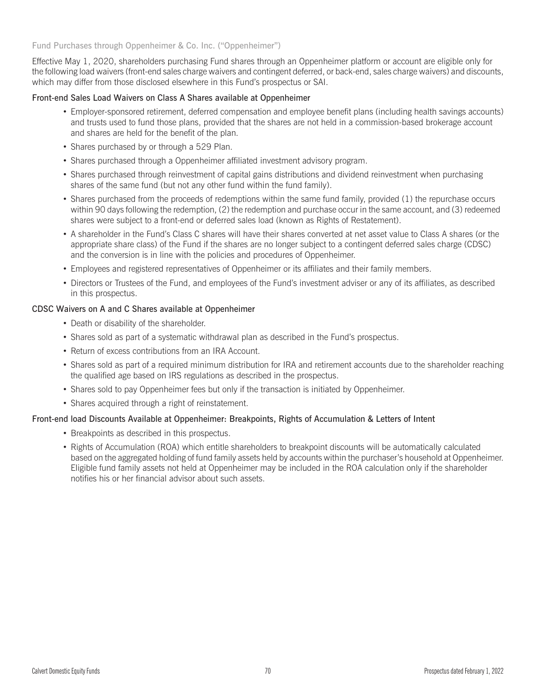# Fund Purchases through Oppenheimer & Co. Inc. ("Oppenheimer")

Effective May 1, 2020, shareholders purchasing Fund shares through an Oppenheimer platform or account are eligible only for the following load waivers (front-end sales charge waivers and contingent deferred, or back-end, sales charge waivers) and discounts, which may differ from those disclosed elsewhere in this Fund's prospectus or SAI.

### Front-end Sales Load Waivers on Class A Shares available at Oppenheimer

- v Employer-sponsored retirement, deferred compensation and employee benefit plans (including health savings accounts) and trusts used to fund those plans, provided that the shares are not held in a commission-based brokerage account and shares are held for the benefit of the plan.
- Shares purchased by or through a 529 Plan.
- Shares purchased through a Oppenheimer affiliated investment advisory program.
- Shares purchased through reinvestment of capital gains distributions and dividend reinvestment when purchasing shares of the same fund (but not any other fund within the fund family).
- Shares purchased from the proceeds of redemptions within the same fund family, provided (1) the repurchase occurs within 90 days following the redemption, (2) the redemption and purchase occur in the same account, and (3) redeemed shares were subject to a front-end or deferred sales load (known as Rights of Restatement).
- v A shareholder in the Fund's Class C shares will have their shares converted at net asset value to Class A shares (or the appropriate share class) of the Fund if the shares are no longer subject to a contingent deferred sales charge (CDSC) and the conversion is in line with the policies and procedures of Oppenheimer.
- v Employees and registered representatives of Oppenheimer or its affiliates and their family members.
- v Directors or Trustees of the Fund, and employees of the Fund's investment adviser or any of its affiliates, as described in this prospectus.

### CDSC Waivers on A and C Shares available at Oppenheimer

- Death or disability of the shareholder.
- Shares sold as part of a systematic withdrawal plan as described in the Fund's prospectus.
- Return of excess contributions from an IRA Account.
- Shares sold as part of a required minimum distribution for IRA and retirement accounts due to the shareholder reaching the qualified age based on IRS regulations as described in the prospectus.
- Shares sold to pay Oppenheimer fees but only if the transaction is initiated by Oppenheimer.
- Shares acquired through a right of reinstatement.

# Front-end load Discounts Available at Oppenheimer: Breakpoints, Rights of Accumulation & Letters of Intent

- Breakpoints as described in this prospectus.
- v Rights of Accumulation (ROA) which entitle shareholders to breakpoint discounts will be automatically calculated based on the aggregated holding of fund family assets held by accounts within the purchaser's household at Oppenheimer. Eligible fund family assets not held at Oppenheimer may be included in the ROA calculation only if the shareholder notifies his or her financial advisor about such assets.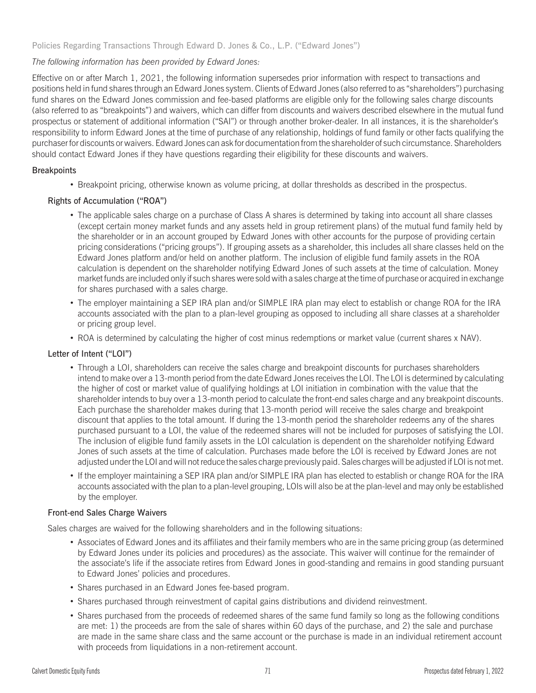Policies Regarding Transactions Through Edward D. Jones & Co., L.P. ("Edward Jones")

# *The following information has been provided by Edward Jones:*

Effective on or after March 1, 2021, the following information supersedes prior information with respect to transactions and positions held in fund shares through an Edward Jones system. Clients of Edward Jones (also referred to as "shareholders") purchasing fund shares on the Edward Jones commission and fee-based platforms are eligible only for the following sales charge discounts (also referred to as "breakpoints") and waivers, which can differ from discounts and waivers described elsewhere in the mutual fund prospectus or statement of additional information ("SAI") or through another broker-dealer. In all instances, it is the shareholder's responsibility to inform Edward Jones at the time of purchase of any relationship, holdings of fund family or other facts qualifying the purchaser for discounts or waivers. Edward Jones can ask for documentation from the shareholder of such circumstance. Shareholders should contact Edward Jones if they have questions regarding their eligibility for these discounts and waivers.

# **Breakpoints**

• Breakpoint pricing, otherwise known as volume pricing, at dollar thresholds as described in the prospectus.

# Rights of Accumulation ("ROA")

- The applicable sales charge on a purchase of Class A shares is determined by taking into account all share classes (except certain money market funds and any assets held in group retirement plans) of the mutual fund family held by the shareholder or in an account grouped by Edward Jones with other accounts for the purpose of providing certain pricing considerations ("pricing groups"). If grouping assets as a shareholder, this includes all share classes held on the Edward Jones platform and/or held on another platform. The inclusion of eligible fund family assets in the ROA calculation is dependent on the shareholder notifying Edward Jones of such assets at the time of calculation. Money market funds are included only if such shares were sold with a sales charge at the time of purchase or acquired in exchange for shares purchased with a sales charge.
- The employer maintaining a SEP IRA plan and/or SIMPLE IRA plan may elect to establish or change ROA for the IRA accounts associated with the plan to a plan-level grouping as opposed to including all share classes at a shareholder or pricing group level.
- ROA is determined by calculating the higher of cost minus redemptions or market value (current shares x NAV).

# Letter of Intent ("LOI")

- Through a LOI, shareholders can receive the sales charge and breakpoint discounts for purchases shareholders intend to make over a 13-month period from the date Edward Jones receives the LOI. The LOI is determined by calculating the higher of cost or market value of qualifying holdings at LOI initiation in combination with the value that the shareholder intends to buy over a 13-month period to calculate the front-end sales charge and any breakpoint discounts. Each purchase the shareholder makes during that 13-month period will receive the sales charge and breakpoint discount that applies to the total amount. If during the 13-month period the shareholder redeems any of the shares purchased pursuant to a LOI, the value of the redeemed shares will not be included for purposes of satisfying the LOI. The inclusion of eligible fund family assets in the LOI calculation is dependent on the shareholder notifying Edward Jones of such assets at the time of calculation. Purchases made before the LOI is received by Edward Jones are not adjusted under the LOI and will not reduce the sales charge previously paid. Sales charges will be adjusted if LOI is not met.
- v If the employer maintaining a SEP IRA plan and/or SIMPLE IRA plan has elected to establish or change ROA for the IRA accounts associated with the plan to a plan-level grouping, LOIs will also be at the plan-level and may only be established by the employer.

# Front-end Sales Charge Waivers

Sales charges are waived for the following shareholders and in the following situations:

- v Associates of Edward Jones and its affiliates and their family members who are in the same pricing group (as determined by Edward Jones under its policies and procedures) as the associate. This waiver will continue for the remainder of the associate's life if the associate retires from Edward Jones in good-standing and remains in good standing pursuant to Edward Jones' policies and procedures.
- Shares purchased in an Edward Jones fee-based program.
- Shares purchased through reinvestment of capital gains distributions and dividend reinvestment.
- Shares purchased from the proceeds of redeemed shares of the same fund family so long as the following conditions are met: 1) the proceeds are from the sale of shares within 60 days of the purchase, and 2) the sale and purchase are made in the same share class and the same account or the purchase is made in an individual retirement account with proceeds from liquidations in a non-retirement account.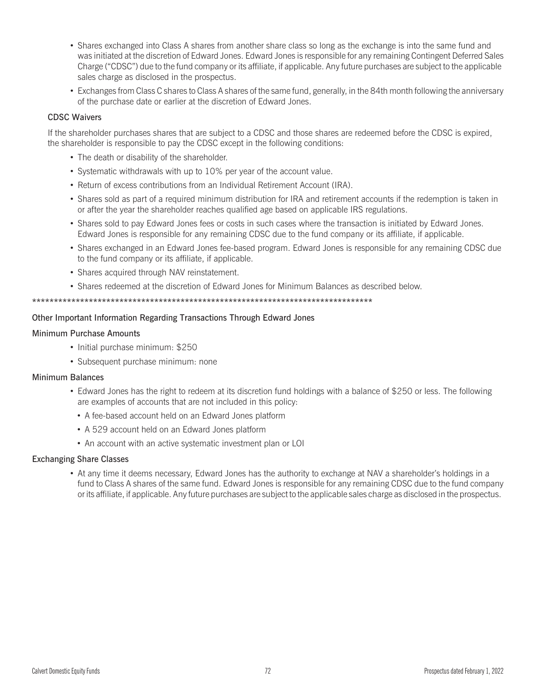- Shares exchanged into Class A shares from another share class so long as the exchange is into the same fund and was initiated at the discretion of Edward Jones. Edward Jones is responsible for any remaining Contingent Deferred Sales Charge ("CDSC") due to the fund company or its affiliate, if applicable. Any future purchases are subject to the applicable sales charge as disclosed in the prospectus.
- Exchanges from Class C shares to Class A shares of the same fund, generally, in the 84th month following the anniversary of the purchase date or earlier at the discretion of Edward Jones.

# CDSC Waivers

If the shareholder purchases shares that are subject to a CDSC and those shares are redeemed before the CDSC is expired, the shareholder is responsible to pay the CDSC except in the following conditions:

- The death or disability of the shareholder.
- Systematic withdrawals with up to 10% per year of the account value.
- Return of excess contributions from an Individual Retirement Account (IRA).
- Shares sold as part of a required minimum distribution for IRA and retirement accounts if the redemption is taken in or after the year the shareholder reaches qualified age based on applicable IRS regulations.
- Shares sold to pay Edward Jones fees or costs in such cases where the transaction is initiated by Edward Jones. Edward Jones is responsible for any remaining CDSC due to the fund company or its affiliate, if applicable.
- Shares exchanged in an Edward Jones fee-based program. Edward Jones is responsible for any remaining CDSC due to the fund company or its affiliate, if applicable.
- Shares acquired through NAV reinstatement.
- Shares redeemed at the discretion of Edward Jones for Minimum Balances as described below.

\*\*\*\*\*\*\*\*\*\*\*\*\*\*\*\*\*\*\*\*\*\*\*\*\*\*\*\*\*\*\*\*\*\*\*\*\*\*\*\*\*\*\*\*\*\*\*\*\*\*\*\*\*\*\*\*\*\*\*\*\*\*\*\*\*\*\*\*\*\*\*\*\*\*\*\*\*\*

### Other Important Information Regarding Transactions Through Edward Jones

## Minimum Purchase Amounts

- Initial purchase minimum: \$250
- Subsequent purchase minimum: none

#### Minimum Balances

- Edward Jones has the right to redeem at its discretion fund holdings with a balance of \$250 or less. The following are examples of accounts that are not included in this policy:
	- A fee-based account held on an Edward Jones platform
	- A 529 account held on an Edward Jones platform
	- An account with an active systematic investment plan or LOI

#### Exchanging Share Classes

• At any time it deems necessary, Edward Jones has the authority to exchange at NAV a shareholder's holdings in a fund to Class A shares of the same fund. Edward Jones is responsible for any remaining CDSC due to the fund company or its affiliate, if applicable. Any future purchases are subject to the applicable sales charge as disclosed in the prospectus.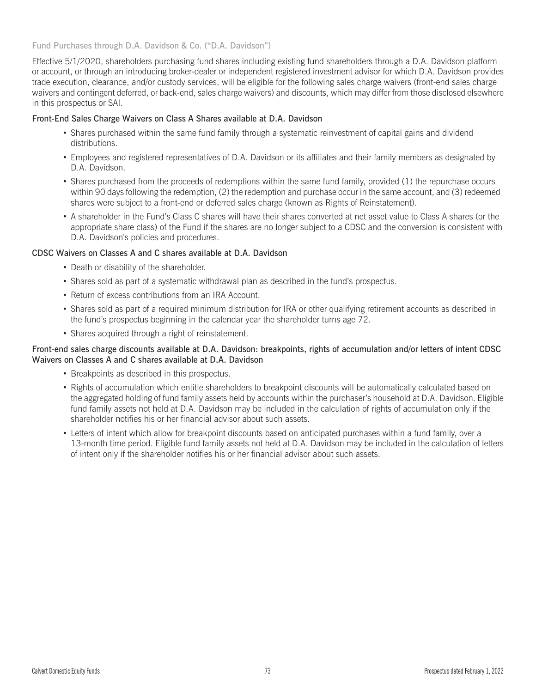Fund Purchases through D.A. Davidson & Co. ("D.A. Davidson")

Effective 5/1/2020, shareholders purchasing fund shares including existing fund shareholders through a D.A. Davidson platform or account, or through an introducing broker-dealer or independent registered investment advisor for which D.A. Davidson provides trade execution, clearance, and/or custody services, will be eligible for the following sales charge waivers (front-end sales charge waivers and contingent deferred, or back-end, sales charge waivers) and discounts, which may differ from those disclosed elsewhere in this prospectus or SAI.

## Front-End Sales Charge Waivers on Class A Shares available at D.A. Davidson

- Shares purchased within the same fund family through a systematic reinvestment of capital gains and dividend distributions.
- v Employees and registered representatives of D.A. Davidson or its affiliates and their family members as designated by D.A. Davidson.
- Shares purchased from the proceeds of redemptions within the same fund family, provided (1) the repurchase occurs within 90 days following the redemption, (2) the redemption and purchase occur in the same account, and (3) redeemed shares were subject to a front-end or deferred sales charge (known as Rights of Reinstatement).
- v A shareholder in the Fund's Class C shares will have their shares converted at net asset value to Class A shares (or the appropriate share class) of the Fund if the shares are no longer subject to a CDSC and the conversion is consistent with D.A. Davidson's policies and procedures.

# CDSC Waivers on Classes A and C shares available at D.A. Davidson

- Death or disability of the shareholder.
- Shares sold as part of a systematic withdrawal plan as described in the fund's prospectus.
- Return of excess contributions from an IRA Account.
- Shares sold as part of a required minimum distribution for IRA or other qualifying retirement accounts as described in the fund's prospectus beginning in the calendar year the shareholder turns age 72.
- Shares acquired through a right of reinstatement.

## Front-end sales charge discounts available at D.A. Davidson: breakpoints, rights of accumulation and/or letters of intent CDSC Waivers on Classes A and C shares available at D.A. Davidson

- Breakpoints as described in this prospectus.
- Rights of accumulation which entitle shareholders to breakpoint discounts will be automatically calculated based on the aggregated holding of fund family assets held by accounts within the purchaser's household at D.A. Davidson. Eligible fund family assets not held at D.A. Davidson may be included in the calculation of rights of accumulation only if the shareholder notifies his or her financial advisor about such assets.
- v Letters of intent which allow for breakpoint discounts based on anticipated purchases within a fund family, over a 13-month time period. Eligible fund family assets not held at D.A. Davidson may be included in the calculation of letters of intent only if the shareholder notifies his or her financial advisor about such assets.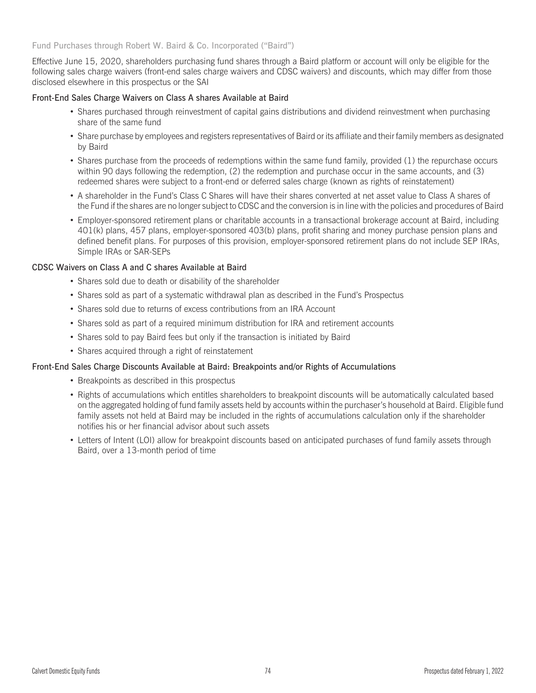#### Fund Purchases through Robert W. Baird & Co. Incorporated ("Baird")

Effective June 15, 2020, shareholders purchasing fund shares through a Baird platform or account will only be eligible for the following sales charge waivers (front-end sales charge waivers and CDSC waivers) and discounts, which may differ from those disclosed elsewhere in this prospectus or the SAI

#### Front-End Sales Charge Waivers on Class A shares Available at Baird

- Shares purchased through reinvestment of capital gains distributions and dividend reinvestment when purchasing share of the same fund
- v Share purchase by employees and registers representatives of Baird or its affiliate and their family members as designated by Baird
- Shares purchase from the proceeds of redemptions within the same fund family, provided (1) the repurchase occurs within 90 days following the redemption, (2) the redemption and purchase occur in the same accounts, and (3) redeemed shares were subject to a front-end or deferred sales charge (known as rights of reinstatement)
- v A shareholder in the Fund's Class C Shares will have their shares converted at net asset value to Class A shares of the Fund if the shares are no longer subject to CDSC and the conversion is in line with the policies and procedures of Baird
- v Employer-sponsored retirement plans or charitable accounts in a transactional brokerage account at Baird, including 401(k) plans, 457 plans, employer-sponsored 403(b) plans, profit sharing and money purchase pension plans and defined benefit plans. For purposes of this provision, employer-sponsored retirement plans do not include SEP IRAs, Simple IRAs or SAR-SEPs

#### CDSC Waivers on Class A and C shares Available at Baird

- Shares sold due to death or disability of the shareholder
- Shares sold as part of a systematic withdrawal plan as described in the Fund's Prospectus
- Shares sold due to returns of excess contributions from an IRA Account
- Shares sold as part of a required minimum distribution for IRA and retirement accounts
- Shares sold to pay Baird fees but only if the transaction is initiated by Baird
- Shares acquired through a right of reinstatement

## Front-End Sales Charge Discounts Available at Baird: Breakpoints and/or Rights of Accumulations

- Breakpoints as described in this prospectus
- v Rights of accumulations which entitles shareholders to breakpoint discounts will be automatically calculated based on the aggregated holding of fund family assets held by accounts within the purchaser's household at Baird. Eligible fund family assets not held at Baird may be included in the rights of accumulations calculation only if the shareholder notifies his or her financial advisor about such assets
- Letters of Intent (LOI) allow for breakpoint discounts based on anticipated purchases of fund family assets through Baird, over a 13-month period of time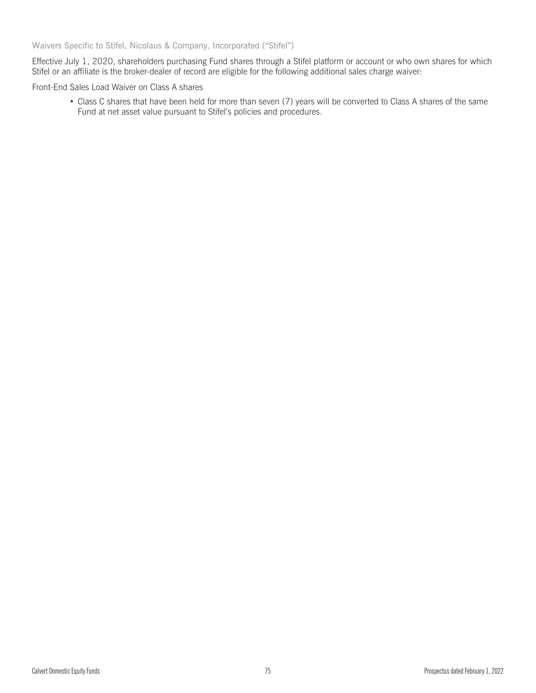Waivers Specific to Stifel, Nicolaus & Company, Incorporated ("Stifel")

Effective July 1, 2020, shareholders purchasing Fund shares through a Stifel platform or account or who own shares for which Stifel or an affiliate is the broker-dealer of record are eligible for the following additional sales charge waiver:

Front-End Sales Load Waiver on Class A shares

• Class C shares that have been held for more than seven (7) years will be converted to Class A shares of the same Fund at net asset value pursuant to Stifel's policies and procedures.